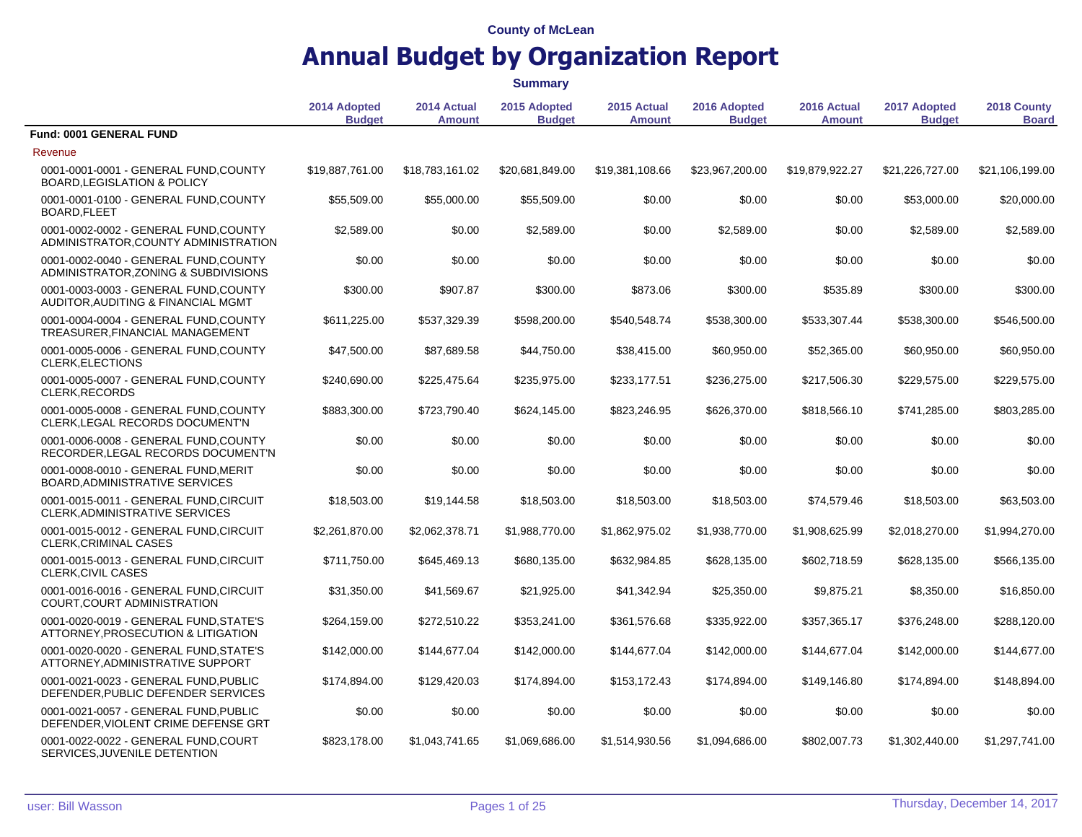|                                                                                 |                               |                              | <b>Summary</b>                |                              |                               |                              |                               |                             |
|---------------------------------------------------------------------------------|-------------------------------|------------------------------|-------------------------------|------------------------------|-------------------------------|------------------------------|-------------------------------|-----------------------------|
|                                                                                 | 2014 Adopted<br><b>Budget</b> | 2014 Actual<br><b>Amount</b> | 2015 Adopted<br><b>Budget</b> | 2015 Actual<br><b>Amount</b> | 2016 Adopted<br><b>Budget</b> | 2016 Actual<br><b>Amount</b> | 2017 Adopted<br><b>Budget</b> | 2018 County<br><b>Board</b> |
| Fund: 0001 GENERAL FUND                                                         |                               |                              |                               |                              |                               |                              |                               |                             |
| Revenue                                                                         |                               |                              |                               |                              |                               |                              |                               |                             |
| 0001-0001-0001 - GENERAL FUND, COUNTY<br><b>BOARD, LEGISLATION &amp; POLICY</b> | \$19,887,761.00               | \$18,783,161.02              | \$20,681,849.00               | \$19,381,108.66              | \$23,967,200.00               | \$19,879,922.27              | \$21,226,727.00               | \$21,106,199.00             |
| 0001-0001-0100 - GENERAL FUND, COUNTY<br>BOARD, FLEET                           | \$55,509.00                   | \$55,000.00                  | \$55,509.00                   | \$0.00                       | \$0.00                        | \$0.00                       | \$53,000.00                   | \$20,000.00                 |
| 0001-0002-0002 - GENERAL FUND, COUNTY<br>ADMINISTRATOR, COUNTY ADMINISTRATION   | \$2,589.00                    | \$0.00                       | \$2,589.00                    | \$0.00                       | \$2,589.00                    | \$0.00                       | \$2,589.00                    | \$2,589.00                  |
| 0001-0002-0040 - GENERAL FUND, COUNTY<br>ADMINISTRATOR, ZONING & SUBDIVISIONS   | \$0.00                        | \$0.00                       | \$0.00                        | \$0.00                       | \$0.00                        | \$0.00                       | \$0.00                        | \$0.00                      |
| 0001-0003-0003 - GENERAL FUND, COUNTY<br>AUDITOR, AUDITING & FINANCIAL MGMT     | \$300.00                      | \$907.87                     | \$300.00                      | \$873.06                     | \$300.00                      | \$535.89                     | \$300.00                      | \$300.00                    |
| 0001-0004-0004 - GENERAL FUND, COUNTY<br>TREASURER, FINANCIAL MANAGEMENT        | \$611,225.00                  | \$537,329.39                 | \$598,200.00                  | \$540,548.74                 | \$538,300.00                  | \$533,307.44                 | \$538,300.00                  | \$546,500.00                |
| 0001-0005-0006 - GENERAL FUND, COUNTY<br><b>CLERK, ELECTIONS</b>                | \$47,500.00                   | \$87,689.58                  | \$44,750.00                   | \$38,415.00                  | \$60,950.00                   | \$52,365.00                  | \$60,950.00                   | \$60,950.00                 |
| 0001-0005-0007 - GENERAL FUND, COUNTY<br>CLERK, RECORDS                         | \$240,690.00                  | \$225,475.64                 | \$235,975.00                  | \$233,177.51                 | \$236,275.00                  | \$217,506.30                 | \$229,575.00                  | \$229,575.00                |
| 0001-0005-0008 - GENERAL FUND, COUNTY<br>CLERK, LEGAL RECORDS DOCUMENT'N        | \$883,300.00                  | \$723,790.40                 | \$624,145.00                  | \$823,246.95                 | \$626,370.00                  | \$818,566.10                 | \$741,285.00                  | \$803,285.00                |
| 0001-0006-0008 - GENERAL FUND, COUNTY<br>RECORDER, LEGAL RECORDS DOCUMENT'N     | \$0.00                        | \$0.00                       | \$0.00                        | \$0.00                       | \$0.00                        | \$0.00                       | \$0.00                        | \$0.00                      |
| 0001-0008-0010 - GENERAL FUND, MERIT<br>BOARD, ADMINISTRATIVE SERVICES          | \$0.00                        | \$0.00                       | \$0.00                        | \$0.00                       | \$0.00                        | \$0.00                       | \$0.00                        | \$0.00                      |
| 0001-0015-0011 - GENERAL FUND, CIRCUIT<br>CLERK, ADMINISTRATIVE SERVICES        | \$18,503.00                   | \$19,144.58                  | \$18,503.00                   | \$18,503.00                  | \$18,503.00                   | \$74,579.46                  | \$18,503.00                   | \$63,503.00                 |
| 0001-0015-0012 - GENERAL FUND, CIRCUIT<br><b>CLERK, CRIMINAL CASES</b>          | \$2,261,870.00                | \$2,062,378.71               | \$1,988,770.00                | \$1,862,975.02               | \$1,938,770.00                | \$1,908,625.99               | \$2,018,270.00                | \$1,994,270.00              |
| 0001-0015-0013 - GENERAL FUND, CIRCUIT<br><b>CLERK, CIVIL CASES</b>             | \$711,750.00                  | \$645,469.13                 | \$680,135.00                  | \$632,984.85                 | \$628,135.00                  | \$602,718.59                 | \$628,135.00                  | \$566,135.00                |
| 0001-0016-0016 - GENERAL FUND, CIRCUIT<br>COURT, COURT ADMINISTRATION           | \$31,350.00                   | \$41,569.67                  | \$21,925.00                   | \$41,342.94                  | \$25,350.00                   | \$9,875.21                   | \$8,350.00                    | \$16,850.00                 |
| 0001-0020-0019 - GENERAL FUND, STATE'S<br>ATTORNEY, PROSECUTION & LITIGATION    | \$264,159.00                  | \$272,510.22                 | \$353,241.00                  | \$361,576.68                 | \$335,922.00                  | \$357,365.17                 | \$376,248.00                  | \$288,120.00                |
| 0001-0020-0020 - GENERAL FUND, STATE'S<br>ATTORNEY, ADMINISTRATIVE SUPPORT      | \$142,000.00                  | \$144,677.04                 | \$142,000.00                  | \$144,677.04                 | \$142,000.00                  | \$144,677.04                 | \$142,000.00                  | \$144,677.00                |
| 0001-0021-0023 - GENERAL FUND, PUBLIC<br>DEFENDER, PUBLIC DEFENDER SERVICES     | \$174,894.00                  | \$129,420.03                 | \$174,894.00                  | \$153,172.43                 | \$174,894.00                  | \$149,146.80                 | \$174,894.00                  | \$148,894.00                |
| 0001-0021-0057 - GENERAL FUND.PUBLIC<br>DEFENDER, VIOLENT CRIME DEFENSE GRT     | \$0.00                        | \$0.00                       | \$0.00                        | \$0.00                       | \$0.00                        | \$0.00                       | \$0.00                        | \$0.00                      |
| 0001-0022-0022 - GENERAL FUND, COURT<br>SERVICES, JUVENILE DETENTION            | \$823,178.00                  | \$1,043,741.65               | \$1,069,686.00                | \$1,514,930.56               | \$1,094,686.00                | \$802,007.73                 | \$1,302,440.00                | \$1,297,741.00              |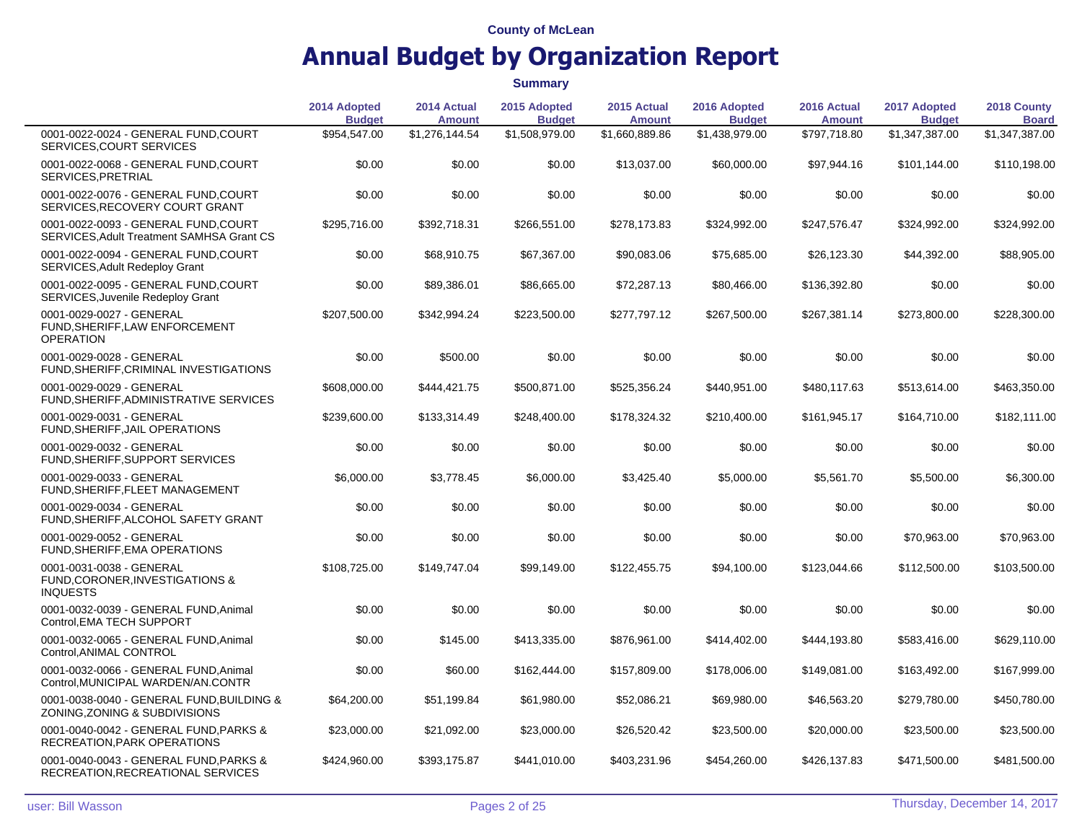|                                                                                   | 2014 Adopted<br><b>Budget</b> | 2014 Actual<br><b>Amount</b> | 2015 Adopted<br><b>Budget</b> | 2015 Actual<br><b>Amount</b> | 2016 Adopted<br><b>Budget</b> | 2016 Actual<br><b>Amount</b> | 2017 Adopted<br><b>Budget</b> | 2018 County<br><b>Board</b> |
|-----------------------------------------------------------------------------------|-------------------------------|------------------------------|-------------------------------|------------------------------|-------------------------------|------------------------------|-------------------------------|-----------------------------|
| 0001-0022-0024 - GENERAL FUND, COURT<br>SERVICES, COURT SERVICES                  | \$954,547.00                  | \$1,276,144.54               | \$1,508,979.00                | \$1,660,889.86               | \$1,438,979.00                | \$797,718.80                 | \$1,347,387.00                | \$1,347,387.00              |
| 0001-0022-0068 - GENERAL FUND, COURT<br>SERVICES, PRETRIAL                        | \$0.00                        | \$0.00                       | \$0.00                        | \$13,037.00                  | \$60,000.00                   | \$97,944.16                  | \$101,144.00                  | \$110,198.00                |
| 0001-0022-0076 - GENERAL FUND, COURT<br>SERVICES, RECOVERY COURT GRANT            | \$0.00                        | \$0.00                       | \$0.00                        | \$0.00                       | \$0.00                        | \$0.00                       | \$0.00                        | \$0.00                      |
| 0001-0022-0093 - GENERAL FUND, COURT<br>SERVICES, Adult Treatment SAMHSA Grant CS | \$295,716.00                  | \$392,718.31                 | \$266,551.00                  | \$278,173.83                 | \$324,992.00                  | \$247,576.47                 | \$324,992.00                  | \$324,992.00                |
| 0001-0022-0094 - GENERAL FUND, COURT<br>SERVICES, Adult Redeploy Grant            | \$0.00                        | \$68,910.75                  | \$67,367.00                   | \$90,083.06                  | \$75,685.00                   | \$26,123.30                  | \$44,392.00                   | \$88,905.00                 |
| 0001-0022-0095 - GENERAL FUND, COURT<br><b>SERVICES, Juvenile Redeploy Grant</b>  | \$0.00                        | \$89,386.01                  | \$86,665.00                   | \$72,287.13                  | \$80,466.00                   | \$136,392.80                 | \$0.00                        | \$0.00                      |
| 0001-0029-0027 - GENERAL<br>FUND, SHERIFF, LAW ENFORCEMENT<br><b>OPERATION</b>    | \$207,500.00                  | \$342,994.24                 | \$223,500.00                  | \$277,797.12                 | \$267,500.00                  | \$267,381.14                 | \$273,800.00                  | \$228,300.00                |
| 0001-0029-0028 - GENERAL<br>FUND, SHERIFF, CRIMINAL INVESTIGATIONS                | \$0.00                        | \$500.00                     | \$0.00                        | \$0.00                       | \$0.00                        | \$0.00                       | \$0.00                        | \$0.00                      |
| 0001-0029-0029 - GENERAL<br>FUND, SHERIFF, ADMINISTRATIVE SERVICES                | \$608,000.00                  | \$444,421.75                 | \$500,871.00                  | \$525,356.24                 | \$440,951.00                  | \$480,117.63                 | \$513,614.00                  | \$463,350.00                |
| 0001-0029-0031 - GENERAL<br>FUND, SHERIFF, JAIL OPERATIONS                        | \$239,600.00                  | \$133,314.49                 | \$248,400.00                  | \$178,324.32                 | \$210,400.00                  | \$161,945.17                 | \$164,710.00                  | \$182,111.00                |
| 0001-0029-0032 - GENERAL<br>FUND, SHERIFF, SUPPORT SERVICES                       | \$0.00                        | \$0.00                       | \$0.00                        | \$0.00                       | \$0.00                        | \$0.00                       | \$0.00                        | \$0.00                      |
| 0001-0029-0033 - GENERAL<br>FUND, SHERIFF, FLEET MANAGEMENT                       | \$6,000.00                    | \$3,778.45                   | \$6,000.00                    | \$3,425.40                   | \$5,000.00                    | \$5,561.70                   | \$5,500.00                    | \$6,300.00                  |
| 0001-0029-0034 - GENERAL<br>FUND, SHERIFF, ALCOHOL SAFETY GRANT                   | \$0.00                        | \$0.00                       | \$0.00                        | \$0.00                       | \$0.00                        | \$0.00                       | \$0.00                        | \$0.00                      |
| 0001-0029-0052 - GENERAL<br>FUND, SHERIFF, EMA OPERATIONS                         | \$0.00                        | \$0.00                       | \$0.00                        | \$0.00                       | \$0.00                        | \$0.00                       | \$70,963.00                   | \$70,963.00                 |
| 0001-0031-0038 - GENERAL<br>FUND, CORONER, INVESTIGATIONS &<br><b>INQUESTS</b>    | \$108,725.00                  | \$149,747.04                 | \$99,149.00                   | \$122,455.75                 | \$94,100.00                   | \$123,044.66                 | \$112,500.00                  | \$103,500.00                |
| 0001-0032-0039 - GENERAL FUND, Animal<br>Control, EMA TECH SUPPORT                | \$0.00                        | \$0.00                       | \$0.00                        | \$0.00                       | \$0.00                        | \$0.00                       | \$0.00                        | \$0.00                      |
| 0001-0032-0065 - GENERAL FUND, Animal<br>Control, ANIMAL CONTROL                  | \$0.00                        | \$145.00                     | \$413,335.00                  | \$876,961.00                 | \$414,402.00                  | \$444,193.80                 | \$583,416.00                  | \$629,110.00                |
| 0001-0032-0066 - GENERAL FUND, Animal<br>Control, MUNICIPAL WARDEN/AN.CONTR       | \$0.00                        | \$60.00                      | \$162,444.00                  | \$157,809.00                 | \$178,006.00                  | \$149,081.00                 | \$163,492.00                  | \$167,999.00                |
| 0001-0038-0040 - GENERAL FUND, BUILDING &<br>ZONING, ZONING & SUBDIVISIONS        | \$64,200.00                   | \$51,199.84                  | \$61,980.00                   | \$52,086.21                  | \$69,980.00                   | \$46,563.20                  | \$279,780.00                  | \$450,780.00                |
| 0001-0040-0042 - GENERAL FUND.PARKS &<br>RECREATION, PARK OPERATIONS              | \$23,000.00                   | \$21,092.00                  | \$23,000.00                   | \$26,520.42                  | \$23,500.00                   | \$20,000.00                  | \$23,500.00                   | \$23,500.00                 |
| 0001-0040-0043 - GENERAL FUND, PARKS &<br>RECREATION, RECREATIONAL SERVICES       | \$424,960.00                  | \$393,175.87                 | \$441,010.00                  | \$403,231.96                 | \$454,260.00                  | \$426,137.83                 | \$471,500.00                  | \$481,500.00                |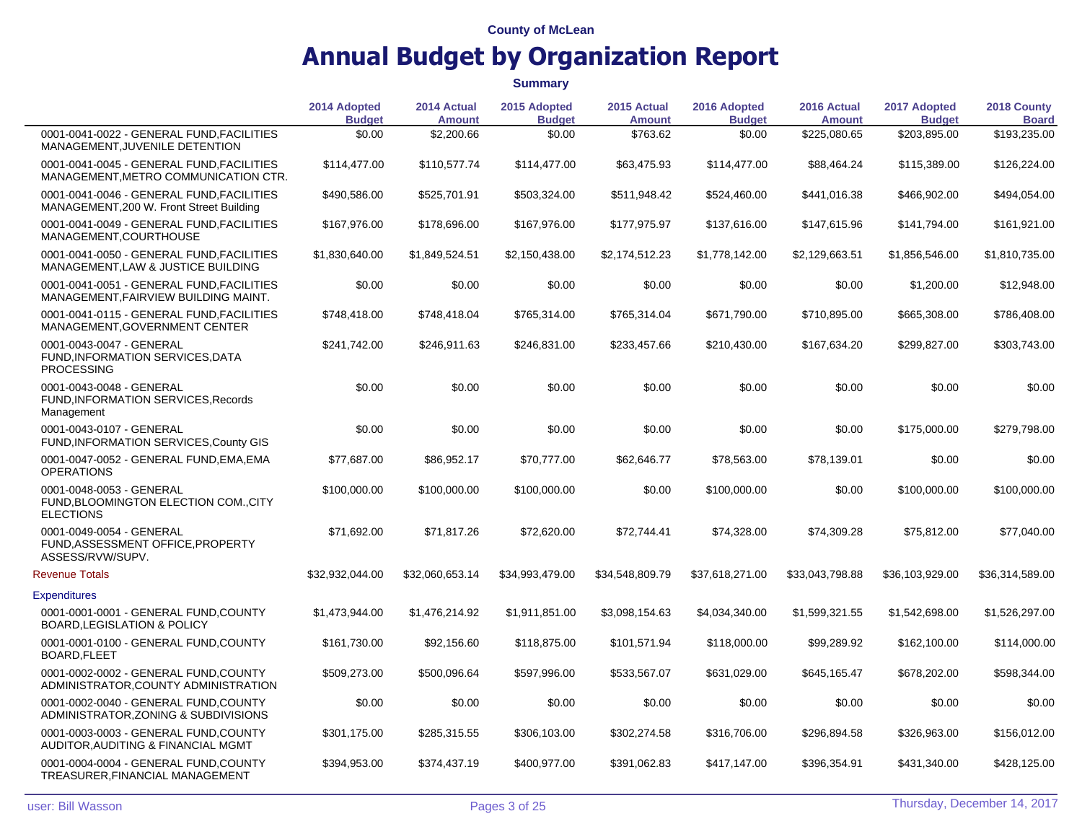|                                                                                        | 2014 Adopted<br><b>Budget</b> | 2014 Actual<br><b>Amount</b> | 2015 Adopted<br><b>Budget</b> | 2015 Actual<br><b>Amount</b> | 2016 Adopted<br><b>Budget</b> | 2016 Actual<br><b>Amount</b> | 2017 Adopted<br><b>Budget</b> | 2018 County<br><b>Board</b> |
|----------------------------------------------------------------------------------------|-------------------------------|------------------------------|-------------------------------|------------------------------|-------------------------------|------------------------------|-------------------------------|-----------------------------|
| 0001-0041-0022 - GENERAL FUND.FACILITIES<br>MANAGEMENT, JUVENILE DETENTION             | \$0.00                        | \$2,200.66                   | \$0.00                        | \$763.62                     | \$0.00                        | \$225,080.65                 | \$203,895.00                  | \$193,235.00                |
| 0001-0041-0045 - GENERAL FUND FACILITIES<br>MANAGEMENT, METRO COMMUNICATION CTR.       | \$114,477.00                  | \$110,577.74                 | \$114,477.00                  | \$63,475.93                  | \$114,477.00                  | \$88,464.24                  | \$115,389.00                  | \$126,224.00                |
| 0001-0041-0046 - GENERAL FUND FACILITIES<br>MANAGEMENT, 200 W. Front Street Building   | \$490,586.00                  | \$525,701.91                 | \$503,324.00                  | \$511,948.42                 | \$524,460.00                  | \$441,016.38                 | \$466,902.00                  | \$494,054.00                |
| 0001-0041-0049 - GENERAL FUND, FACILITIES<br>MANAGEMENT, COURTHOUSE                    | \$167,976.00                  | \$178,696.00                 | \$167,976.00                  | \$177,975.97                 | \$137,616.00                  | \$147,615.96                 | \$141,794.00                  | \$161,921.00                |
| 0001-0041-0050 - GENERAL FUND, FACILITIES<br>MANAGEMENT, LAW & JUSTICE BUILDING        | \$1,830,640.00                | \$1,849,524.51               | \$2,150,438.00                | \$2,174,512.23               | \$1,778,142.00                | \$2,129,663.51               | \$1,856,546.00                | \$1,810,735.00              |
| 0001-0041-0051 - GENERAL FUND, FACILITIES<br>MANAGEMENT, FAIRVIEW BUILDING MAINT.      | \$0.00                        | \$0.00                       | \$0.00                        | \$0.00                       | \$0.00                        | \$0.00                       | \$1,200.00                    | \$12,948.00                 |
| 0001-0041-0115 - GENERAL FUND, FACILITIES<br>MANAGEMENT, GOVERNMENT CENTER             | \$748,418.00                  | \$748,418.04                 | \$765,314.00                  | \$765,314.04                 | \$671,790.00                  | \$710,895.00                 | \$665,308.00                  | \$786,408.00                |
| 0001-0043-0047 - GENERAL<br><b>FUND.INFORMATION SERVICES.DATA</b><br><b>PROCESSING</b> | \$241,742.00                  | \$246,911.63                 | \$246,831.00                  | \$233,457.66                 | \$210,430.00                  | \$167,634.20                 | \$299,827.00                  | \$303,743.00                |
| 0001-0043-0048 - GENERAL<br>FUND, INFORMATION SERVICES, Records<br>Management          | \$0.00                        | \$0.00                       | \$0.00                        | \$0.00                       | \$0.00                        | \$0.00                       | \$0.00                        | \$0.00                      |
| 0001-0043-0107 - GENERAL<br>FUND, INFORMATION SERVICES, County GIS                     | \$0.00                        | \$0.00                       | \$0.00                        | \$0.00                       | \$0.00                        | \$0.00                       | \$175,000.00                  | \$279,798.00                |
| 0001-0047-0052 - GENERAL FUND, EMA, EMA<br><b>OPERATIONS</b>                           | \$77,687.00                   | \$86,952.17                  | \$70,777.00                   | \$62,646.77                  | \$78,563.00                   | \$78,139.01                  | \$0.00                        | \$0.00                      |
| 0001-0048-0053 - GENERAL<br>FUND, BLOOMINGTON ELECTION COM., CITY<br><b>ELECTIONS</b>  | \$100,000.00                  | \$100,000.00                 | \$100,000.00                  | \$0.00                       | \$100,000.00                  | \$0.00                       | \$100,000.00                  | \$100,000.00                |
| 0001-0049-0054 - GENERAL<br>FUND, ASSESSMENT OFFICE, PROPERTY<br>ASSESS/RVW/SUPV.      | \$71,692.00                   | \$71,817.26                  | \$72,620.00                   | \$72,744.41                  | \$74,328.00                   | \$74,309.28                  | \$75,812.00                   | \$77,040.00                 |
| <b>Revenue Totals</b>                                                                  | \$32,932,044.00               | \$32,060,653.14              | \$34,993,479.00               | \$34,548,809.79              | \$37,618,271.00               | \$33,043,798.88              | \$36,103,929.00               | \$36,314,589.00             |
| <b>Expenditures</b>                                                                    |                               |                              |                               |                              |                               |                              |                               |                             |
| 0001-0001-0001 - GENERAL FUND, COUNTY<br><b>BOARD, LEGISLATION &amp; POLICY</b>        | \$1,473,944.00                | \$1,476,214.92               | \$1,911,851.00                | \$3,098,154.63               | \$4,034,340.00                | \$1,599,321.55               | \$1,542,698.00                | \$1,526,297.00              |
| 0001-0001-0100 - GENERAL FUND, COUNTY<br>BOARD, FLEET                                  | \$161,730.00                  | \$92,156.60                  | \$118,875.00                  | \$101,571.94                 | \$118,000.00                  | \$99,289.92                  | \$162,100.00                  | \$114,000.00                |
| 0001-0002-0002 - GENERAL FUND.COUNTY<br>ADMINISTRATOR, COUNTY ADMINISTRATION           | \$509,273.00                  | \$500,096.64                 | \$597,996.00                  | \$533,567.07                 | \$631,029.00                  | \$645,165.47                 | \$678,202.00                  | \$598,344.00                |
| 0001-0002-0040 - GENERAL FUND.COUNTY<br>ADMINISTRATOR, ZONING & SUBDIVISIONS           | \$0.00                        | \$0.00                       | \$0.00                        | \$0.00                       | \$0.00                        | \$0.00                       | \$0.00                        | \$0.00                      |
| 0001-0003-0003 - GENERAL FUND, COUNTY<br>AUDITOR, AUDITING & FINANCIAL MGMT            | \$301,175.00                  | \$285,315.55                 | \$306,103.00                  | \$302,274.58                 | \$316,706.00                  | \$296,894.58                 | \$326,963.00                  | \$156,012.00                |
| 0001-0004-0004 - GENERAL FUND, COUNTY<br>TREASURER, FINANCIAL MANAGEMENT               | \$394,953.00                  | \$374,437.19                 | \$400,977.00                  | \$391,062.83                 | \$417,147.00                  | \$396,354.91                 | \$431,340.00                  | \$428,125.00                |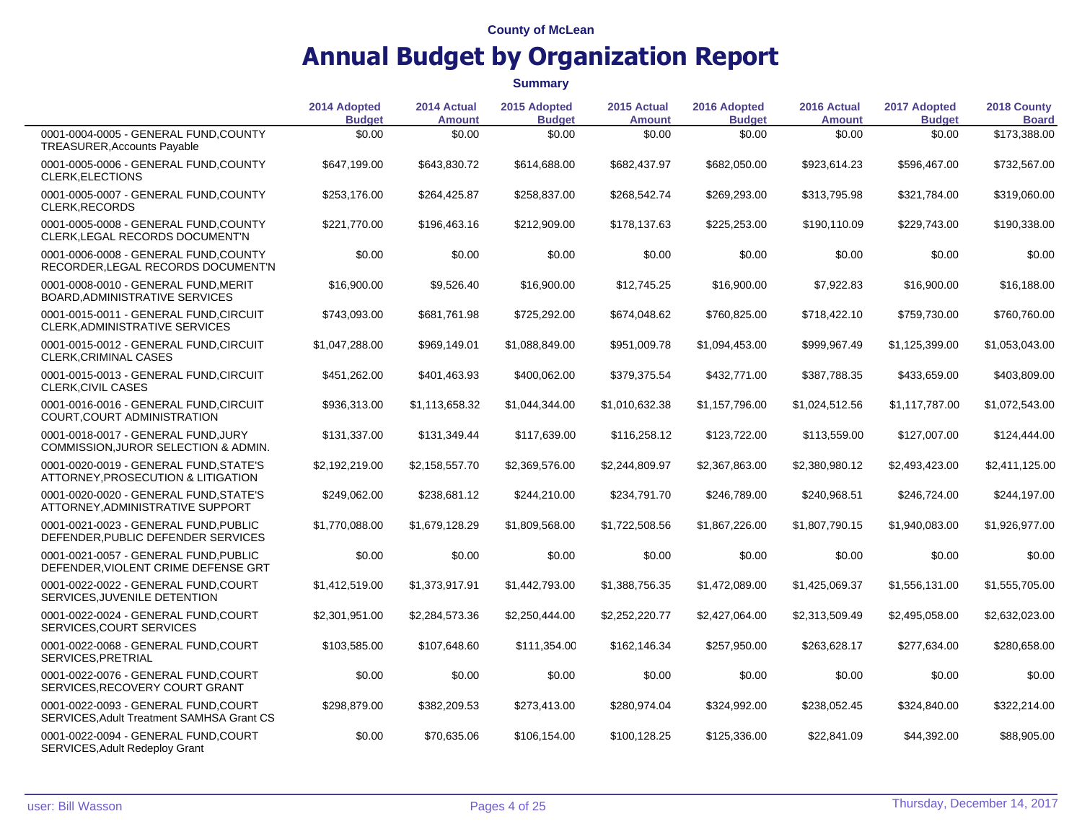|                                                                                   | 2014 Adopted<br><b>Budget</b> | 2014 Actual<br><b>Amount</b> | 2015 Adopted<br><b>Budget</b> | 2015 Actual<br><b>Amount</b> | 2016 Adopted<br><b>Budget</b> | 2016 Actual<br><b>Amount</b> | 2017 Adopted<br><b>Budget</b> | 2018 County<br><b>Board</b> |
|-----------------------------------------------------------------------------------|-------------------------------|------------------------------|-------------------------------|------------------------------|-------------------------------|------------------------------|-------------------------------|-----------------------------|
| 0001-0004-0005 - GENERAL FUND.COUNTY<br><b>TREASURER, Accounts Payable</b>        | \$0.00                        | \$0.00                       | \$0.00                        | \$0.00                       | \$0.00                        | \$0.00                       | \$0.00                        | \$173,388.00                |
| 0001-0005-0006 - GENERAL FUND, COUNTY<br><b>CLERK, ELECTIONS</b>                  | \$647,199.00                  | \$643,830.72                 | \$614,688.00                  | \$682,437.97                 | \$682,050.00                  | \$923,614.23                 | \$596,467.00                  | \$732,567.00                |
| 0001-0005-0007 - GENERAL FUND, COUNTY<br>CLERK, RECORDS                           | \$253,176.00                  | \$264,425.87                 | \$258,837.00                  | \$268,542.74                 | \$269,293.00                  | \$313,795.98                 | \$321,784.00                  | \$319,060.00                |
| 0001-0005-0008 - GENERAL FUND, COUNTY<br>CLERK, LEGAL RECORDS DOCUMENT'N          | \$221,770.00                  | \$196,463.16                 | \$212,909.00                  | \$178,137.63                 | \$225,253.00                  | \$190,110.09                 | \$229,743.00                  | \$190,338.00                |
| 0001-0006-0008 - GENERAL FUND.COUNTY<br>RECORDER, LEGAL RECORDS DOCUMENT'N        | \$0.00                        | \$0.00                       | \$0.00                        | \$0.00                       | \$0.00                        | \$0.00                       | \$0.00                        | \$0.00                      |
| 0001-0008-0010 - GENERAL FUND, MERIT<br>BOARD, ADMINISTRATIVE SERVICES            | \$16,900.00                   | \$9,526.40                   | \$16,900.00                   | \$12,745.25                  | \$16,900.00                   | \$7,922.83                   | \$16,900.00                   | \$16,188.00                 |
| 0001-0015-0011 - GENERAL FUND, CIRCUIT<br>CLERK, ADMINISTRATIVE SERVICES          | \$743,093.00                  | \$681,761.98                 | \$725,292.00                  | \$674,048.62                 | \$760,825.00                  | \$718,422.10                 | \$759,730.00                  | \$760,760.00                |
| 0001-0015-0012 - GENERAL FUND, CIRCUIT<br>CLERK, CRIMINAL CASES                   | \$1,047,288.00                | \$969,149.01                 | \$1,088,849.00                | \$951,009.78                 | \$1,094,453.00                | \$999,967.49                 | \$1,125,399.00                | \$1,053,043.00              |
| 0001-0015-0013 - GENERAL FUND, CIRCUIT<br><b>CLERK, CIVIL CASES</b>               | \$451,262.00                  | \$401,463.93                 | \$400,062.00                  | \$379,375.54                 | \$432,771.00                  | \$387,788.35                 | \$433,659.00                  | \$403,809.00                |
| 0001-0016-0016 - GENERAL FUND.CIRCUIT<br>COURT, COURT ADMINISTRATION              | \$936.313.00                  | \$1,113,658.32               | \$1,044,344.00                | \$1,010,632.38               | \$1,157,796.00                | \$1,024,512.56               | \$1,117,787.00                | \$1,072,543.00              |
| 0001-0018-0017 - GENERAL FUND, JURY<br>COMMISSION, JUROR SELECTION & ADMIN.       | \$131,337.00                  | \$131,349.44                 | \$117,639.00                  | \$116,258.12                 | \$123,722.00                  | \$113,559.00                 | \$127,007.00                  | \$124,444.00                |
| 0001-0020-0019 - GENERAL FUND.STATE'S<br>ATTORNEY, PROSECUTION & LITIGATION       | \$2,192,219.00                | \$2,158,557.70               | \$2,369,576.00                | \$2,244,809.97               | \$2,367,863.00                | \$2,380,980.12               | \$2,493,423.00                | \$2,411,125.00              |
| 0001-0020-0020 - GENERAL FUND, STATE'S<br>ATTORNEY, ADMINISTRATIVE SUPPORT        | \$249,062.00                  | \$238,681.12                 | \$244,210.00                  | \$234,791.70                 | \$246,789.00                  | \$240,968.51                 | \$246,724.00                  | \$244,197.00                |
| 0001-0021-0023 - GENERAL FUND, PUBLIC<br>DEFENDER, PUBLIC DEFENDER SERVICES       | \$1,770,088.00                | \$1,679,128.29               | \$1,809,568.00                | \$1,722,508.56               | \$1,867,226.00                | \$1,807,790.15               | \$1,940,083.00                | \$1,926,977.00              |
| 0001-0021-0057 - GENERAL FUND.PUBLIC<br>DEFENDER, VIOLENT CRIME DEFENSE GRT       | \$0.00                        | \$0.00                       | \$0.00                        | \$0.00                       | \$0.00                        | \$0.00                       | \$0.00                        | \$0.00                      |
| 0001-0022-0022 - GENERAL FUND, COURT<br>SERVICES, JUVENILE DETENTION              | \$1,412,519.00                | \$1,373,917.91               | \$1,442,793.00                | \$1,388,756.35               | \$1,472,089.00                | \$1,425,069.37               | \$1,556,131.00                | \$1,555,705.00              |
| 0001-0022-0024 - GENERAL FUND, COURT<br>SERVICES, COURT SERVICES                  | \$2,301,951.00                | \$2,284,573.36               | \$2,250,444.00                | \$2,252,220.77               | \$2,427,064.00                | \$2,313,509.49               | \$2,495,058.00                | \$2,632,023.00              |
| 0001-0022-0068 - GENERAL FUND, COURT<br>SERVICES, PRETRIAL                        | \$103,585.00                  | \$107,648.60                 | \$111,354.00                  | \$162,146.34                 | \$257,950.00                  | \$263,628.17                 | \$277,634.00                  | \$280,658.00                |
| 0001-0022-0076 - GENERAL FUND, COURT<br>SERVICES, RECOVERY COURT GRANT            | \$0.00                        | \$0.00                       | \$0.00                        | \$0.00                       | \$0.00                        | \$0.00                       | \$0.00                        | \$0.00                      |
| 0001-0022-0093 - GENERAL FUND, COURT<br>SERVICES, Adult Treatment SAMHSA Grant CS | \$298,879.00                  | \$382,209.53                 | \$273,413.00                  | \$280,974.04                 | \$324,992.00                  | \$238,052.45                 | \$324,840.00                  | \$322,214.00                |
| 0001-0022-0094 - GENERAL FUND, COURT<br>SERVICES, Adult Redeploy Grant            | \$0.00                        | \$70,635.06                  | \$106,154.00                  | \$100,128.25                 | \$125,336.00                  | \$22,841.09                  | \$44,392.00                   | \$88,905.00                 |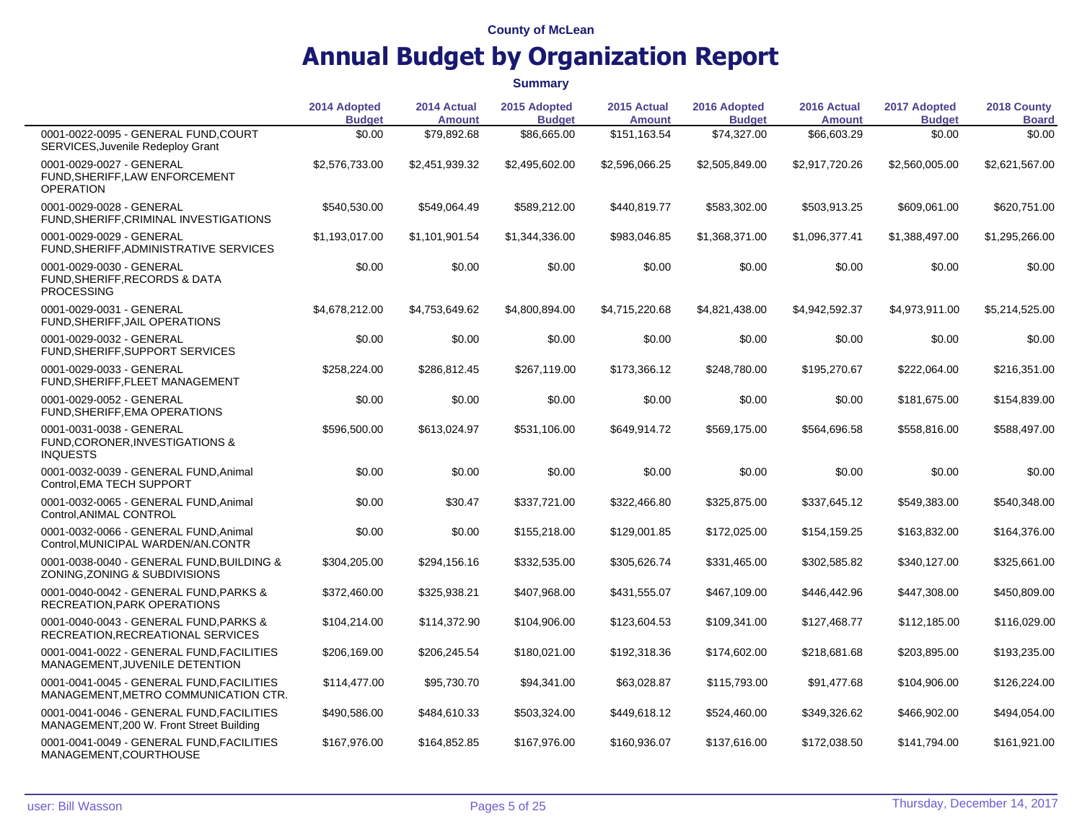|                                                                                           | 2014 Adopted<br><b>Budget</b> | 2014 Actual<br><b>Amount</b> | 2015 Adopted<br><b>Budget</b> | 2015 Actual<br><b>Amount</b> | 2016 Adopted<br><b>Budget</b> | 2016 Actual<br><b>Amount</b> | 2017 Adopted<br><b>Budget</b> | 2018 County<br><b>Board</b> |
|-------------------------------------------------------------------------------------------|-------------------------------|------------------------------|-------------------------------|------------------------------|-------------------------------|------------------------------|-------------------------------|-----------------------------|
| 0001-0022-0095 - GENERAL FUND.COURT<br>SERVICES, Juvenile Redeploy Grant                  | \$0.00                        | \$79,892.68                  | \$86,665.00                   | \$151,163.54                 | \$74,327.00                   | \$66,603.29                  | \$0.00                        | \$0.00                      |
| 0001-0029-0027 - GENERAL<br>FUND, SHERIFF, LAW ENFORCEMENT<br><b>OPERATION</b>            | \$2,576,733.00                | \$2,451,939.32               | \$2,495,602.00                | \$2,596,066.25               | \$2,505,849.00                | \$2,917,720.26               | \$2,560,005.00                | \$2,621,567.00              |
| 0001-0029-0028 - GENERAL<br>FUND, SHERIFF, CRIMINAL INVESTIGATIONS                        | \$540,530.00                  | \$549,064.49                 | \$589,212.00                  | \$440,819.77                 | \$583,302.00                  | \$503,913.25                 | \$609,061.00                  | \$620,751.00                |
| 0001-0029-0029 - GENERAL<br>FUND, SHERIFF, ADMINISTRATIVE SERVICES                        | \$1,193,017.00                | \$1,101,901.54               | \$1,344,336.00                | \$983,046.85                 | \$1,368,371.00                | \$1,096,377.41               | \$1,388,497.00                | \$1,295,266.00              |
| 0001-0029-0030 - GENERAL<br><b>FUND, SHERIFF, RECORDS &amp; DATA</b><br><b>PROCESSING</b> | \$0.00                        | \$0.00                       | \$0.00                        | \$0.00                       | \$0.00                        | \$0.00                       | \$0.00                        | \$0.00                      |
| 0001-0029-0031 - GENERAL<br>FUND, SHERIFF, JAIL OPERATIONS                                | \$4,678,212.00                | \$4.753.649.62               | \$4,800,894.00                | \$4,715,220.68               | \$4,821,438.00                | \$4,942,592.37               | \$4,973,911.00                | \$5,214,525.00              |
| 0001-0029-0032 - GENERAL<br>FUND, SHERIFF, SUPPORT SERVICES                               | \$0.00                        | \$0.00                       | \$0.00                        | \$0.00                       | \$0.00                        | \$0.00                       | \$0.00                        | \$0.00                      |
| 0001-0029-0033 - GENERAL<br>FUND, SHERIFF, FLEET MANAGEMENT                               | \$258,224.00                  | \$286,812.45                 | \$267,119.00                  | \$173,366.12                 | \$248,780.00                  | \$195,270.67                 | \$222,064.00                  | \$216,351.00                |
| 0001-0029-0052 - GENERAL<br>FUND, SHERIFF, EMA OPERATIONS                                 | \$0.00                        | \$0.00                       | \$0.00                        | \$0.00                       | \$0.00                        | \$0.00                       | \$181,675.00                  | \$154,839.00                |
| 0001-0031-0038 - GENERAL<br>FUND, CORONER, INVESTIGATIONS &<br><b>INQUESTS</b>            | \$596,500.00                  | \$613,024.97                 | \$531,106.00                  | \$649,914.72                 | \$569,175.00                  | \$564,696.58                 | \$558,816.00                  | \$588,497.00                |
| 0001-0032-0039 - GENERAL FUND, Animal<br>Control, EMA TECH SUPPORT                        | \$0.00                        | \$0.00                       | \$0.00                        | \$0.00                       | \$0.00                        | \$0.00                       | \$0.00                        | \$0.00                      |
| 0001-0032-0065 - GENERAL FUND, Animal<br>Control, ANIMAL CONTROL                          | \$0.00                        | \$30.47                      | \$337,721.00                  | \$322,466.80                 | \$325,875.00                  | \$337,645.12                 | \$549,383.00                  | \$540,348.00                |
| 0001-0032-0066 - GENERAL FUND.Animal<br>Control, MUNICIPAL WARDEN/AN.CONTR                | \$0.00                        | \$0.00                       | \$155,218.00                  | \$129,001.85                 | \$172,025.00                  | \$154,159.25                 | \$163,832.00                  | \$164,376.00                |
| 0001-0038-0040 - GENERAL FUND, BUILDING &<br>ZONING, ZONING & SUBDIVISIONS                | \$304,205.00                  | \$294,156.16                 | \$332,535.00                  | \$305,626.74                 | \$331,465.00                  | \$302,585.82                 | \$340,127.00                  | \$325,661.00                |
| 0001-0040-0042 - GENERAL FUND, PARKS &<br>RECREATION, PARK OPERATIONS                     | \$372,460.00                  | \$325,938.21                 | \$407,968.00                  | \$431,555.07                 | \$467,109.00                  | \$446,442.96                 | \$447,308.00                  | \$450,809.00                |
| 0001-0040-0043 - GENERAL FUND.PARKS &<br>RECREATION, RECREATIONAL SERVICES                | \$104,214.00                  | \$114,372.90                 | \$104,906.00                  | \$123,604.53                 | \$109,341.00                  | \$127,468.77                 | \$112,185.00                  | \$116,029.00                |
| 0001-0041-0022 - GENERAL FUND, FACILITIES<br>MANAGEMENT, JUVENILE DETENTION               | \$206,169.00                  | \$206,245.54                 | \$180,021.00                  | \$192,318.36                 | \$174,602.00                  | \$218,681.68                 | \$203,895.00                  | \$193,235.00                |
| 0001-0041-0045 - GENERAL FUND, FACILITIES<br>MANAGEMENT, METRO COMMUNICATION CTR.         | \$114,477.00                  | \$95,730.70                  | \$94,341.00                   | \$63,028.87                  | \$115,793.00                  | \$91,477.68                  | \$104,906.00                  | \$126,224.00                |
| 0001-0041-0046 - GENERAL FUND, FACILITIES<br>MANAGEMENT, 200 W. Front Street Building     | \$490,586.00                  | \$484,610.33                 | \$503,324.00                  | \$449,618.12                 | \$524,460.00                  | \$349,326.62                 | \$466,902.00                  | \$494,054.00                |
| 0001-0041-0049 - GENERAL FUND, FACILITIES<br>MANAGEMENT, COURTHOUSE                       | \$167,976.00                  | \$164,852.85                 | \$167,976.00                  | \$160,936.07                 | \$137,616.00                  | \$172,038.50                 | \$141,794.00                  | \$161,921.00                |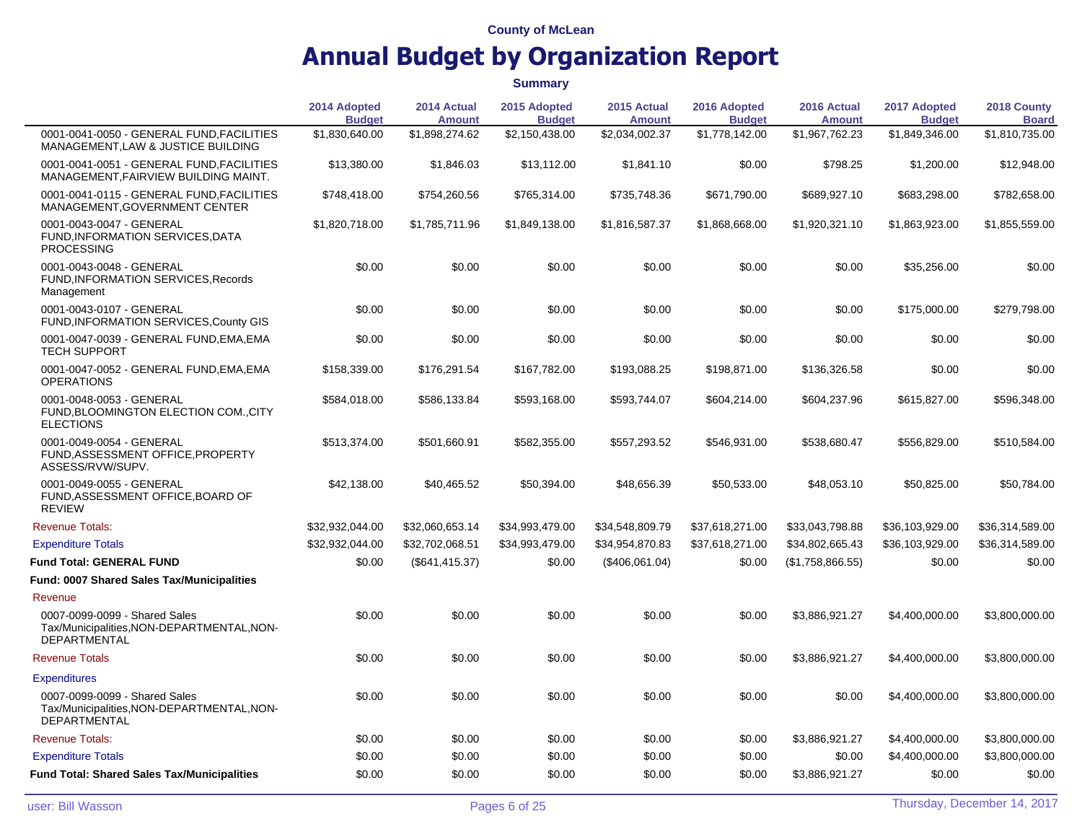**Summary**

**2014 Adopted Budget 2014 Actual Amount 2015 Adopted Budget 2015 Actual Amount 2016 Adopted Budget 2016 Actual Amount 2017 Adopted Budget 2018 County Board** 0001-0041-0050 - GENERAL FUND,FACILITIES MANAGEMENT,LAW & JUSTICE BUILDING \$1,830,640.00 \$1,898,274.62 \$2,150,438.00 \$2,034,002.37 \$1,778,142.00 \$1,967,762.23 \$1,849,346.00 \$1,810,735.00 0001-0041-0051 - GENERAL FUND,FACILITIES MANAGEMENT,FAIRVIEW BUILDING MAINT. \$13,380.00 \$1,846.03 \$13,112.00 \$1,841.10 \$0.00 \$798.25 \$1,200.00 \$12,948.00 0001-0041-0115 - GENERAL FUND,FACILITIES MANAGEMENT,GOVERNMENT CENTER \$748,418.00 \$754,260.56 \$765,314.00 \$735,748.36 \$671,790.00 \$689,927.10 \$683,298.00 \$782,658.00 0001-0043-0047 - GENERAL FUND,INFORMATION SERVICES,DATA PROCESSING \$1,820,718.00 \$1,785,711.96 \$1,849,138.00 \$1,816,587.37 \$1,868,668.00 \$1,920,321.10 \$1,863,923.00 \$1,855,559.00 0001-0043-0048 - GENERAL FUND,INFORMATION SERVICES,Records Management \$0.00 \$0.00 \$0.00 \$0.00 \$0.00 \$0.00 \$35,256.00 \$0.00 0001-0043-0107 - GENERAL FUND,INFORMATION SERVICES,County GIS \$0.00 \$0.00 \$0.00 \$0.00 \$0.00 \$0.00 \$175,000.00 \$279,798.00 0001-0047-0039 - GENERAL FUND,EMA,EMA TECH SUPPORT \$0.00 \$0.00 \$0.00 \$0.00 \$0.00 \$0.00 \$0.00 \$0.00 0001-0047-0052 - GENERAL FUND,EMA,EMA **OPERATIONS** \$158,339.00 \$176,291.54 \$167,782.00 \$193,088.25 \$198,871.00 \$136,326.58 \$0.00 \$0.00 0001-0048-0053 - GENERAL FUND,BLOOMINGTON ELECTION COM.,CITY ELECTIONS \$584,018.00 \$586,133.84 \$593,168.00 \$593,744.07 \$604,214.00 \$604,237.96 \$615,827.00 \$596,348.00 0001-0049-0054 - GENERAL FUND,ASSESSMENT OFFICE,PROPERTY ASSESS/RVW/SUPV. \$513,374.00 \$501,660.91 \$582,355.00 \$557,293.52 \$546,931.00 \$538,680.47 \$556,829.00 \$510,584.00 0001-0049-0055 - GENERAL FUND,ASSESSMENT OFFICE,BOARD OF REVIEW \$42,138.00 \$40,465.52 \$50,394.00 \$48,656.39 \$50,533.00 \$48,053.10 \$50,825.00 \$50,784.00 Revenue Totals: \$32,932,044.00 \$32,060,653.14 \$34,993,479.00 \$34,548,809.79 \$37,618,271.00 \$33,043,798.88 \$36,103,929.00 \$36,314,589.00 Expenditure Totals \$32,932,044.00 \$32,702,068.51 \$34,993,479.00 \$34,954,870.83 \$37,618,271.00 \$34,802,665.43 \$36,103,929.00 \$36,314,589.00 **Fund Total: GENERAL FUND**  $$0.00$   $$641,415.37$   $$0.00$   $$406,061.04$   $$0.00$   $$1.758,866.55$   $$0.00$   $$0.00$ **Fund: 0007 Shared Sales Tax/Municipalities** Revenue 0007-0099-0099 - Shared Sales Tax/Municipalities,NON-DEPARTMENTAL,NON-DEPARTMENTAL \$0.00 \$0.00 \$0.00 \$0.00 \$0.00 \$3,886,921.27 \$4,400,000.00 \$3,800,000.00 Revenue Totals \$0.00 \$0.00 \$0.00 \$0.00 \$3,886,921.27 \$4,400,000.00 \$3,800,000.00 **Expenditures** 0007-0099-0099 - Shared Sales Tax/Municipalities,NON-DEPARTMENTAL,NON-DEPARTMENTAL \$0.00 \$0.00 \$0.00 \$0.00 \$0.00 \$0.00 \$4,400,000.00 \$3,800,000.00 Revenue Totals: \$0.00 \$0.00 \$0.00 \$0.00 \$3,886,921.27 \$4,400,000.00 \$3,800,000.00 Expenditure Totals \$0.00 \$0.00 \$0.00 \$0.00 \$0.00 \$0.00 \$4,400,000.00 \$3,800,000.00 **Fund Total: Shared Sales Tax/Municipalities** \$0.00 \$0.00 \$0.00 \$0.00 \$0.00 \$3,886,921.27 \$0.00 \$0.00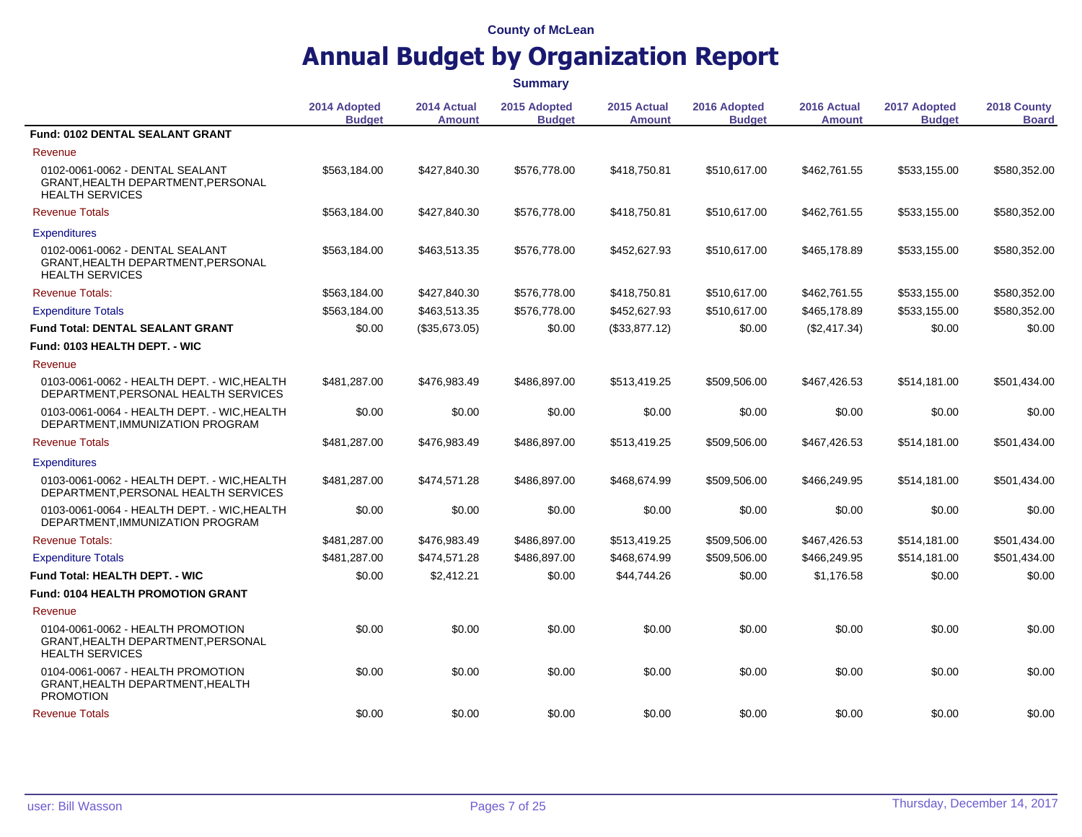## **Annual Budget by Organization Report**

**2014 Adopted Budget 2014 Actual Amount 2015 Adopted Budget 2015 Actual Amount 2016 Adopted Budget 2016 Actual Amount 2017 Adopted Budget 2018 County Board Fund: 0102 DENTAL SEALANT GRANT** Revenue 0102-0061-0062 - DENTAL SEALANT GRANT,HEALTH DEPARTMENT,PERSONAL HEALTH SERVICES \$563,184.00 \$427,840.30 \$576,778.00 \$418,750.81 \$510,617.00 \$462,761.55 \$533,155.00 \$580,352.00 Revenue Totals \$563,184.00 \$427,840.30 \$576,778.00 \$418,750.81 \$510,617.00 \$462,761.55 \$533,155.00 \$580,352.00 **Expenditures** 0102-0061-0062 - DENTAL SEALANT GRANT,HEALTH DEPARTMENT,PERSONAL HEALTH SERVICES \$563,184.00 \$463,513.35 \$576,778.00 \$452,627.93 \$510,617.00 \$465,178.89 \$533,155.00 \$580,352.00 Revenue Totals: \$563,184.00 \$427,840.30 \$576,778.00 \$418,750.81 \$510,617.00 \$462,761.55 \$533,155.00 \$580,352.00 Expenditure Totals \$563,184.00 \$463,513.35 \$576,778.00 \$452,627.93 \$510,617.00 \$465,178.89 \$533,155.00 \$580,352.00 **Fund Total: DENTAL SEALANT GRANT**  $$0.00$  (\$35,673.05) \$0.00 (\$33,877.12) \$0.00 (\$2,417.34) \$0.00 \$0.00 \$0.00 **Fund: 0103 HEALTH DEPT. - WIC** Revenue 0103-0061-0062 - HEALTH DEPT. - WIC,HEALTH DEPARTMENT,PERSONAL HEALTH SERVICES \$481,287.00 \$476,983.49 \$486,897.00 \$513,419.25 \$509,506.00 \$467,426.53 \$514,181.00 \$501,434.00 0103-0061-0064 - HEALTH DEPT. - WIC,HEALTH DEPARTMENT,IMMUNIZATION PROGRAM \$0.00 \$0.00 \$0.00 \$0.00 \$0.00 \$0.00 \$0.00 \$0.00 Revenue Totals \$481,287.00 \$476,983.49 \$486,897.00 \$513,419.25 \$509,506.00 \$467,426.53 \$514,181.00 \$501,434.00 **Expenditures** 0103-0061-0062 - HEALTH DEPT. - WIC,HEALTH DEPARTMENT,PERSONAL HEALTH SERVICES \$481,287.00 \$474,571.28 \$486,897.00 \$468,674.99 \$509,506.00 \$466,249.95 \$514,181.00 \$501,434.00 0103-0061-0064 - HEALTH DEPT. - WIC,HEALTH DEPARTMENT,IMMUNIZATION PROGRAM \$0.00 \$0.00 \$0.00 \$0.00 \$0.00 \$0.00 \$0.00 \$0.00 Revenue Totals: \$481,287.00 \$476,983.49 \$486,897.00 \$513,419.25 \$509,506.00 \$467,426.53 \$514,181.00 \$501,434.00 Expenditure Totals \$481,287.00 \$474,571.28 \$486,897.00 \$468,674.99 \$509,506.00 \$466,249.95 \$514,181.00 \$501,434.00 **Fund Total: HEALTH DEPT. - WIC**  $$0.00$   $$2,412.21$   $$0.00$   $$44,744.26$   $$0.00$   $$1,176.58$   $$0.00$   $$0.00$ **Fund: 0104 HEALTH PROMOTION GRANT** Revenue 0104-0061-0062 - HEALTH PROMOTION GRANT,HEALTH DEPARTMENT,PERSONAL HEALTH SERVICES \$0.00 \$0.00 \$0.00 \$0.00 \$0.00 \$0.00 \$0.00 \$0.00 0104-0061-0067 - HEALTH PROMOTION GRANT,HEALTH DEPARTMENT,HEALTH PROMOTION \$0.00 \$0.00 \$0.00 \$0.00 \$0.00 \$0.00 \$0.00 \$0.00 Revenue Totals \$0.00 \$0.00 \$0.00 \$0.00 \$0.00 \$0.00 \$0.00 **Summary**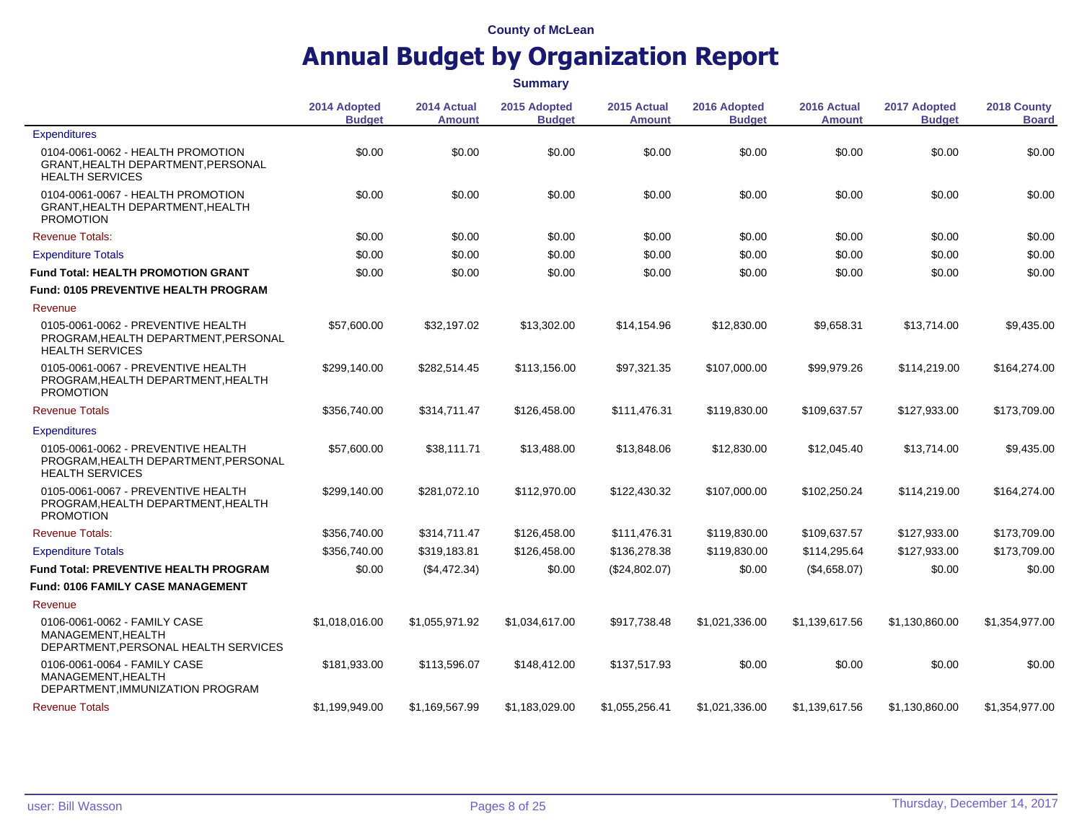|                                                                                                      |                               | <b>Summary</b>               |                               |                              |                               |                              |                               |                             |  |
|------------------------------------------------------------------------------------------------------|-------------------------------|------------------------------|-------------------------------|------------------------------|-------------------------------|------------------------------|-------------------------------|-----------------------------|--|
|                                                                                                      | 2014 Adopted<br><b>Budget</b> | 2014 Actual<br><b>Amount</b> | 2015 Adopted<br><b>Budget</b> | 2015 Actual<br><b>Amount</b> | 2016 Adopted<br><b>Budget</b> | 2016 Actual<br><b>Amount</b> | 2017 Adopted<br><b>Budget</b> | 2018 County<br><b>Board</b> |  |
| <b>Expenditures</b>                                                                                  |                               |                              |                               |                              |                               |                              |                               |                             |  |
| 0104-0061-0062 - HEALTH PROMOTION<br>GRANT, HEALTH DEPARTMENT, PERSONAL<br><b>HEALTH SERVICES</b>    | \$0.00                        | \$0.00                       | \$0.00                        | \$0.00                       | \$0.00                        | \$0.00                       | \$0.00                        | \$0.00                      |  |
| 0104-0061-0067 - HEALTH PROMOTION<br>GRANT, HEALTH DEPARTMENT, HEALTH<br><b>PROMOTION</b>            | \$0.00                        | \$0.00                       | \$0.00                        | \$0.00                       | \$0.00                        | \$0.00                       | \$0.00                        | \$0.00                      |  |
| <b>Revenue Totals:</b>                                                                               | \$0.00                        | \$0.00                       | \$0.00                        | \$0.00                       | \$0.00                        | \$0.00                       | \$0.00                        | \$0.00                      |  |
| <b>Expenditure Totals</b>                                                                            | \$0.00                        | \$0.00                       | \$0.00                        | \$0.00                       | \$0.00                        | \$0.00                       | \$0.00                        | \$0.00                      |  |
| <b>Fund Total: HEALTH PROMOTION GRANT</b>                                                            | \$0.00                        | \$0.00                       | \$0.00                        | \$0.00                       | \$0.00                        | \$0.00                       | \$0.00                        | \$0.00                      |  |
| <b>Fund: 0105 PREVENTIVE HEALTH PROGRAM</b>                                                          |                               |                              |                               |                              |                               |                              |                               |                             |  |
| Revenue                                                                                              |                               |                              |                               |                              |                               |                              |                               |                             |  |
| 0105-0061-0062 - PREVENTIVE HEALTH<br>PROGRAM, HEALTH DEPARTMENT, PERSONAL<br><b>HEALTH SERVICES</b> | \$57,600.00                   | \$32,197.02                  | \$13,302.00                   | \$14,154.96                  | \$12,830.00                   | \$9,658.31                   | \$13,714.00                   | \$9,435.00                  |  |
| 0105-0061-0067 - PREVENTIVE HEALTH<br>PROGRAM, HEALTH DEPARTMENT, HEALTH<br><b>PROMOTION</b>         | \$299.140.00                  | \$282,514.45                 | \$113,156,00                  | \$97,321.35                  | \$107,000.00                  | \$99,979.26                  | \$114,219.00                  | \$164,274.00                |  |
| <b>Revenue Totals</b>                                                                                | \$356,740.00                  | \$314,711.47                 | \$126,458.00                  | \$111,476.31                 | \$119,830.00                  | \$109,637.57                 | \$127,933.00                  | \$173,709.00                |  |
| <b>Expenditures</b>                                                                                  |                               |                              |                               |                              |                               |                              |                               |                             |  |
| 0105-0061-0062 - PREVENTIVE HEALTH<br>PROGRAM, HEALTH DEPARTMENT, PERSONAL<br><b>HEALTH SERVICES</b> | \$57,600.00                   | \$38,111.71                  | \$13,488.00                   | \$13,848.06                  | \$12,830.00                   | \$12,045.40                  | \$13,714.00                   | \$9,435.00                  |  |
| 0105-0061-0067 - PREVENTIVE HEALTH<br>PROGRAM, HEALTH DEPARTMENT, HEALTH<br><b>PROMOTION</b>         | \$299,140.00                  | \$281,072.10                 | \$112,970.00                  | \$122,430.32                 | \$107,000.00                  | \$102,250.24                 | \$114,219.00                  | \$164,274.00                |  |
| <b>Revenue Totals:</b>                                                                               | \$356,740.00                  | \$314,711.47                 | \$126,458.00                  | \$111,476.31                 | \$119,830.00                  | \$109,637.57                 | \$127,933.00                  | \$173,709.00                |  |
| <b>Expenditure Totals</b>                                                                            | \$356,740.00                  | \$319,183.81                 | \$126,458.00                  | \$136,278.38                 | \$119,830.00                  | \$114,295.64                 | \$127,933.00                  | \$173,709.00                |  |
| <b>Fund Total: PREVENTIVE HEALTH PROGRAM</b>                                                         | \$0.00                        | (\$4,472.34)                 | \$0.00                        | (\$24,802.07)                | \$0.00                        | (\$4,658.07)                 | \$0.00                        | \$0.00                      |  |
| <b>Fund: 0106 FAMILY CASE MANAGEMENT</b>                                                             |                               |                              |                               |                              |                               |                              |                               |                             |  |
| Revenue                                                                                              |                               |                              |                               |                              |                               |                              |                               |                             |  |
| 0106-0061-0062 - FAMILY CASE<br>MANAGEMENT, HEALTH<br>DEPARTMENT, PERSONAL HEALTH SERVICES           | \$1,018,016.00                | \$1,055,971.92               | \$1,034,617.00                | \$917,738.48                 | \$1,021,336.00                | \$1,139,617.56               | \$1,130,860.00                | \$1,354,977.00              |  |
| 0106-0061-0064 - FAMILY CASE<br>MANAGEMENT.HEALTH<br>DEPARTMENT, IMMUNIZATION PROGRAM                | \$181,933.00                  | \$113,596.07                 | \$148,412.00                  | \$137,517.93                 | \$0.00                        | \$0.00                       | \$0.00                        | \$0.00                      |  |
| <b>Revenue Totals</b>                                                                                | \$1,199,949.00                | \$1,169,567.99               | \$1,183,029.00                | \$1,055,256.41               | \$1,021,336.00                | \$1,139,617.56               | \$1,130,860.00                | \$1,354,977.00              |  |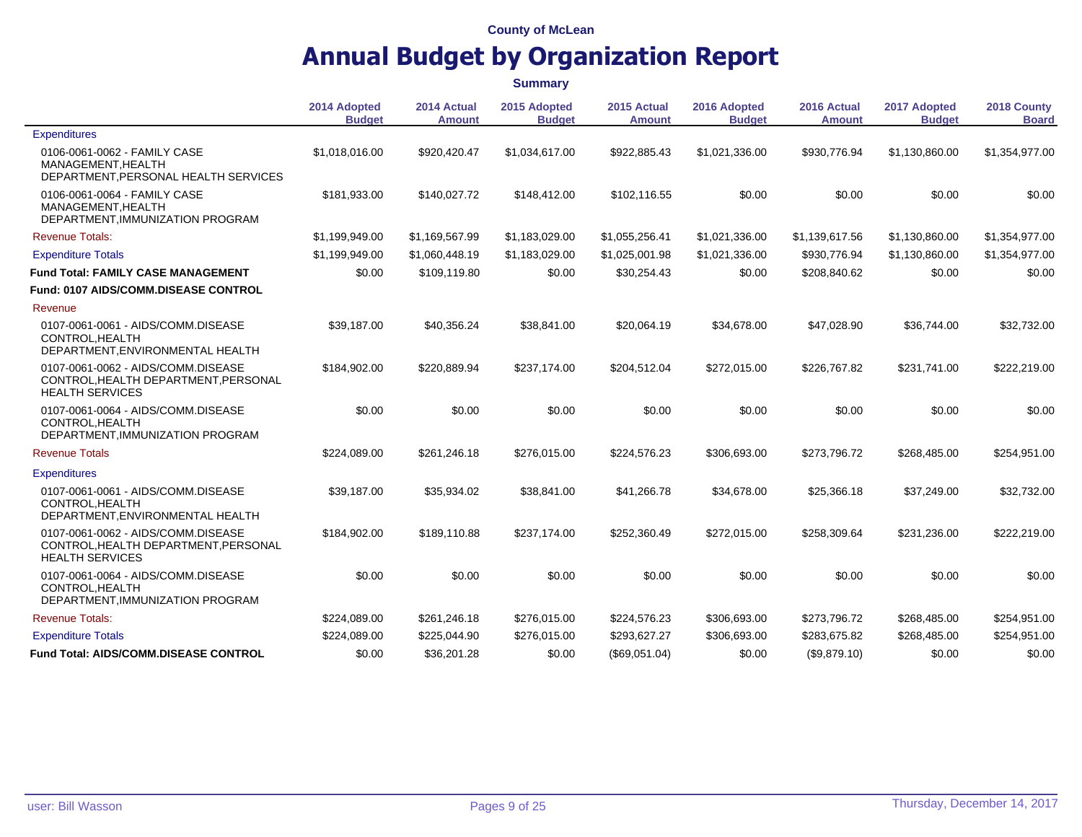## **Annual Budget by Organization Report**

**2014 Adopted Budget 2014 Actual Amount 2015 Adopted Budget 2015 Actual Amount 2016 Adopted Budget 2016 Actual Amount 2017 Adopted Budget 2018 County Board Expenditures** 0106-0061-0062 - FAMILY CASE MANAGEMENT,HEALTH DEPARTMENT,PERSONAL HEALTH SERVICES \$1,018,016.00 \$920,420.47 \$1,034,617.00 \$922,885.43 \$1,021,336.00 \$930,776.94 \$1,130,860.00 \$1,354,977.00 0106-0061-0064 - FAMILY CASE MANAGEMENT,HEALTH DEPARTMENT,IMMUNIZATION PROGRAM \$181,933.00 \$140,027.72 \$148,412.00 \$102,116.55 \$0.00 \$0.00 \$0.00 \$0.00 Revenue Totals: \$1,199,949.00 \$1,169,567.99 \$1,183,029.00 \$1,055,256.41 \$1,021,336.00 \$1,139,617.56 \$1,130,860.00 \$1,354,977.00 Expenditure Totals \$1,199,949.00 \$1,060,448.19 \$1,183,029.00 \$1,025,001.98 \$1,021,336.00 \$930,776.94 \$1,130,860.00 \$1,354,977.00 **Fund Total: FAMILY CASE MANAGEMENT** \$0.00 \$109,119.80 \$0.00 \$30,254.43 \$0.00 \$208,840.62 \$0.00 \$0.00 **Fund: 0107 AIDS/COMM.DISEASE CONTROL** Revenue 0107-0061-0061 - AIDS/COMM.DISEASE CONTROL,HEALTH DEPARTMENT,ENVIRONMENTAL HEALTH \$39,187.00 \$40,356.24 \$38,841.00 \$20,064.19 \$34,678.00 \$47,028.90 \$36,744.00 \$32,732.00 0107-0061-0062 - AIDS/COMM.DISEASE CONTROL,HEALTH DEPARTMENT,PERSONAL HEALTH SERVICES \$184,902.00 \$220,889.94 \$237,174.00 \$204,512.04 \$272,015.00 \$226,767.82 \$231,741.00 \$222,219.00 0107-0061-0064 - AIDS/COMM.DISEASE CONTROL,HEALTH DEPARTMENT,IMMUNIZATION PROGRAM \$0.00 \$0.00 \$0.00 \$0.00 \$0.00 \$0.00 \$0.00 \$0.00 Revenue Totals \$224,089.00 \$261,246.18 \$276,015.00 \$224,576.23 \$306,693.00 \$273,796.72 \$268,485.00 \$254,951.00 **Expenditures** 0107-0061-0061 - AIDS/COMM.DISEASE CONTROL,HEALTH DEPARTMENT,ENVIRONMENTAL HEALTH \$39,187.00 \$35,934.02 \$38,841.00 \$41,266.78 \$34,678.00 \$25,366.18 \$37,249.00 \$32,732.00 0107-0061-0062 - AIDS/COMM.DISEASE CONTROL,HEALTH DEPARTMENT,PERSONAL HEALTH SERVICES \$184,902.00 \$189,110.88 \$237,174.00 \$252,360.49 \$272,015.00 \$258,309.64 \$231,236.00 \$222,219.00 0107-0061-0064 - AIDS/COMM.DISEASE CONTROL,HEALTH DEPARTMENT,IMMUNIZATION PROGRAM \$0.00 \$0.00 \$0.00 \$0.00 \$0.00 \$0.00 \$0.00 \$0.00 Revenue Totals: \$224,089.00 \$261,246.18 \$276,015.00 \$224,576.23 \$306,693.00 \$273,796.72 \$268,485.00 \$254,951.00 Expenditure Totals \$224,089.00 \$225,044.90 \$276,015.00 \$293,627.27 \$306,693.00 \$283,675.82 \$268,485.00 \$254,951.00 **Fund Total: AIDS/COMM.DISEASE CONTROL** \$0.00 \$36,201.28 \$0.00 (\$69,051.04) \$0.00 (\$9,879.10) \$0.00 \$0.00 \$0.00 **Summary**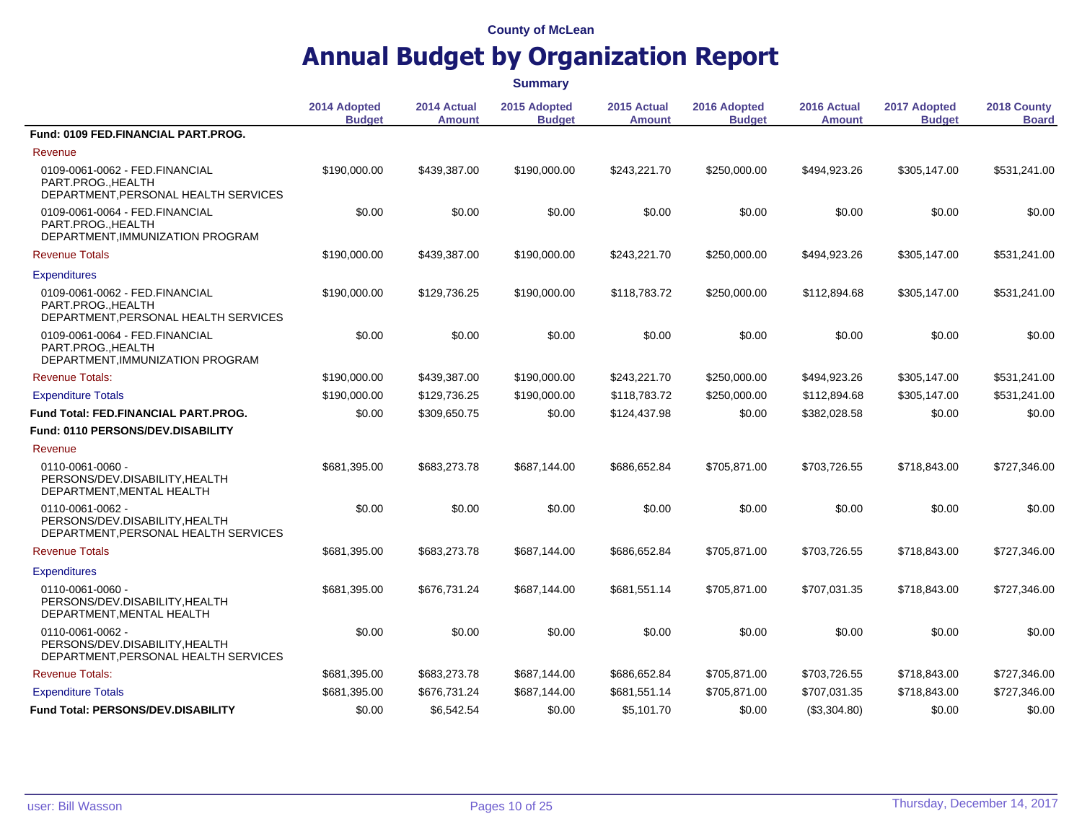|                                                                                            |                               |                              | <b>Summary</b>                |                       |                               |                       |                               |                             |
|--------------------------------------------------------------------------------------------|-------------------------------|------------------------------|-------------------------------|-----------------------|-------------------------------|-----------------------|-------------------------------|-----------------------------|
|                                                                                            | 2014 Adopted<br><b>Budget</b> | 2014 Actual<br><b>Amount</b> | 2015 Adopted<br><b>Budget</b> | 2015 Actual<br>Amount | 2016 Adopted<br><b>Budget</b> | 2016 Actual<br>Amount | 2017 Adopted<br><b>Budget</b> | 2018 County<br><b>Board</b> |
| Fund: 0109 FED.FINANCIAL PART.PROG.                                                        |                               |                              |                               |                       |                               |                       |                               |                             |
| Revenue                                                                                    |                               |                              |                               |                       |                               |                       |                               |                             |
| 0109-0061-0062 - FED.FINANCIAL<br>PART.PROGHEALTH<br>DEPARTMENT, PERSONAL HEALTH SERVICES  | \$190,000.00                  | \$439,387.00                 | \$190,000.00                  | \$243,221.70          | \$250,000.00                  | \$494,923.26          | \$305,147.00                  | \$531,241.00                |
| 0109-0061-0064 - FED.FINANCIAL<br>PART.PROG., HEALTH<br>DEPARTMENT, IMMUNIZATION PROGRAM   | \$0.00                        | \$0.00                       | \$0.00                        | \$0.00                | \$0.00                        | \$0.00                | \$0.00                        | \$0.00                      |
| <b>Revenue Totals</b>                                                                      | \$190,000.00                  | \$439,387.00                 | \$190,000.00                  | \$243,221.70          | \$250,000.00                  | \$494,923.26          | \$305,147.00                  | \$531,241.00                |
| <b>Expenditures</b>                                                                        |                               |                              |                               |                       |                               |                       |                               |                             |
| 0109-0061-0062 - FED.FINANCIAL<br>PART.PROGHEALTH<br>DEPARTMENT, PERSONAL HEALTH SERVICES  | \$190,000.00                  | \$129,736.25                 | \$190,000.00                  | \$118,783.72          | \$250,000.00                  | \$112,894.68          | \$305,147.00                  | \$531,241.00                |
| 0109-0061-0064 - FED.FINANCIAL<br>PART.PROG., HEALTH<br>DEPARTMENT, IMMUNIZATION PROGRAM   | \$0.00                        | \$0.00                       | \$0.00                        | \$0.00                | \$0.00                        | \$0.00                | \$0.00                        | \$0.00                      |
| <b>Revenue Totals:</b>                                                                     | \$190,000.00                  | \$439,387.00                 | \$190,000.00                  | \$243,221.70          | \$250,000.00                  | \$494,923.26          | \$305,147.00                  | \$531,241.00                |
| <b>Expenditure Totals</b>                                                                  | \$190,000.00                  | \$129,736.25                 | \$190,000.00                  | \$118,783.72          | \$250,000.00                  | \$112,894.68          | \$305,147.00                  | \$531,241.00                |
| <b>Fund Total: FED.FINANCIAL PART.PROG.</b>                                                | \$0.00                        | \$309,650.75                 | \$0.00                        | \$124,437.98          | \$0.00                        | \$382,028.58          | \$0.00                        | \$0.00                      |
| <b>Fund: 0110 PERSONS/DEV.DISABILITY</b>                                                   |                               |                              |                               |                       |                               |                       |                               |                             |
| Revenue                                                                                    |                               |                              |                               |                       |                               |                       |                               |                             |
| 0110-0061-0060 -<br>PERSONS/DEV.DISABILITY, HEALTH<br>DEPARTMENT, MENTAL HEALTH            | \$681,395.00                  | \$683,273.78                 | \$687,144.00                  | \$686,652.84          | \$705,871.00                  | \$703,726.55          | \$718,843.00                  | \$727,346.00                |
| 0110-0061-0062 -<br>PERSONS/DEV.DISABILITY, HEALTH<br>DEPARTMENT, PERSONAL HEALTH SERVICES | \$0.00                        | \$0.00                       | \$0.00                        | \$0.00                | \$0.00                        | \$0.00                | \$0.00                        | \$0.00                      |
| <b>Revenue Totals</b>                                                                      | \$681,395.00                  | \$683,273.78                 | \$687,144.00                  | \$686,652.84          | \$705,871.00                  | \$703,726.55          | \$718,843.00                  | \$727,346.00                |
| <b>Expenditures</b>                                                                        |                               |                              |                               |                       |                               |                       |                               |                             |
| 0110-0061-0060 -<br>PERSONS/DEV.DISABILITY, HEALTH<br>DEPARTMENT, MENTAL HEALTH            | \$681,395.00                  | \$676,731.24                 | \$687,144.00                  | \$681,551.14          | \$705,871.00                  | \$707,031.35          | \$718,843.00                  | \$727,346.00                |
| 0110-0061-0062 -<br>PERSONS/DEV.DISABILITY, HEALTH<br>DEPARTMENT, PERSONAL HEALTH SERVICES | \$0.00                        | \$0.00                       | \$0.00                        | \$0.00                | \$0.00                        | \$0.00                | \$0.00                        | \$0.00                      |
| <b>Revenue Totals:</b>                                                                     | \$681,395.00                  | \$683,273.78                 | \$687,144.00                  | \$686,652.84          | \$705,871.00                  | \$703,726.55          | \$718,843.00                  | \$727,346.00                |
| <b>Expenditure Totals</b>                                                                  | \$681,395.00                  | \$676,731.24                 | \$687,144.00                  | \$681,551.14          | \$705,871.00                  | \$707,031.35          | \$718,843.00                  | \$727,346.00                |
| Fund Total: PERSONS/DEV.DISABILITY                                                         | \$0.00                        | \$6,542.54                   | \$0.00                        | \$5,101.70            | \$0.00                        | (S3,304.80)           | \$0.00                        | \$0.00                      |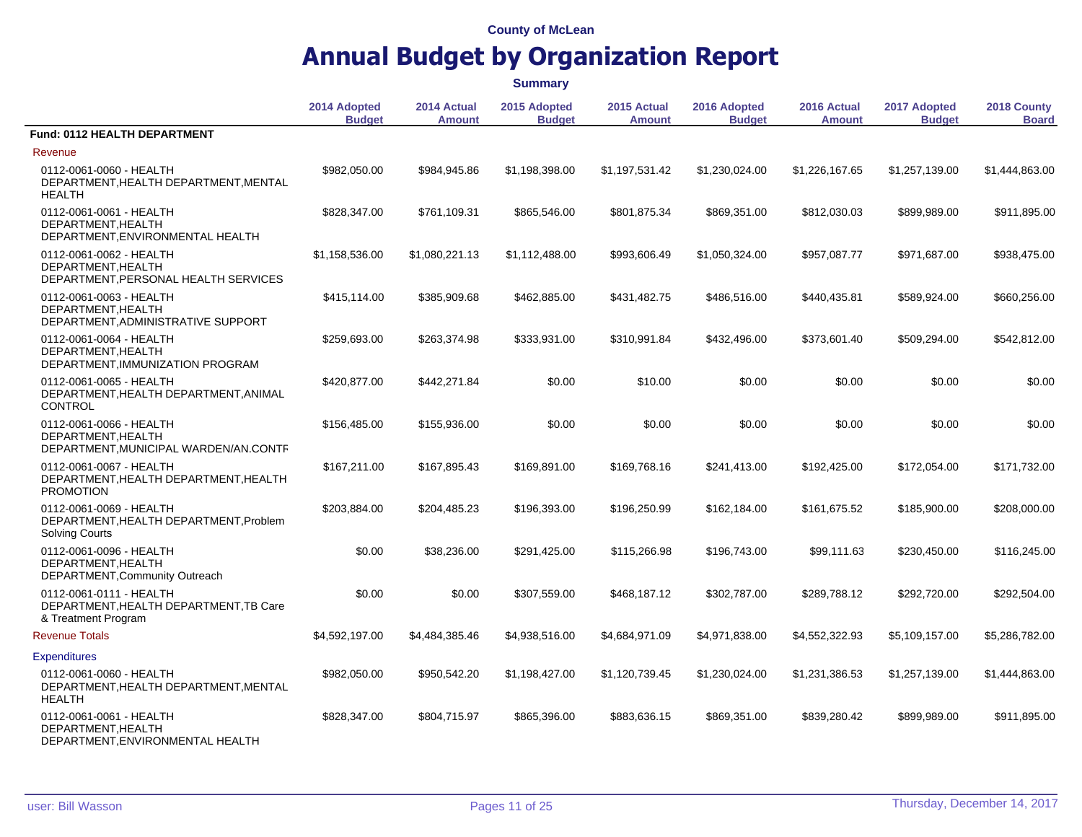## **Annual Budget by Organization Report**

**2014 Adopted Budget 2014 Actual Amount 2015 Adopted Budget 2015 Actual Amount 2016 Adopted Budget 2016 Actual Amount 2017 Adopted Budget 2018 County Board Fund: 0112 HEALTH DEPARTMENT** Revenue 0112-0061-0060 - HEALTH DEPARTMENT,HEALTH DEPARTMENT,MENTAL HEALTH \$982,050.00 \$984,945.86 \$1,198,398.00 \$1,197,531.42 \$1,230,024.00 \$1,226,167.65 \$1,257,139.00 \$1,444,863.00 0112-0061-0061 - HEALTH DEPARTMENT,HEALTH DEPARTMENT,ENVIRONMENTAL HEALTH \$828,347.00 \$761,109.31 \$865,546.00 \$801,875.34 \$869,351.00 \$812,030.03 \$899,989.00 \$911,895.00 0112-0061-0062 - HEALTH DEPARTMENT,HEALTH DEPARTMENT,PERSONAL HEALTH SERVICES \$1,158,536.00 \$1,080,221.13 \$1,112,488.00 \$993,606.49 \$1,050,324.00 \$957,087.77 \$971,687.00 \$938,475.00 0112-0061-0063 - HEALTH DEPARTMENT,HEALTH DEPARTMENT,ADMINISTRATIVE SUPPORT \$415,114.00 \$385,909.68 \$462,885.00 \$431,482.75 \$486,516.00 \$440,435.81 \$589,924.00 \$660,256.00 0112-0061-0064 - HEALTH DEPARTMENT,HEALTH DEPARTMENT,IMMUNIZATION PROGRAM \$259,693.00 \$263,374.98 \$333,931.00 \$310,991.84 \$432,496.00 \$373,601.40 \$509,294.00 \$542,812.00 0112-0061-0065 - HEALTH DEPARTMENT,HEALTH DEPARTMENT,ANIMAL **CONTROL** \$420,877.00 \$442,271.84 \$0.00 \$10.00 \$0.00 \$0.00 \$0.00 \$0.00 0112-0061-0066 - HEALTH DEPARTMENT,HEALTH DEPARTMENT,MUNICIPAL WARDEN/AN.CONTR \$156,485.00 \$155,936.00 \$0.00 \$0.00 \$0.00 \$0.00 \$0.00 \$0.00 0112-0061-0067 - HEALTH DEPARTMENT,HEALTH DEPARTMENT,HEALTH PROMOTION \$167,211.00 \$167,895.43 \$169,891.00 \$169,768.16 \$241,413.00 \$192,425.00 \$172,054.00 \$171,732.00 0112-0061-0069 - HEALTH DEPARTMENT,HEALTH DEPARTMENT,Problem Solving Courts \$203,884.00 \$204,485.23 \$196,393.00 \$196,250.99 \$162,184.00 \$161,675.52 \$185,900.00 \$208,000.00 0112-0061-0096 - HEALTH DEPARTMENT,HEALTH DEPARTMENT,Community Outreach \$0.00 \$38,236.00 \$291,425.00 \$115,266.98 \$196,743.00 \$99,111.63 \$230,450.00 \$116,245.00 0112-0061-0111 - HEALTH DEPARTMENT,HEALTH DEPARTMENT,TB Care & Treatment Program \$0.00 \$0.00 \$307,559.00 \$468,187.12 \$302,787.00 \$289,788.12 \$292,720.00 \$292,504.00 Revenue Totals \$4,592,197.00 \$4,484,385.46 \$4,938,516.00 \$4,684,971.09 \$4,971,838.00 \$4,552,322.93 \$5,109,157.00 \$5,286,782.00 **Expenditures** 0112-0061-0060 - HEALTH DEPARTMENT,HEALTH DEPARTMENT,MENTAL HEALTH \$982,050.00 \$950,542.20 \$1,198,427.00 \$1,120,739.45 \$1,230,024.00 \$1,231,386.53 \$1,257,139.00 \$1,444,863.00 0112-0061-0061 - HEALTH DEPARTMENT,HEALTH DEPARTMENT,ENVIRONMENTAL HEALTH \$828,347.00 \$804,715.97 \$865,396.00 \$883,636.15 \$869,351.00 \$839,280.42 \$899,989.00 \$911,895.00 **Summary**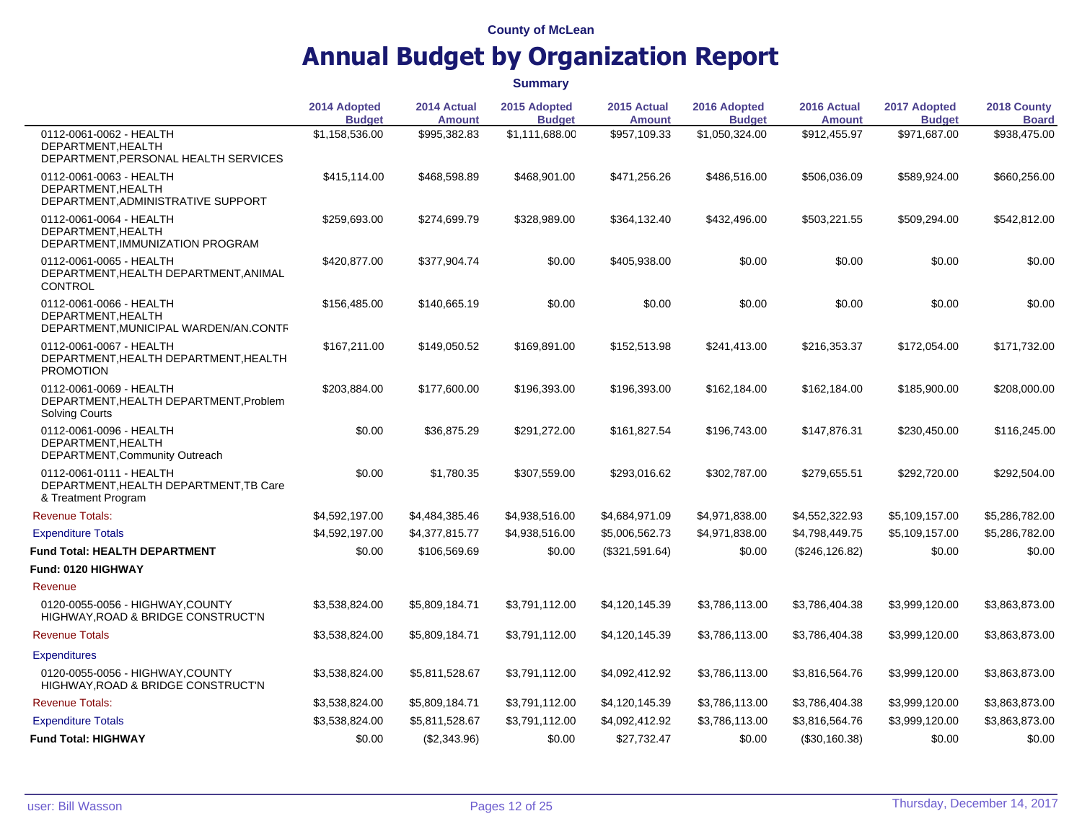|                                                                                            | 2014 Adopted<br><b>Budget</b> | 2014 Actual<br><b>Amount</b> | 2015 Adopted<br><b>Budget</b> | 2015 Actual<br><b>Amount</b> | 2016 Adopted<br><b>Budget</b> | 2016 Actual<br><b>Amount</b> | 2017 Adopted<br><b>Budget</b> | 2018 County<br><b>Board</b> |
|--------------------------------------------------------------------------------------------|-------------------------------|------------------------------|-------------------------------|------------------------------|-------------------------------|------------------------------|-------------------------------|-----------------------------|
| 0112-0061-0062 - HEALTH<br>DEPARTMENT.HEALTH<br>DEPARTMENT, PERSONAL HEALTH SERVICES       | \$1,158,536.00                | \$995,382.83                 | \$1,111,688.00                | \$957,109.33                 | \$1,050,324.00                | \$912,455.97                 | \$971,687.00                  | \$938,475.00                |
| 0112-0061-0063 - HEALTH<br>DEPARTMENT.HEALTH<br>DEPARTMENT, ADMINISTRATIVE SUPPORT         | \$415,114.00                  | \$468,598.89                 | \$468,901.00                  | \$471,256.26                 | \$486,516.00                  | \$506,036.09                 | \$589,924.00                  | \$660,256.00                |
| 0112-0061-0064 - HEALTH<br>DEPARTMENT, HEALTH<br>DEPARTMENT, IMMUNIZATION PROGRAM          | \$259,693.00                  | \$274,699.79                 | \$328,989.00                  | \$364,132.40                 | \$432,496.00                  | \$503,221.55                 | \$509,294.00                  | \$542,812.00                |
| 0112-0061-0065 - HEALTH<br>DEPARTMENT, HEALTH DEPARTMENT, ANIMAL<br><b>CONTROL</b>         | \$420,877.00                  | \$377,904.74                 | \$0.00                        | \$405,938.00                 | \$0.00                        | \$0.00                       | \$0.00                        | \$0.00                      |
| 0112-0061-0066 - HEALTH<br>DEPARTMENT, HEALTH<br>DEPARTMENT, MUNICIPAL WARDEN/AN.CONTF     | \$156,485.00                  | \$140,665.19                 | \$0.00                        | \$0.00                       | \$0.00                        | \$0.00                       | \$0.00                        | \$0.00                      |
| 0112-0061-0067 - HEALTH<br>DEPARTMENT, HEALTH DEPARTMENT, HEALTH<br><b>PROMOTION</b>       | \$167,211.00                  | \$149,050.52                 | \$169,891.00                  | \$152,513.98                 | \$241,413.00                  | \$216,353.37                 | \$172,054.00                  | \$171,732.00                |
| 0112-0061-0069 - HEALTH<br>DEPARTMENT, HEALTH DEPARTMENT, Problem<br><b>Solving Courts</b> | \$203,884.00                  | \$177,600.00                 | \$196,393.00                  | \$196,393.00                 | \$162,184.00                  | \$162,184.00                 | \$185,900.00                  | \$208,000.00                |
| 0112-0061-0096 - HEALTH<br>DEPARTMENT, HEALTH<br>DEPARTMENT, Community Outreach            | \$0.00                        | \$36,875.29                  | \$291,272.00                  | \$161,827.54                 | \$196,743.00                  | \$147,876.31                 | \$230,450.00                  | \$116,245.00                |
| 0112-0061-0111 - HEALTH<br>DEPARTMENT, HEALTH DEPARTMENT, TB Care<br>& Treatment Program   | \$0.00                        | \$1,780.35                   | \$307,559.00                  | \$293,016.62                 | \$302,787.00                  | \$279,655.51                 | \$292,720.00                  | \$292,504.00                |
| <b>Revenue Totals:</b>                                                                     | \$4,592,197.00                | \$4,484,385.46               | \$4,938,516.00                | \$4,684,971.09               | \$4,971,838.00                | \$4,552,322.93               | \$5,109,157.00                | \$5,286,782.00              |
| <b>Expenditure Totals</b>                                                                  | \$4,592,197.00                | \$4,377,815.77               | \$4,938,516.00                | \$5,006,562.73               | \$4,971,838.00                | \$4,798,449.75               | \$5,109,157.00                | \$5,286,782.00              |
| <b>Fund Total: HEALTH DEPARTMENT</b>                                                       | \$0.00                        | \$106,569.69                 | \$0.00                        | (\$321,591.64)               | \$0.00                        | (\$246, 126.82)              | \$0.00                        | \$0.00                      |
| <b>Fund: 0120 HIGHWAY</b>                                                                  |                               |                              |                               |                              |                               |                              |                               |                             |
| Revenue                                                                                    |                               |                              |                               |                              |                               |                              |                               |                             |
| 0120-0055-0056 - HIGHWAY, COUNTY<br>HIGHWAY, ROAD & BRIDGE CONSTRUCT'N                     | \$3,538,824.00                | \$5,809,184.71               | \$3,791,112.00                | \$4,120,145.39               | \$3,786,113.00                | \$3,786,404.38               | \$3,999,120.00                | \$3,863,873.00              |
| <b>Revenue Totals</b>                                                                      | \$3,538,824.00                | \$5,809,184.71               | \$3,791,112.00                | \$4,120,145.39               | \$3,786,113.00                | \$3,786,404.38               | \$3,999,120.00                | \$3,863,873.00              |
| <b>Expenditures</b>                                                                        |                               |                              |                               |                              |                               |                              |                               |                             |
| 0120-0055-0056 - HIGHWAY, COUNTY<br>HIGHWAY, ROAD & BRIDGE CONSTRUCT'N                     | \$3,538,824.00                | \$5,811,528.67               | \$3,791,112.00                | \$4,092,412.92               | \$3,786,113.00                | \$3,816,564.76               | \$3,999,120.00                | \$3,863,873.00              |
| <b>Revenue Totals:</b>                                                                     | \$3,538,824.00                | \$5,809,184.71               | \$3,791,112.00                | \$4,120,145.39               | \$3,786,113.00                | \$3,786,404.38               | \$3,999,120.00                | \$3,863,873.00              |
| <b>Expenditure Totals</b>                                                                  | \$3,538,824.00                | \$5,811,528.67               | \$3,791,112.00                | \$4,092,412.92               | \$3,786,113.00                | \$3,816,564.76               | \$3,999,120.00                | \$3,863,873.00              |
| <b>Fund Total: HIGHWAY</b>                                                                 | \$0.00                        | (\$2,343.96)                 | \$0.00                        | \$27,732.47                  | \$0.00                        | (\$30,160.38)                | \$0.00                        | \$0.00                      |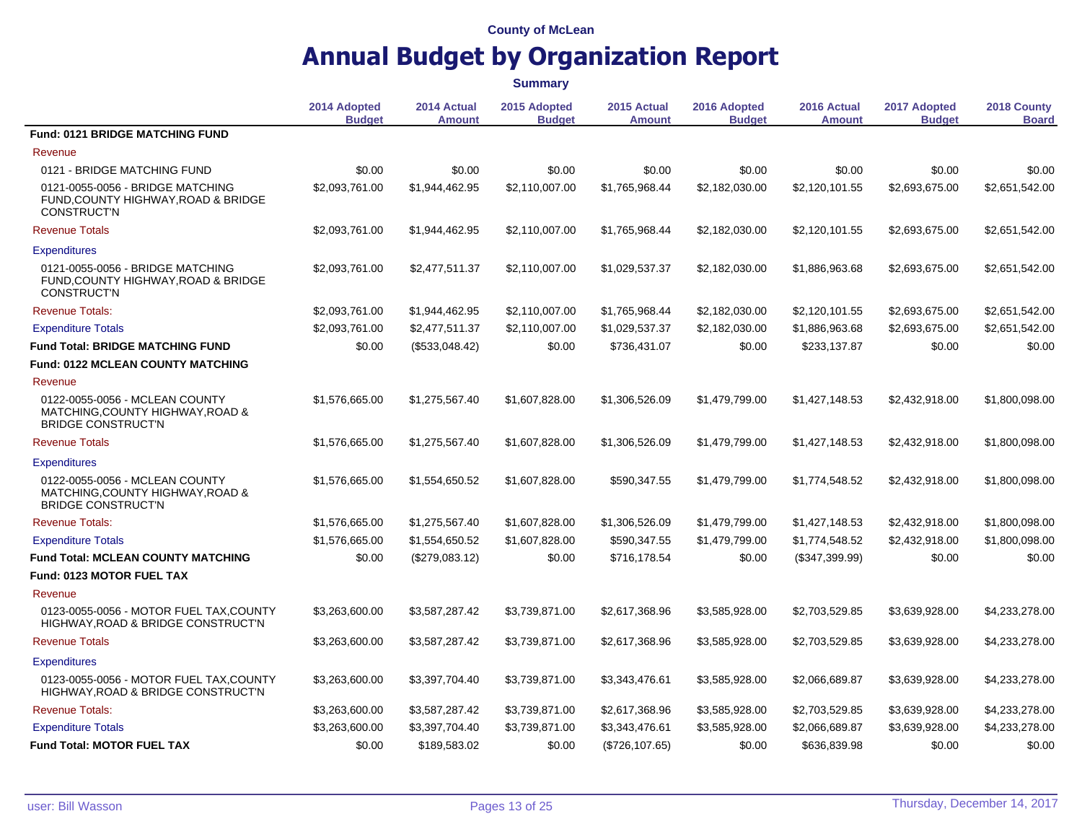|                                                                                                 | <b>Summary</b>                |                              |                               |                              |                               |                              |                               |                             |
|-------------------------------------------------------------------------------------------------|-------------------------------|------------------------------|-------------------------------|------------------------------|-------------------------------|------------------------------|-------------------------------|-----------------------------|
|                                                                                                 | 2014 Adopted<br><b>Budget</b> | 2014 Actual<br><b>Amount</b> | 2015 Adopted<br><b>Budget</b> | 2015 Actual<br><b>Amount</b> | 2016 Adopted<br><b>Budget</b> | 2016 Actual<br><b>Amount</b> | 2017 Adopted<br><b>Budget</b> | 2018 County<br><b>Board</b> |
| <b>Fund: 0121 BRIDGE MATCHING FUND</b>                                                          |                               |                              |                               |                              |                               |                              |                               |                             |
| Revenue                                                                                         |                               |                              |                               |                              |                               |                              |                               |                             |
| 0121 - BRIDGE MATCHING FUND                                                                     | \$0.00                        | \$0.00                       | \$0.00                        | \$0.00                       | \$0.00                        | \$0.00                       | \$0.00                        | \$0.00                      |
| 0121-0055-0056 - BRIDGE MATCHING<br>FUND, COUNTY HIGHWAY, ROAD & BRIDGE<br><b>CONSTRUCT'N</b>   | \$2,093,761.00                | \$1,944,462.95               | \$2,110,007.00                | \$1,765,968.44               | \$2,182,030.00                | \$2,120,101.55               | \$2,693,675.00                | \$2,651,542.00              |
| <b>Revenue Totals</b>                                                                           | \$2,093,761.00                | \$1,944,462.95               | \$2,110,007.00                | \$1,765,968.44               | \$2,182,030.00                | \$2,120,101.55               | \$2,693,675.00                | \$2,651,542.00              |
| <b>Expenditures</b>                                                                             |                               |                              |                               |                              |                               |                              |                               |                             |
| 0121-0055-0056 - BRIDGE MATCHING<br>FUND, COUNTY HIGHWAY, ROAD & BRIDGE<br><b>CONSTRUCT'N</b>   | \$2,093,761.00                | \$2,477,511.37               | \$2,110,007.00                | \$1,029,537.37               | \$2,182,030.00                | \$1,886,963.68               | \$2,693,675.00                | \$2,651,542.00              |
| <b>Revenue Totals:</b>                                                                          | \$2,093,761.00                | \$1,944,462.95               | \$2,110,007.00                | \$1,765,968.44               | \$2,182,030.00                | \$2,120,101.55               | \$2,693,675.00                | \$2,651,542.00              |
| <b>Expenditure Totals</b>                                                                       | \$2,093,761.00                | \$2,477,511.37               | \$2,110,007.00                | \$1,029,537.37               | \$2,182,030.00                | \$1,886,963.68               | \$2,693,675.00                | \$2,651,542.00              |
| <b>Fund Total: BRIDGE MATCHING FUND</b>                                                         | \$0.00                        | (\$533,048.42)               | \$0.00                        | \$736,431.07                 | \$0.00                        | \$233,137.87                 | \$0.00                        | \$0.00                      |
| <b>Fund: 0122 MCLEAN COUNTY MATCHING</b>                                                        |                               |                              |                               |                              |                               |                              |                               |                             |
| Revenue                                                                                         |                               |                              |                               |                              |                               |                              |                               |                             |
| 0122-0055-0056 - MCLEAN COUNTY<br>MATCHING, COUNTY HIGHWAY, ROAD &<br><b>BRIDGE CONSTRUCT'N</b> | \$1,576,665.00                | \$1,275,567.40               | \$1,607,828.00                | \$1,306,526.09               | \$1,479,799.00                | \$1,427,148.53               | \$2,432,918.00                | \$1,800,098.00              |
| <b>Revenue Totals</b>                                                                           | \$1,576,665.00                | \$1,275,567.40               | \$1,607,828.00                | \$1,306,526.09               | \$1,479,799.00                | \$1,427,148.53               | \$2,432,918.00                | \$1,800,098.00              |
| <b>Expenditures</b>                                                                             |                               |                              |                               |                              |                               |                              |                               |                             |
| 0122-0055-0056 - MCLEAN COUNTY<br>MATCHING, COUNTY HIGHWAY, ROAD &<br><b>BRIDGE CONSTRUCT'N</b> | \$1,576,665.00                | \$1,554,650.52               | \$1,607,828.00                | \$590,347.55                 | \$1,479,799.00                | \$1,774,548.52               | \$2,432,918.00                | \$1,800,098.00              |
| <b>Revenue Totals:</b>                                                                          | \$1,576,665.00                | \$1,275,567.40               | \$1,607,828.00                | \$1,306,526.09               | \$1,479,799.00                | \$1,427,148.53               | \$2,432,918.00                | \$1,800,098.00              |
| <b>Expenditure Totals</b>                                                                       | \$1,576,665.00                | \$1,554,650.52               | \$1,607,828.00                | \$590,347.55                 | \$1,479,799.00                | \$1,774,548.52               | \$2,432,918.00                | \$1,800,098.00              |
| <b>Fund Total: MCLEAN COUNTY MATCHING</b>                                                       | \$0.00                        | (\$279,083.12)               | \$0.00                        | \$716,178.54                 | \$0.00                        | (\$347,399.99)               | \$0.00                        | \$0.00                      |
| <b>Fund: 0123 MOTOR FUEL TAX</b>                                                                |                               |                              |                               |                              |                               |                              |                               |                             |
| Revenue                                                                                         |                               |                              |                               |                              |                               |                              |                               |                             |
| 0123-0055-0056 - MOTOR FUEL TAX, COUNTY<br>HIGHWAY, ROAD & BRIDGE CONSTRUCT'N                   | \$3,263,600.00                | \$3,587,287.42               | \$3,739,871.00                | \$2,617,368.96               | \$3,585,928.00                | \$2,703,529.85               | \$3,639,928.00                | \$4,233,278.00              |
| <b>Revenue Totals</b>                                                                           | \$3,263,600.00                | \$3,587,287.42               | \$3,739,871.00                | \$2,617,368.96               | \$3,585,928.00                | \$2,703,529.85               | \$3,639,928.00                | \$4,233,278.00              |
| <b>Expenditures</b>                                                                             |                               |                              |                               |                              |                               |                              |                               |                             |
| 0123-0055-0056 - MOTOR FUEL TAX, COUNTY<br>HIGHWAY, ROAD & BRIDGE CONSTRUCT'N                   | \$3,263,600.00                | \$3,397,704.40               | \$3,739,871.00                | \$3,343,476.61               | \$3,585,928.00                | \$2,066,689.87               | \$3,639,928.00                | \$4,233,278.00              |
| <b>Revenue Totals:</b>                                                                          | \$3,263,600.00                | \$3,587,287.42               | \$3,739,871.00                | \$2,617,368.96               | \$3,585,928.00                | \$2,703,529.85               | \$3,639,928.00                | \$4,233,278.00              |
| <b>Expenditure Totals</b>                                                                       | \$3,263,600.00                | \$3,397,704.40               | \$3,739,871.00                | \$3,343,476.61               | \$3,585,928.00                | \$2,066,689.87               | \$3,639,928.00                | \$4,233,278.00              |
| <b>Fund Total: MOTOR FUEL TAX</b>                                                               | \$0.00                        | \$189.583.02                 | \$0.00                        | (\$726, 107.65)              | \$0.00                        | \$636,839.98                 | \$0.00                        | \$0.00                      |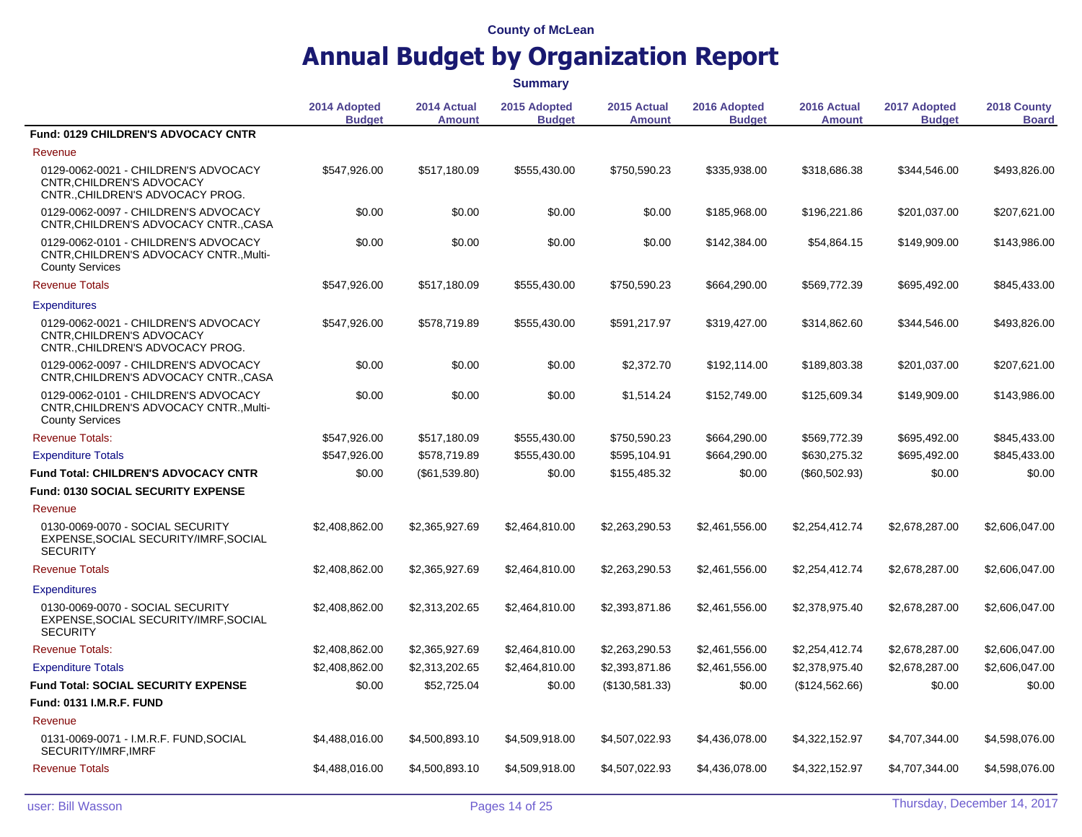|                                                                                                           |                               |                              | <b>Summary</b>                |                              |                               |                              |                               |                             |  |  |  |  |
|-----------------------------------------------------------------------------------------------------------|-------------------------------|------------------------------|-------------------------------|------------------------------|-------------------------------|------------------------------|-------------------------------|-----------------------------|--|--|--|--|
|                                                                                                           | 2014 Adopted<br><b>Budget</b> | 2014 Actual<br><b>Amount</b> | 2015 Adopted<br><b>Budget</b> | 2015 Actual<br><b>Amount</b> | 2016 Adopted<br><b>Budget</b> | 2016 Actual<br><b>Amount</b> | 2017 Adopted<br><b>Budget</b> | 2018 County<br><b>Board</b> |  |  |  |  |
| <b>Fund: 0129 CHILDREN'S ADVOCACY CNTR</b>                                                                |                               |                              |                               |                              |                               |                              |                               |                             |  |  |  |  |
| Revenue                                                                                                   |                               |                              |                               |                              |                               |                              |                               |                             |  |  |  |  |
| 0129-0062-0021 - CHILDREN'S ADVOCACY<br>CNTR, CHILDREN'S ADVOCACY<br>CNTR., CHILDREN'S ADVOCACY PROG.     | \$547.926.00                  | \$517.180.09                 | \$555.430.00                  | \$750.590.23                 | \$335,938,00                  | \$318,686.38                 | \$344,546.00                  | \$493,826.00                |  |  |  |  |
| 0129-0062-0097 - CHILDREN'S ADVOCACY<br>CNTR, CHILDREN'S ADVOCACY CNTR., CASA                             | \$0.00                        | \$0.00                       | \$0.00                        | \$0.00                       | \$185,968.00                  | \$196,221.86                 | \$201,037.00                  | \$207,621.00                |  |  |  |  |
| 0129-0062-0101 - CHILDREN'S ADVOCACY<br>CNTR.CHILDREN'S ADVOCACY CNTRMulti-<br><b>County Services</b>     | \$0.00                        | \$0.00                       | \$0.00                        | \$0.00                       | \$142,384.00                  | \$54,864.15                  | \$149,909.00                  | \$143,986.00                |  |  |  |  |
| <b>Revenue Totals</b>                                                                                     | \$547,926.00                  | \$517,180.09                 | \$555,430.00                  | \$750,590.23                 | \$664,290.00                  | \$569,772.39                 | \$695,492.00                  | \$845,433.00                |  |  |  |  |
| <b>Expenditures</b>                                                                                       |                               |                              |                               |                              |                               |                              |                               |                             |  |  |  |  |
| 0129-0062-0021 - CHILDREN'S ADVOCACY<br>CNTR.CHILDREN'S ADVOCACY<br>CNTR., CHILDREN'S ADVOCACY PROG.      | \$547,926.00                  | \$578,719.89                 | \$555,430.00                  | \$591,217.97                 | \$319,427.00                  | \$314,862.60                 | \$344,546.00                  | \$493,826.00                |  |  |  |  |
| 0129-0062-0097 - CHILDREN'S ADVOCACY<br>CNTR, CHILDREN'S ADVOCACY CNTR., CASA                             | \$0.00                        | \$0.00                       | \$0.00                        | \$2,372.70                   | \$192,114.00                  | \$189,803.38                 | \$201,037.00                  | \$207,621.00                |  |  |  |  |
| 0129-0062-0101 - CHILDREN'S ADVOCACY<br>CNTR, CHILDREN'S ADVOCACY CNTR., Multi-<br><b>County Services</b> | \$0.00                        | \$0.00                       | \$0.00                        | \$1,514.24                   | \$152,749.00                  | \$125,609.34                 | \$149,909.00                  | \$143,986.00                |  |  |  |  |
| <b>Revenue Totals:</b>                                                                                    | \$547,926.00                  | \$517,180.09                 | \$555,430.00                  | \$750,590.23                 | \$664,290.00                  | \$569,772.39                 | \$695,492.00                  | \$845,433.00                |  |  |  |  |
| <b>Expenditure Totals</b>                                                                                 | \$547,926.00                  | \$578,719.89                 | \$555,430.00                  | \$595,104.91                 | \$664,290.00                  | \$630,275.32                 | \$695,492.00                  | \$845,433.00                |  |  |  |  |
| Fund Total: CHILDREN'S ADVOCACY CNTR                                                                      | \$0.00                        | (\$61,539.80)                | \$0.00                        | \$155,485.32                 | \$0.00                        | (\$60,502.93)                | \$0.00                        | \$0.00                      |  |  |  |  |
| <b>Fund: 0130 SOCIAL SECURITY EXPENSE</b>                                                                 |                               |                              |                               |                              |                               |                              |                               |                             |  |  |  |  |
| Revenue                                                                                                   |                               |                              |                               |                              |                               |                              |                               |                             |  |  |  |  |
| 0130-0069-0070 - SOCIAL SECURITY<br>EXPENSE, SOCIAL SECURITY/IMRF, SOCIAL<br><b>SECURITY</b>              | \$2.408.862.00                | \$2.365.927.69               | \$2,464,810.00                | \$2.263.290.53               | \$2.461.556.00                | \$2,254,412.74               | \$2,678,287.00                | \$2,606,047.00              |  |  |  |  |
| <b>Revenue Totals</b>                                                                                     | \$2,408,862.00                | \$2,365,927.69               | \$2,464,810.00                | \$2,263,290.53               | \$2.461.556.00                | \$2,254,412.74               | \$2,678,287.00                | \$2,606,047.00              |  |  |  |  |
| <b>Expenditures</b>                                                                                       |                               |                              |                               |                              |                               |                              |                               |                             |  |  |  |  |
| 0130-0069-0070 - SOCIAL SECURITY<br>EXPENSE, SOCIAL SECURITY/IMRF, SOCIAL<br><b>SECURITY</b>              | \$2,408,862.00                | \$2,313,202.65               | \$2,464,810.00                | \$2,393,871.86               | \$2,461,556.00                | \$2,378,975.40               | \$2,678,287.00                | \$2,606,047.00              |  |  |  |  |
| <b>Revenue Totals:</b>                                                                                    | \$2,408,862.00                | \$2,365,927.69               | \$2,464,810.00                | \$2,263,290.53               | \$2,461,556.00                | \$2,254,412.74               | \$2,678,287.00                | \$2,606,047.00              |  |  |  |  |
| <b>Expenditure Totals</b>                                                                                 | \$2,408,862.00                | \$2,313,202.65               | \$2,464,810.00                | \$2,393,871.86               | \$2,461,556.00                | \$2,378,975.40               | \$2,678,287.00                | \$2,606,047.00              |  |  |  |  |
| <b>Fund Total: SOCIAL SECURITY EXPENSE</b>                                                                | \$0.00                        | \$52,725.04                  | \$0.00                        | (\$130,581.33)               | \$0.00                        | (\$124,562.66)               | \$0.00                        | \$0.00                      |  |  |  |  |
| <b>Fund: 0131 I.M.R.F. FUND</b>                                                                           |                               |                              |                               |                              |                               |                              |                               |                             |  |  |  |  |
| Revenue                                                                                                   |                               |                              |                               |                              |                               |                              |                               |                             |  |  |  |  |
| 0131-0069-0071 - I.M.R.F. FUND, SOCIAL<br>SECURITY/IMRF.IMRF                                              | \$4,488,016.00                | \$4,500,893.10               | \$4,509,918.00                | \$4,507,022.93               | \$4,436,078.00                | \$4,322,152.97               | \$4,707,344.00                | \$4,598,076.00              |  |  |  |  |
| <b>Revenue Totals</b>                                                                                     | \$4,488,016.00                | \$4,500,893.10               | \$4,509,918.00                | \$4,507,022.93               | \$4,436,078.00                | \$4,322,152.97               | \$4,707,344.00                | \$4,598,076.00              |  |  |  |  |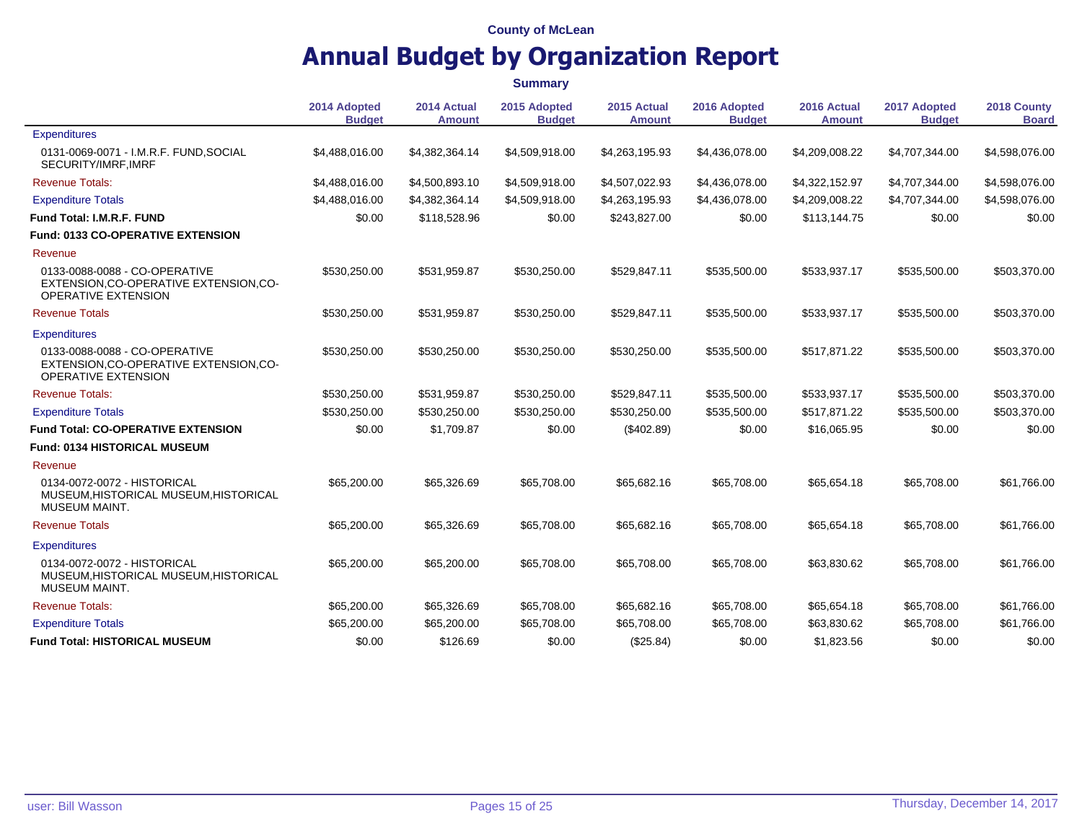|                                                                                                       |                               |                              | <b>Summary</b>                |                              |                               |                              |                               |                             |  |
|-------------------------------------------------------------------------------------------------------|-------------------------------|------------------------------|-------------------------------|------------------------------|-------------------------------|------------------------------|-------------------------------|-----------------------------|--|
|                                                                                                       | 2014 Adopted<br><b>Budget</b> | 2014 Actual<br><b>Amount</b> | 2015 Adopted<br><b>Budget</b> | 2015 Actual<br><b>Amount</b> | 2016 Adopted<br><b>Budget</b> | 2016 Actual<br><b>Amount</b> | 2017 Adopted<br><b>Budget</b> | 2018 County<br><b>Board</b> |  |
| <b>Expenditures</b>                                                                                   |                               |                              |                               |                              |                               |                              |                               |                             |  |
| 0131-0069-0071 - I.M.R.F. FUND, SOCIAL<br>SECURITY/IMRF, IMRF                                         | \$4,488,016.00                | \$4,382,364.14               | \$4,509,918.00                | \$4,263,195.93               | \$4,436,078.00                | \$4,209,008.22               | \$4,707,344.00                | \$4,598,076.00              |  |
| <b>Revenue Totals:</b>                                                                                | \$4,488,016.00                | \$4,500,893.10               | \$4,509,918.00                | \$4,507,022.93               | \$4,436,078.00                | \$4,322,152.97               | \$4,707,344.00                | \$4,598,076.00              |  |
| <b>Expenditure Totals</b>                                                                             | \$4,488,016.00                | \$4.382.364.14               | \$4,509,918.00                | \$4,263,195.93               | \$4,436,078.00                | \$4,209,008.22               | \$4,707,344.00                | \$4,598,076.00              |  |
| Fund Total: I.M.R.F. FUND                                                                             | \$0.00                        | \$118,528.96                 | \$0.00                        | \$243,827.00                 | \$0.00                        | \$113,144.75                 | \$0.00                        | \$0.00                      |  |
| Fund: 0133 CO-OPERATIVE EXTENSION                                                                     |                               |                              |                               |                              |                               |                              |                               |                             |  |
| Revenue                                                                                               |                               |                              |                               |                              |                               |                              |                               |                             |  |
| 0133-0088-0088 - CO-OPERATIVE<br>EXTENSION, CO-OPERATIVE EXTENSION, CO-<br><b>OPERATIVE EXTENSION</b> | \$530,250.00                  | \$531,959.87                 | \$530,250.00                  | \$529,847.11                 | \$535,500.00                  | \$533,937.17                 | \$535,500.00                  | \$503,370.00                |  |
| <b>Revenue Totals</b>                                                                                 | \$530,250.00                  | \$531,959.87                 | \$530,250.00                  | \$529,847.11                 | \$535,500.00                  | \$533,937.17                 | \$535,500.00                  | \$503,370.00                |  |
| <b>Expenditures</b>                                                                                   |                               |                              |                               |                              |                               |                              |                               |                             |  |
| 0133-0088-0088 - CO-OPERATIVE<br>EXTENSION, CO-OPERATIVE EXTENSION, CO-<br><b>OPERATIVE EXTENSION</b> | \$530,250.00                  | \$530,250.00                 | \$530,250.00                  | \$530,250.00                 | \$535,500.00                  | \$517,871.22                 | \$535,500.00                  | \$503,370.00                |  |
| <b>Revenue Totals:</b>                                                                                | \$530.250.00                  | \$531,959.87                 | \$530.250.00                  | \$529,847.11                 | \$535,500.00                  | \$533,937.17                 | \$535,500.00                  | \$503,370.00                |  |
| <b>Expenditure Totals</b>                                                                             | \$530,250.00                  | \$530,250.00                 | \$530,250.00                  | \$530,250.00                 | \$535,500.00                  | \$517,871.22                 | \$535,500.00                  | \$503,370.00                |  |
| <b>Fund Total: CO-OPERATIVE EXTENSION</b>                                                             | \$0.00                        | \$1,709.87                   | \$0.00                        | $(\$402.89)$                 | \$0.00                        | \$16,065.95                  | \$0.00                        | \$0.00                      |  |
| Fund: 0134 HISTORICAL MUSEUM                                                                          |                               |                              |                               |                              |                               |                              |                               |                             |  |
| Revenue                                                                                               |                               |                              |                               |                              |                               |                              |                               |                             |  |
| 0134-0072-0072 - HISTORICAL<br>MUSEUM, HISTORICAL MUSEUM, HISTORICAL<br>MUSEUM MAINT.                 | \$65,200.00                   | \$65,326.69                  | \$65,708.00                   | \$65,682.16                  | \$65,708.00                   | \$65,654.18                  | \$65,708.00                   | \$61,766.00                 |  |
| <b>Revenue Totals</b>                                                                                 | \$65,200.00                   | \$65,326.69                  | \$65,708,00                   | \$65,682.16                  | \$65,708,00                   | \$65,654.18                  | \$65,708,00                   | \$61,766.00                 |  |
| <b>Expenditures</b>                                                                                   |                               |                              |                               |                              |                               |                              |                               |                             |  |
| 0134-0072-0072 - HISTORICAL<br>MUSEUM, HISTORICAL MUSEUM, HISTORICAL<br><b>MUSEUM MAINT.</b>          | \$65,200.00                   | \$65,200.00                  | \$65,708.00                   | \$65,708.00                  | \$65,708.00                   | \$63,830.62                  | \$65,708.00                   | \$61,766.00                 |  |
| <b>Revenue Totals:</b>                                                                                | \$65,200.00                   | \$65,326.69                  | \$65,708.00                   | \$65,682.16                  | \$65,708.00                   | \$65,654.18                  | \$65,708.00                   | \$61,766.00                 |  |
| <b>Expenditure Totals</b>                                                                             | \$65,200.00                   | \$65,200.00                  | \$65,708.00                   | \$65,708.00                  | \$65,708.00                   | \$63,830.62                  | \$65,708.00                   | \$61,766.00                 |  |
| <b>Fund Total: HISTORICAL MUSEUM</b>                                                                  | \$0.00                        | \$126.69                     | \$0.00                        | (\$25.84)                    | \$0.00                        | \$1,823.56                   | \$0.00                        | \$0.00                      |  |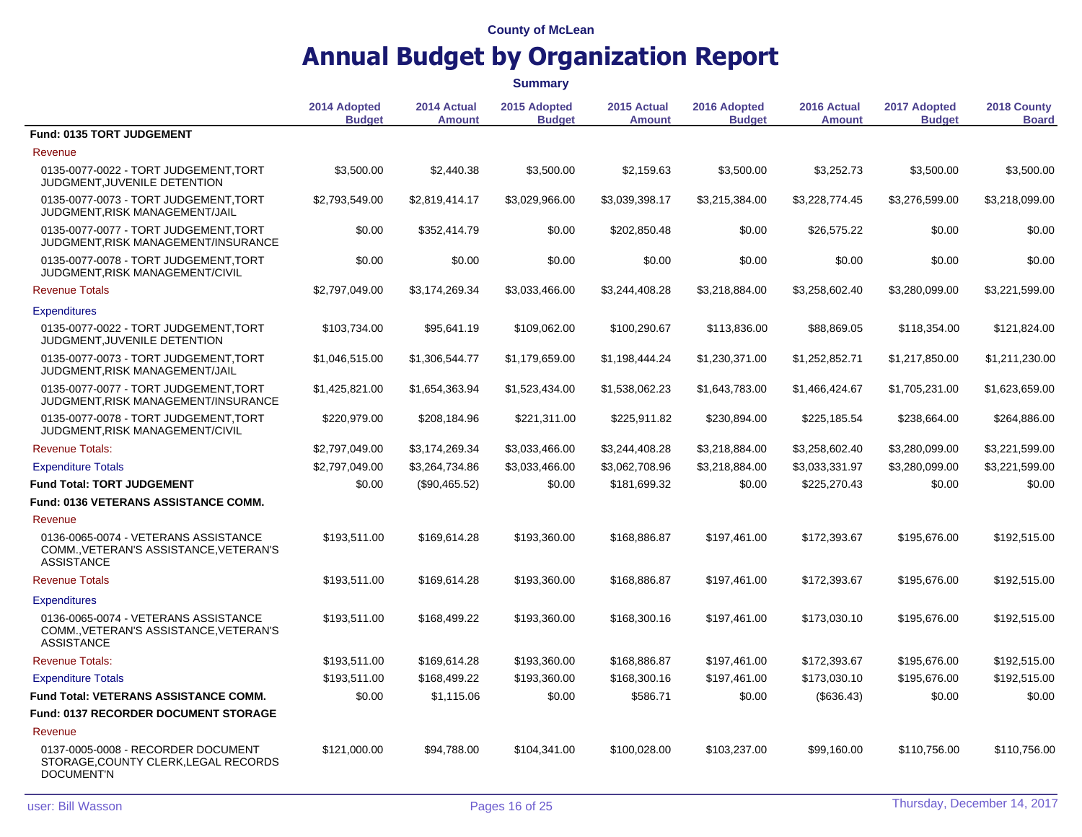|                                                                                                     |                               |                              | <b>Summary</b>                |                              |                               |                              |                               |                             |
|-----------------------------------------------------------------------------------------------------|-------------------------------|------------------------------|-------------------------------|------------------------------|-------------------------------|------------------------------|-------------------------------|-----------------------------|
|                                                                                                     | 2014 Adopted<br><b>Budget</b> | 2014 Actual<br><b>Amount</b> | 2015 Adopted<br><b>Budget</b> | 2015 Actual<br><b>Amount</b> | 2016 Adopted<br><b>Budget</b> | 2016 Actual<br><b>Amount</b> | 2017 Adopted<br><b>Budget</b> | 2018 County<br><b>Board</b> |
| Fund: 0135 TORT JUDGEMENT                                                                           |                               |                              |                               |                              |                               |                              |                               |                             |
| Revenue                                                                                             |                               |                              |                               |                              |                               |                              |                               |                             |
| 0135-0077-0022 - TORT JUDGEMENT, TORT<br>JUDGMENT, JUVENILE DETENTION                               | \$3,500.00                    | \$2,440.38                   | \$3,500.00                    | \$2,159.63                   | \$3,500.00                    | \$3,252.73                   | \$3,500.00                    | \$3,500.00                  |
| 0135-0077-0073 - TORT JUDGEMENT, TORT<br>JUDGMENT, RISK MANAGEMENT/JAIL                             | \$2,793,549.00                | \$2,819,414.17               | \$3,029,966.00                | \$3,039,398.17               | \$3,215,384.00                | \$3,228,774.45               | \$3,276,599.00                | \$3,218,099.00              |
| 0135-0077-0077 - TORT JUDGEMENT.TORT<br>JUDGMENT, RISK MANAGEMENT/INSURANCE                         | \$0.00                        | \$352,414.79                 | \$0.00                        | \$202,850.48                 | \$0.00                        | \$26,575.22                  | \$0.00                        | \$0.00                      |
| 0135-0077-0078 - TORT JUDGEMENT.TORT<br>JUDGMENT, RISK MANAGEMENT/CIVIL                             | \$0.00                        | \$0.00                       | \$0.00                        | \$0.00                       | \$0.00                        | \$0.00                       | \$0.00                        | \$0.00                      |
| <b>Revenue Totals</b>                                                                               | \$2,797,049.00                | \$3,174,269.34               | \$3,033,466.00                | \$3,244,408.28               | \$3,218,884.00                | \$3,258,602.40               | \$3,280,099.00                | \$3,221,599.00              |
| <b>Expenditures</b>                                                                                 |                               |                              |                               |                              |                               |                              |                               |                             |
| 0135-0077-0022 - TORT JUDGEMENT, TORT<br>JUDGMENT, JUVENILE DETENTION                               | \$103,734.00                  | \$95,641.19                  | \$109,062.00                  | \$100,290.67                 | \$113,836.00                  | \$88,869.05                  | \$118,354.00                  | \$121,824.00                |
| 0135-0077-0073 - TORT JUDGEMENT.TORT<br>JUDGMENT, RISK MANAGEMENT/JAIL                              | \$1,046,515.00                | \$1,306,544.77               | \$1,179,659.00                | \$1,198,444.24               | \$1,230,371.00                | \$1,252,852.71               | \$1,217,850.00                | \$1,211,230.00              |
| 0135-0077-0077 - TORT JUDGEMENT, TORT<br>JUDGMENT, RISK MANAGEMENT/INSURANCE                        | \$1,425,821.00                | \$1,654,363.94               | \$1,523,434.00                | \$1,538,062.23               | \$1,643,783.00                | \$1,466,424.67               | \$1,705,231.00                | \$1,623,659.00              |
| 0135-0077-0078 - TORT JUDGEMENT.TORT<br>JUDGMENT, RISK MANAGEMENT/CIVIL                             | \$220,979.00                  | \$208,184.96                 | \$221,311.00                  | \$225,911.82                 | \$230,894.00                  | \$225,185.54                 | \$238,664.00                  | \$264,886.00                |
| <b>Revenue Totals:</b>                                                                              | \$2,797,049.00                | \$3,174,269.34               | \$3,033,466.00                | \$3,244,408.28               | \$3,218,884.00                | \$3,258,602.40               | \$3,280,099.00                | \$3,221,599.00              |
| <b>Expenditure Totals</b>                                                                           | \$2,797,049.00                | \$3,264,734.86               | \$3,033,466.00                | \$3,062,708.96               | \$3,218,884.00                | \$3,033,331.97               | \$3,280,099.00                | \$3,221,599.00              |
| <b>Fund Total: TORT JUDGEMENT</b>                                                                   | \$0.00                        | (\$90,465.52)                | \$0.00                        | \$181,699.32                 | \$0.00                        | \$225,270.43                 | \$0.00                        | \$0.00                      |
| <b>Fund: 0136 VETERANS ASSISTANCE COMM.</b>                                                         |                               |                              |                               |                              |                               |                              |                               |                             |
| Revenue                                                                                             |                               |                              |                               |                              |                               |                              |                               |                             |
| 0136-0065-0074 - VETERANS ASSISTANCE<br>COMM., VETERAN'S ASSISTANCE, VETERAN'S<br><b>ASSISTANCE</b> | \$193,511.00                  | \$169,614.28                 | \$193,360.00                  | \$168,886.87                 | \$197,461.00                  | \$172,393.67                 | \$195,676.00                  | \$192,515.00                |
| <b>Revenue Totals</b>                                                                               | \$193,511.00                  | \$169,614.28                 | \$193,360.00                  | \$168,886.87                 | \$197,461.00                  | \$172,393.67                 | \$195,676.00                  | \$192,515.00                |
| <b>Expenditures</b>                                                                                 |                               |                              |                               |                              |                               |                              |                               |                             |
| 0136-0065-0074 - VETERANS ASSISTANCE<br>COMM., VETERAN'S ASSISTANCE, VETERAN'S<br><b>ASSISTANCE</b> | \$193,511.00                  | \$168,499.22                 | \$193,360.00                  | \$168,300.16                 | \$197,461.00                  | \$173,030.10                 | \$195,676.00                  | \$192,515.00                |
| <b>Revenue Totals:</b>                                                                              | \$193,511.00                  | \$169,614.28                 | \$193,360.00                  | \$168,886.87                 | \$197,461.00                  | \$172,393.67                 | \$195,676.00                  | \$192,515.00                |
| <b>Expenditure Totals</b>                                                                           | \$193,511.00                  | \$168,499.22                 | \$193,360.00                  | \$168,300.16                 | \$197,461.00                  | \$173,030.10                 | \$195,676.00                  | \$192,515.00                |
| <b>Fund Total: VETERANS ASSISTANCE COMM.</b>                                                        | \$0.00                        | \$1,115.06                   | \$0.00                        | \$586.71                     | \$0.00                        | $(\$636.43)$                 | \$0.00                        | \$0.00                      |
| <b>Fund: 0137 RECORDER DOCUMENT STORAGE</b>                                                         |                               |                              |                               |                              |                               |                              |                               |                             |
| Revenue                                                                                             |                               |                              |                               |                              |                               |                              |                               |                             |
| 0137-0005-0008 - RECORDER DOCUMENT<br>STORAGE, COUNTY CLERK, LEGAL RECORDS<br><b>DOCUMENT'N</b>     | \$121,000.00                  | \$94,788.00                  | \$104,341.00                  | \$100,028.00                 | \$103,237.00                  | \$99,160.00                  | \$110,756.00                  | \$110,756.00                |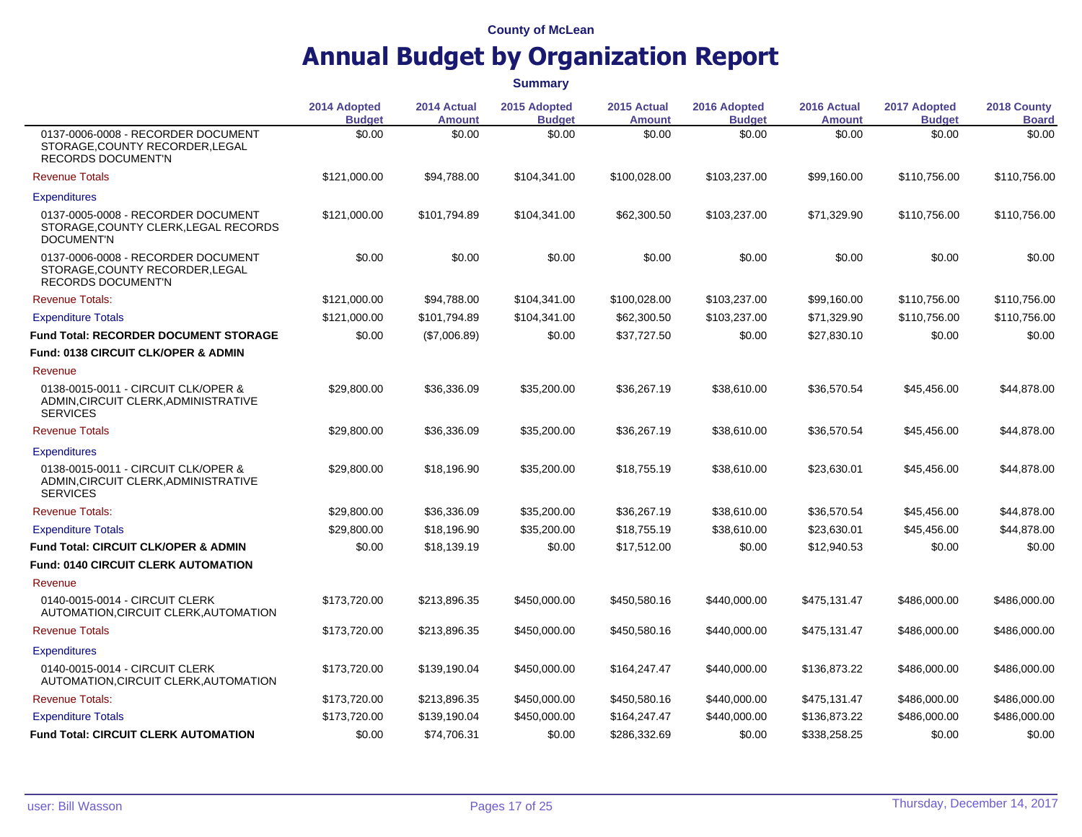# **Annual Budget by Organization Report**

|                                                                                                    | 2014 Adopted<br><b>Budget</b> | 2014 Actual<br><b>Amount</b> | 2015 Adopted<br><b>Budget</b> | 2015 Actual<br><b>Amount</b> | 2016 Adopted<br><b>Budget</b> | 2016 Actual<br><b>Amount</b> | 2017 Adopted<br><b>Budget</b> | 2018 County<br><b>Board</b> |
|----------------------------------------------------------------------------------------------------|-------------------------------|------------------------------|-------------------------------|------------------------------|-------------------------------|------------------------------|-------------------------------|-----------------------------|
| 0137-0006-0008 - RECORDER DOCUMENT<br>STORAGE, COUNTY RECORDER, LEGAL<br><b>RECORDS DOCUMENT'N</b> | \$0.00                        | \$0.00                       | \$0.00                        | \$0.00                       | \$0.00                        | \$0.00                       | \$0.00                        | \$0.00                      |
| <b>Revenue Totals</b>                                                                              | \$121,000.00                  | \$94,788.00                  | \$104,341.00                  | \$100,028.00                 | \$103,237.00                  | \$99,160.00                  | \$110,756.00                  | \$110,756.00                |
| <b>Expenditures</b>                                                                                |                               |                              |                               |                              |                               |                              |                               |                             |
| 0137-0005-0008 - RECORDER DOCUMENT<br>STORAGE, COUNTY CLERK, LEGAL RECORDS<br><b>DOCUMENT'N</b>    | \$121,000.00                  | \$101,794.89                 | \$104,341.00                  | \$62,300.50                  | \$103,237.00                  | \$71,329.90                  | \$110,756.00                  | \$110,756.00                |
| 0137-0006-0008 - RECORDER DOCUMENT<br>STORAGE, COUNTY RECORDER, LEGAL<br><b>RECORDS DOCUMENT'N</b> | \$0.00                        | \$0.00                       | \$0.00                        | \$0.00                       | \$0.00                        | \$0.00                       | \$0.00                        | \$0.00                      |
| <b>Revenue Totals:</b>                                                                             | \$121,000.00                  | \$94.788.00                  | \$104,341.00                  | \$100,028.00                 | \$103,237.00                  | \$99.160.00                  | \$110,756.00                  | \$110,756,00                |
| <b>Expenditure Totals</b>                                                                          | \$121,000.00                  | \$101,794.89                 | \$104,341.00                  | \$62,300.50                  | \$103,237.00                  | \$71,329.90                  | \$110,756.00                  | \$110,756.00                |
| <b>Fund Total: RECORDER DOCUMENT STORAGE</b>                                                       | \$0.00                        | (\$7,006.89)                 | \$0.00                        | \$37,727.50                  | \$0.00                        | \$27,830.10                  | \$0.00                        | \$0.00                      |
| <b>Fund: 0138 CIRCUIT CLK/OPER &amp; ADMIN</b>                                                     |                               |                              |                               |                              |                               |                              |                               |                             |
| Revenue                                                                                            |                               |                              |                               |                              |                               |                              |                               |                             |
| 0138-0015-0011 - CIRCUIT CLK/OPER &<br>ADMIN, CIRCUIT CLERK, ADMINISTRATIVE<br><b>SERVICES</b>     | \$29.800.00                   | \$36,336.09                  | \$35,200.00                   | \$36,267.19                  | \$38,610.00                   | \$36,570.54                  | \$45,456.00                   | \$44,878.00                 |
| <b>Revenue Totals</b>                                                                              | \$29,800.00                   | \$36,336.09                  | \$35,200.00                   | \$36,267.19                  | \$38,610.00                   | \$36,570.54                  | \$45,456.00                   | \$44,878.00                 |
| <b>Expenditures</b>                                                                                |                               |                              |                               |                              |                               |                              |                               |                             |
| 0138-0015-0011 - CIRCUIT CLK/OPER &<br>ADMIN, CIRCUIT CLERK, ADMINISTRATIVE<br><b>SERVICES</b>     | \$29.800.00                   | \$18,196.90                  | \$35,200.00                   | \$18,755.19                  | \$38,610.00                   | \$23,630.01                  | \$45,456.00                   | \$44,878.00                 |
| <b>Revenue Totals:</b>                                                                             | \$29,800.00                   | \$36,336.09                  | \$35,200.00                   | \$36,267.19                  | \$38,610.00                   | \$36,570.54                  | \$45,456.00                   | \$44,878.00                 |
| <b>Expenditure Totals</b>                                                                          | \$29,800.00                   | \$18,196.90                  | \$35,200.00                   | \$18,755.19                  | \$38,610.00                   | \$23,630.01                  | \$45,456.00                   | \$44,878.00                 |
| <b>Fund Total: CIRCUIT CLK/OPER &amp; ADMIN</b>                                                    | \$0.00                        | \$18,139.19                  | \$0.00                        | \$17,512.00                  | \$0.00                        | \$12,940.53                  | \$0.00                        | \$0.00                      |
| Fund: 0140 CIRCUIT CLERK AUTOMATION                                                                |                               |                              |                               |                              |                               |                              |                               |                             |
| Revenue                                                                                            |                               |                              |                               |                              |                               |                              |                               |                             |
| 0140-0015-0014 - CIRCUIT CLERK<br>AUTOMATION, CIRCUIT CLERK, AUTOMATION                            | \$173,720.00                  | \$213,896.35                 | \$450,000.00                  | \$450,580.16                 | \$440,000.00                  | \$475,131.47                 | \$486,000.00                  | \$486,000.00                |
| <b>Revenue Totals</b>                                                                              | \$173,720.00                  | \$213,896.35                 | \$450,000.00                  | \$450,580.16                 | \$440,000.00                  | \$475,131.47                 | \$486,000.00                  | \$486,000.00                |
| <b>Expenditures</b>                                                                                |                               |                              |                               |                              |                               |                              |                               |                             |
| 0140-0015-0014 - CIRCUIT CLERK<br>AUTOMATION, CIRCUIT CLERK, AUTOMATION                            | \$173,720.00                  | \$139,190.04                 | \$450,000.00                  | \$164,247.47                 | \$440,000.00                  | \$136,873.22                 | \$486,000.00                  | \$486,000.00                |
| <b>Revenue Totals:</b>                                                                             | \$173,720.00                  | \$213,896.35                 | \$450,000.00                  | \$450,580.16                 | \$440,000.00                  | \$475,131.47                 | \$486,000.00                  | \$486,000.00                |
| <b>Expenditure Totals</b>                                                                          | \$173,720.00                  | \$139,190.04                 | \$450,000.00                  | \$164,247.47                 | \$440,000.00                  | \$136,873.22                 | \$486,000.00                  | \$486,000.00                |
| <b>Fund Total: CIRCUIT CLERK AUTOMATION</b>                                                        | \$0.00                        | \$74,706.31                  | \$0.00                        | \$286,332.69                 | \$0.00                        | \$338,258.25                 | \$0.00                        | \$0.00                      |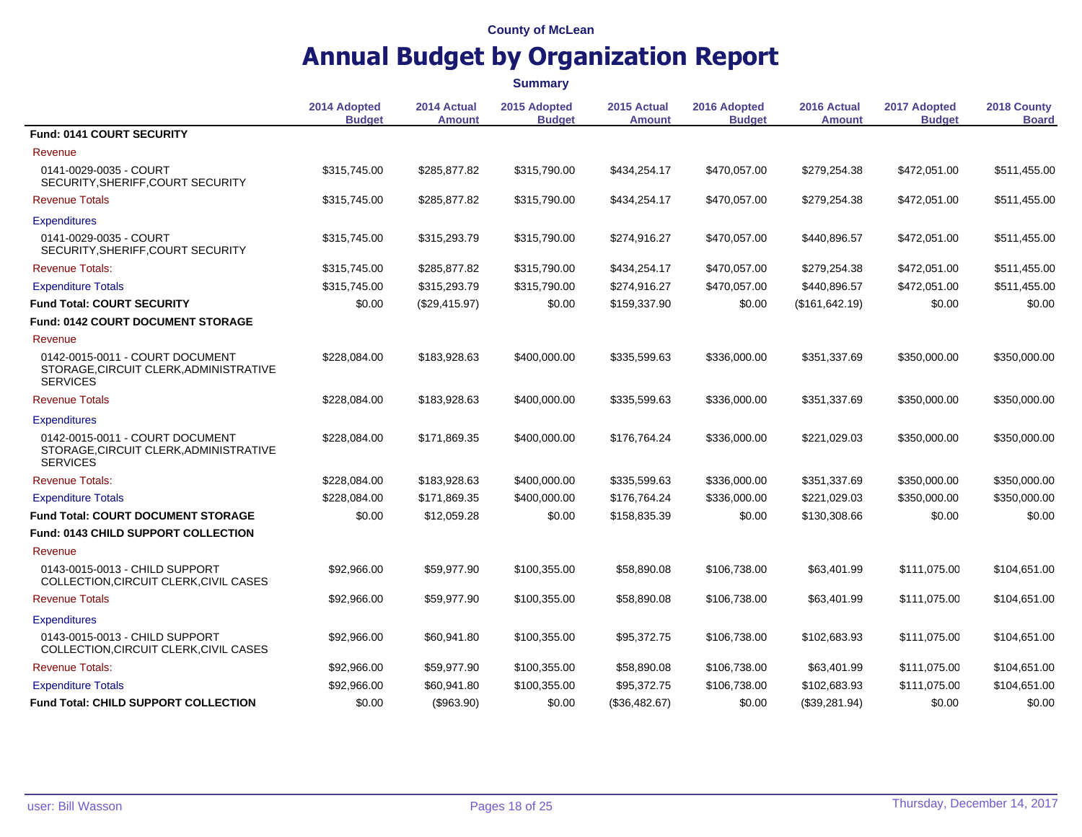|                                                                                              | <b>Summary</b>                |                              |                               |                              |                               |                       |                               |                             |
|----------------------------------------------------------------------------------------------|-------------------------------|------------------------------|-------------------------------|------------------------------|-------------------------------|-----------------------|-------------------------------|-----------------------------|
|                                                                                              | 2014 Adopted<br><b>Budget</b> | 2014 Actual<br><b>Amount</b> | 2015 Adopted<br><b>Budget</b> | 2015 Actual<br><b>Amount</b> | 2016 Adopted<br><b>Budget</b> | 2016 Actual<br>Amount | 2017 Adopted<br><b>Budget</b> | 2018 County<br><b>Board</b> |
| Fund: 0141 COURT SECURITY                                                                    |                               |                              |                               |                              |                               |                       |                               |                             |
| Revenue                                                                                      |                               |                              |                               |                              |                               |                       |                               |                             |
| 0141-0029-0035 - COURT<br>SECURITY, SHERIFF, COURT SECURITY                                  | \$315,745.00                  | \$285,877.82                 | \$315,790.00                  | \$434,254.17                 | \$470,057.00                  | \$279,254.38          | \$472,051.00                  | \$511,455.00                |
| <b>Revenue Totals</b>                                                                        | \$315,745.00                  | \$285,877.82                 | \$315,790.00                  | \$434,254.17                 | \$470,057.00                  | \$279,254.38          | \$472,051.00                  | \$511,455.00                |
| <b>Expenditures</b>                                                                          |                               |                              |                               |                              |                               |                       |                               |                             |
| 0141-0029-0035 - COURT<br>SECURITY, SHERIFF, COURT SECURITY                                  | \$315,745.00                  | \$315,293.79                 | \$315,790.00                  | \$274,916.27                 | \$470,057.00                  | \$440,896.57          | \$472,051.00                  | \$511,455.00                |
| <b>Revenue Totals:</b>                                                                       | \$315,745.00                  | \$285,877.82                 | \$315,790.00                  | \$434,254.17                 | \$470,057.00                  | \$279,254.38          | \$472,051.00                  | \$511,455.00                |
| <b>Expenditure Totals</b>                                                                    | \$315,745.00                  | \$315,293.79                 | \$315,790.00                  | \$274,916.27                 | \$470,057.00                  | \$440,896.57          | \$472,051.00                  | \$511,455.00                |
| <b>Fund Total: COURT SECURITY</b>                                                            | \$0.00                        | (\$29,415.97)                | \$0.00                        | \$159,337.90                 | \$0.00                        | (\$161,642.19)        | \$0.00                        | \$0.00                      |
| <b>Fund: 0142 COURT DOCUMENT STORAGE</b>                                                     |                               |                              |                               |                              |                               |                       |                               |                             |
| Revenue                                                                                      |                               |                              |                               |                              |                               |                       |                               |                             |
| 0142-0015-0011 - COURT DOCUMENT<br>STORAGE, CIRCUIT CLERK, ADMINISTRATIVE<br><b>SERVICES</b> | \$228,084.00                  | \$183,928.63                 | \$400,000.00                  | \$335,599.63                 | \$336,000.00                  | \$351,337.69          | \$350,000.00                  | \$350,000.00                |
| <b>Revenue Totals</b>                                                                        | \$228,084.00                  | \$183,928.63                 | \$400,000.00                  | \$335,599.63                 | \$336,000.00                  | \$351,337.69          | \$350,000.00                  | \$350,000.00                |
| <b>Expenditures</b>                                                                          |                               |                              |                               |                              |                               |                       |                               |                             |
| 0142-0015-0011 - COURT DOCUMENT<br>STORAGE, CIRCUIT CLERK, ADMINISTRATIVE<br><b>SERVICES</b> | \$228,084.00                  | \$171,869.35                 | \$400,000.00                  | \$176,764.24                 | \$336,000.00                  | \$221,029.03          | \$350,000.00                  | \$350,000.00                |
| <b>Revenue Totals:</b>                                                                       | \$228,084.00                  | \$183,928.63                 | \$400,000.00                  | \$335,599.63                 | \$336,000.00                  | \$351,337.69          | \$350,000.00                  | \$350,000.00                |
| <b>Expenditure Totals</b>                                                                    | \$228,084.00                  | \$171,869.35                 | \$400,000.00                  | \$176,764.24                 | \$336,000.00                  | \$221,029.03          | \$350,000.00                  | \$350,000.00                |
| <b>Fund Total: COURT DOCUMENT STORAGE</b>                                                    | \$0.00                        | \$12,059.28                  | \$0.00                        | \$158,835.39                 | \$0.00                        | \$130,308.66          | \$0.00                        | \$0.00                      |
| <b>Fund: 0143 CHILD SUPPORT COLLECTION</b>                                                   |                               |                              |                               |                              |                               |                       |                               |                             |
| Revenue                                                                                      |                               |                              |                               |                              |                               |                       |                               |                             |
| 0143-0015-0013 - CHILD SUPPORT<br>COLLECTION, CIRCUIT CLERK, CIVIL CASES                     | \$92,966.00                   | \$59,977.90                  | \$100,355.00                  | \$58,890.08                  | \$106,738.00                  | \$63,401.99           | \$111,075.00                  | \$104,651.00                |
| <b>Revenue Totals</b>                                                                        | \$92,966.00                   | \$59,977.90                  | \$100,355.00                  | \$58,890.08                  | \$106,738.00                  | \$63,401.99           | \$111,075.00                  | \$104,651.00                |
| <b>Expenditures</b>                                                                          |                               |                              |                               |                              |                               |                       |                               |                             |
| 0143-0015-0013 - CHILD SUPPORT<br>COLLECTION, CIRCUIT CLERK, CIVIL CASES                     | \$92,966.00                   | \$60,941.80                  | \$100,355.00                  | \$95,372.75                  | \$106,738.00                  | \$102,683.93          | \$111,075.00                  | \$104,651.00                |
| <b>Revenue Totals:</b>                                                                       | \$92,966.00                   | \$59,977.90                  | \$100,355.00                  | \$58,890.08                  | \$106,738.00                  | \$63,401.99           | \$111,075.00                  | \$104,651.00                |
| <b>Expenditure Totals</b>                                                                    | \$92,966.00                   | \$60,941.80                  | \$100,355.00                  | \$95,372.75                  | \$106,738.00                  | \$102,683.93          | \$111,075.00                  | \$104,651.00                |
| <b>Fund Total: CHILD SUPPORT COLLECTION</b>                                                  | \$0.00                        | (\$963.90)                   | \$0.00                        | (\$36,482.67)                | \$0.00                        | (\$39,281.94)         | \$0.00                        | \$0.00                      |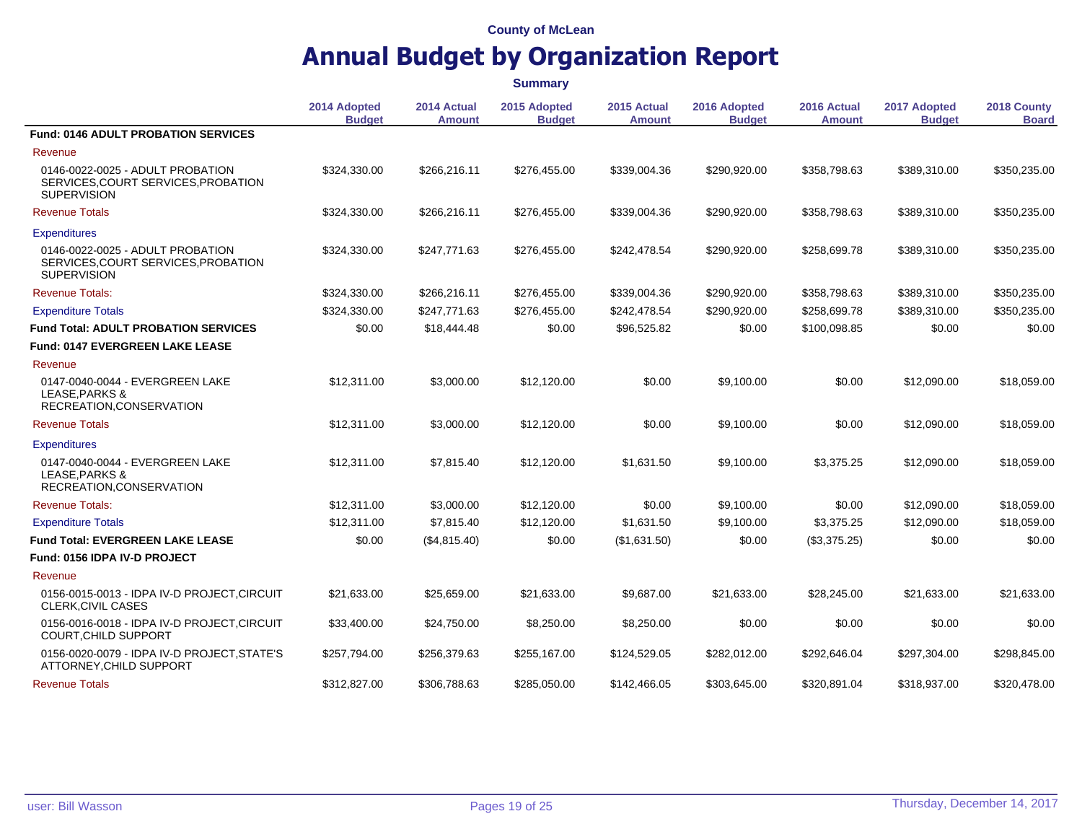|                                                                                               | <b>Summary</b>                |                              |                               |                              |                               |                              |                               |                             |
|-----------------------------------------------------------------------------------------------|-------------------------------|------------------------------|-------------------------------|------------------------------|-------------------------------|------------------------------|-------------------------------|-----------------------------|
|                                                                                               | 2014 Adopted<br><b>Budget</b> | 2014 Actual<br><b>Amount</b> | 2015 Adopted<br><b>Budget</b> | 2015 Actual<br><b>Amount</b> | 2016 Adopted<br><b>Budget</b> | 2016 Actual<br><b>Amount</b> | 2017 Adopted<br><b>Budget</b> | 2018 County<br><b>Board</b> |
| <b>Fund: 0146 ADULT PROBATION SERVICES</b>                                                    |                               |                              |                               |                              |                               |                              |                               |                             |
| Revenue                                                                                       |                               |                              |                               |                              |                               |                              |                               |                             |
| 0146-0022-0025 - ADULT PROBATION<br>SERVICES, COURT SERVICES, PROBATION<br><b>SUPERVISION</b> | \$324,330.00                  | \$266,216.11                 | \$276,455.00                  | \$339,004.36                 | \$290,920.00                  | \$358,798.63                 | \$389,310.00                  | \$350,235.00                |
| <b>Revenue Totals</b>                                                                         | \$324,330.00                  | \$266,216.11                 | \$276,455.00                  | \$339,004.36                 | \$290,920.00                  | \$358,798.63                 | \$389,310.00                  | \$350,235.00                |
| <b>Expenditures</b>                                                                           |                               |                              |                               |                              |                               |                              |                               |                             |
| 0146-0022-0025 - ADULT PROBATION<br>SERVICES, COURT SERVICES, PROBATION<br><b>SUPERVISION</b> | \$324,330.00                  | \$247,771.63                 | \$276,455.00                  | \$242,478.54                 | \$290,920.00                  | \$258,699.78                 | \$389,310.00                  | \$350,235.00                |
| <b>Revenue Totals:</b>                                                                        | \$324,330.00                  | \$266,216.11                 | \$276,455.00                  | \$339,004.36                 | \$290,920.00                  | \$358,798.63                 | \$389,310.00                  | \$350,235.00                |
| <b>Expenditure Totals</b>                                                                     | \$324,330.00                  | \$247,771.63                 | \$276,455.00                  | \$242,478.54                 | \$290,920.00                  | \$258,699.78                 | \$389,310.00                  | \$350,235.00                |
| <b>Fund Total: ADULT PROBATION SERVICES</b>                                                   | \$0.00                        | \$18,444.48                  | \$0.00                        | \$96,525.82                  | \$0.00                        | \$100,098.85                 | \$0.00                        | \$0.00                      |
| <b>Fund: 0147 EVERGREEN LAKE LEASE</b>                                                        |                               |                              |                               |                              |                               |                              |                               |                             |
| Revenue                                                                                       |                               |                              |                               |                              |                               |                              |                               |                             |
| 0147-0040-0044 - EVERGREEN LAKE<br>LEASE, PARKS &<br>RECREATION, CONSERVATION                 | \$12,311.00                   | \$3,000.00                   | \$12,120.00                   | \$0.00                       | \$9,100.00                    | \$0.00                       | \$12,090.00                   | \$18,059.00                 |
| <b>Revenue Totals</b>                                                                         | \$12,311.00                   | \$3,000.00                   | \$12,120.00                   | \$0.00                       | \$9,100.00                    | \$0.00                       | \$12,090.00                   | \$18,059.00                 |
| <b>Expenditures</b>                                                                           |                               |                              |                               |                              |                               |                              |                               |                             |
| 0147-0040-0044 - EVERGREEN LAKE<br>LEASE, PARKS &<br>RECREATION, CONSERVATION                 | \$12,311.00                   | \$7,815.40                   | \$12,120.00                   | \$1,631.50                   | \$9,100.00                    | \$3,375.25                   | \$12,090.00                   | \$18,059.00                 |
| <b>Revenue Totals:</b>                                                                        | \$12,311.00                   | \$3,000.00                   | \$12,120.00                   | \$0.00                       | \$9,100.00                    | \$0.00                       | \$12,090.00                   | \$18,059.00                 |
| <b>Expenditure Totals</b>                                                                     | \$12,311.00                   | \$7,815.40                   | \$12,120.00                   | \$1,631.50                   | \$9,100.00                    | \$3,375.25                   | \$12,090.00                   | \$18,059.00                 |
| <b>Fund Total: EVERGREEN LAKE LEASE</b>                                                       | \$0.00                        | (\$4,815.40)                 | \$0.00                        | (\$1,631.50)                 | \$0.00                        | (\$3,375.25)                 | \$0.00                        | \$0.00                      |
| Fund: 0156 IDPA IV-D PROJECT                                                                  |                               |                              |                               |                              |                               |                              |                               |                             |
| Revenue                                                                                       |                               |                              |                               |                              |                               |                              |                               |                             |
| 0156-0015-0013 - IDPA IV-D PROJECT, CIRCUIT<br>CLERK, CIVIL CASES                             | \$21,633.00                   | \$25,659.00                  | \$21,633.00                   | \$9,687.00                   | \$21,633.00                   | \$28,245.00                  | \$21,633.00                   | \$21,633.00                 |
| 0156-0016-0018 - IDPA IV-D PROJECT, CIRCUIT<br><b>COURT, CHILD SUPPORT</b>                    | \$33,400.00                   | \$24,750.00                  | \$8,250.00                    | \$8,250.00                   | \$0.00                        | \$0.00                       | \$0.00                        | \$0.00                      |
| 0156-0020-0079 - IDPA IV-D PROJECT, STATE'S<br>ATTORNEY, CHILD SUPPORT                        | \$257,794.00                  | \$256,379.63                 | \$255,167.00                  | \$124,529.05                 | \$282,012.00                  | \$292,646.04                 | \$297,304.00                  | \$298,845.00                |
| <b>Revenue Totals</b>                                                                         | \$312,827.00                  | \$306,788.63                 | \$285.050.00                  | \$142,466.05                 | \$303,645.00                  | \$320,891.04                 | \$318,937.00                  | \$320,478.00                |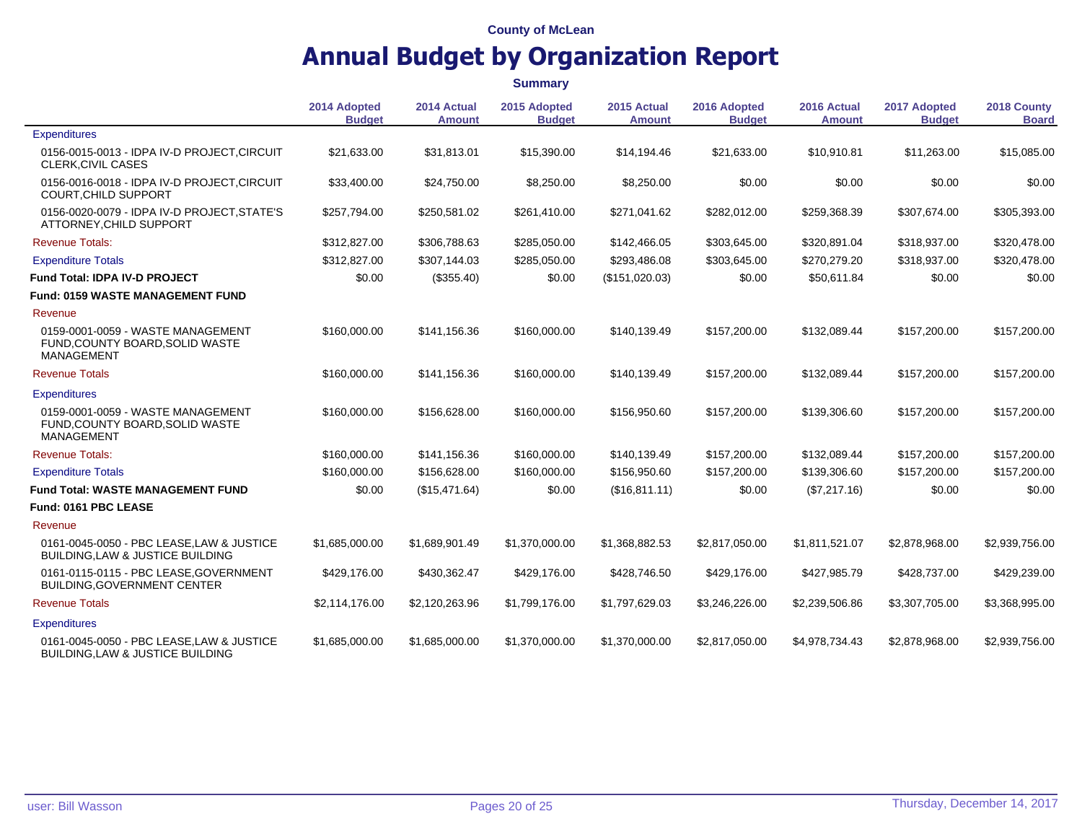|                                                                                           | <b>Summary</b>                |                              |                               |                              |                               |                              |                               |                             |
|-------------------------------------------------------------------------------------------|-------------------------------|------------------------------|-------------------------------|------------------------------|-------------------------------|------------------------------|-------------------------------|-----------------------------|
|                                                                                           | 2014 Adopted<br><b>Budget</b> | 2014 Actual<br><b>Amount</b> | 2015 Adopted<br><b>Budget</b> | 2015 Actual<br><b>Amount</b> | 2016 Adopted<br><b>Budget</b> | 2016 Actual<br><b>Amount</b> | 2017 Adopted<br><b>Budget</b> | 2018 County<br><b>Board</b> |
| <b>Expenditures</b>                                                                       |                               |                              |                               |                              |                               |                              |                               |                             |
| 0156-0015-0013 - IDPA IV-D PROJECT, CIRCUIT<br><b>CLERK, CIVIL CASES</b>                  | \$21,633.00                   | \$31,813.01                  | \$15,390.00                   | \$14,194.46                  | \$21,633.00                   | \$10,910.81                  | \$11.263.00                   | \$15,085.00                 |
| 0156-0016-0018 - IDPA IV-D PROJECT, CIRCUIT<br>COURT, CHILD SUPPORT                       | \$33,400.00                   | \$24,750.00                  | \$8,250.00                    | \$8,250.00                   | \$0.00                        | \$0.00                       | \$0.00                        | \$0.00                      |
| 0156-0020-0079 - IDPA IV-D PROJECT, STATE'S<br>ATTORNEY, CHILD SUPPORT                    | \$257,794.00                  | \$250,581.02                 | \$261,410.00                  | \$271,041.62                 | \$282,012.00                  | \$259,368.39                 | \$307,674.00                  | \$305,393.00                |
| <b>Revenue Totals:</b>                                                                    | \$312,827.00                  | \$306,788.63                 | \$285,050.00                  | \$142,466.05                 | \$303,645.00                  | \$320,891.04                 | \$318,937.00                  | \$320,478.00                |
| <b>Expenditure Totals</b>                                                                 | \$312,827.00                  | \$307,144.03                 | \$285,050.00                  | \$293,486.08                 | \$303,645.00                  | \$270,279.20                 | \$318,937.00                  | \$320,478.00                |
| <b>Fund Total: IDPA IV-D PROJECT</b>                                                      | \$0.00                        | (\$355.40)                   | \$0.00                        | (\$151,020.03)               | \$0.00                        | \$50,611.84                  | \$0.00                        | \$0.00                      |
| <b>Fund: 0159 WASTE MANAGEMENT FUND</b>                                                   |                               |                              |                               |                              |                               |                              |                               |                             |
| Revenue                                                                                   |                               |                              |                               |                              |                               |                              |                               |                             |
| 0159-0001-0059 - WASTE MANAGEMENT<br>FUND, COUNTY BOARD, SOLID WASTE<br><b>MANAGEMENT</b> | \$160,000.00                  | \$141,156.36                 | \$160,000.00                  | \$140,139.49                 | \$157,200.00                  | \$132,089.44                 | \$157,200.00                  | \$157,200.00                |
| <b>Revenue Totals</b>                                                                     | \$160,000.00                  | \$141,156.36                 | \$160,000.00                  | \$140,139.49                 | \$157,200.00                  | \$132,089.44                 | \$157,200.00                  | \$157,200.00                |
| <b>Expenditures</b>                                                                       |                               |                              |                               |                              |                               |                              |                               |                             |
| 0159-0001-0059 - WASTE MANAGEMENT<br>FUND, COUNTY BOARD, SOLID WASTE<br><b>MANAGEMENT</b> | \$160,000.00                  | \$156,628.00                 | \$160,000.00                  | \$156,950.60                 | \$157,200.00                  | \$139,306.60                 | \$157,200.00                  | \$157,200.00                |
| <b>Revenue Totals:</b>                                                                    | \$160,000.00                  | \$141,156.36                 | \$160,000.00                  | \$140,139.49                 | \$157,200.00                  | \$132,089.44                 | \$157,200.00                  | \$157,200.00                |
| <b>Expenditure Totals</b>                                                                 | \$160,000.00                  | \$156,628,00                 | \$160,000.00                  | \$156,950.60                 | \$157,200.00                  | \$139,306.60                 | \$157,200.00                  | \$157,200.00                |
| <b>Fund Total: WASTE MANAGEMENT FUND</b>                                                  | \$0.00                        | (\$15,471.64)                | \$0.00                        | (\$16,811.11)                | \$0.00                        | (\$7,217.16)                 | \$0.00                        | \$0.00                      |
| Fund: 0161 PBC LEASE                                                                      |                               |                              |                               |                              |                               |                              |                               |                             |
| Revenue                                                                                   |                               |                              |                               |                              |                               |                              |                               |                             |
| 0161-0045-0050 - PBC LEASE LAW & JUSTICE<br>BUILDING, LAW & JUSTICE BUILDING              | \$1,685,000.00                | \$1,689,901.49               | \$1,370,000.00                | \$1,368,882.53               | \$2,817,050.00                | \$1,811,521.07               | \$2,878,968.00                | \$2,939,756.00              |
| 0161-0115-0115 - PBC LEASE, GOVERNMENT<br><b>BUILDING, GOVERNMENT CENTER</b>              | \$429,176.00                  | \$430,362.47                 | \$429,176.00                  | \$428,746.50                 | \$429,176.00                  | \$427,985.79                 | \$428,737.00                  | \$429,239.00                |
| <b>Revenue Totals</b>                                                                     | \$2,114,176.00                | \$2,120,263.96               | \$1,799,176.00                | \$1,797,629.03               | \$3,246,226.00                | \$2,239,506.86               | \$3,307,705.00                | \$3,368,995.00              |
| <b>Expenditures</b>                                                                       |                               |                              |                               |                              |                               |                              |                               |                             |
| 0161-0045-0050 - PBC LEASE, LAW & JUSTICE<br>BUILDING, LAW & JUSTICE BUILDING             | \$1,685,000.00                | \$1,685,000.00               | \$1,370,000.00                | \$1,370,000.00               | \$2,817,050.00                | \$4,978,734.43               | \$2,878,968.00                | \$2,939,756.00              |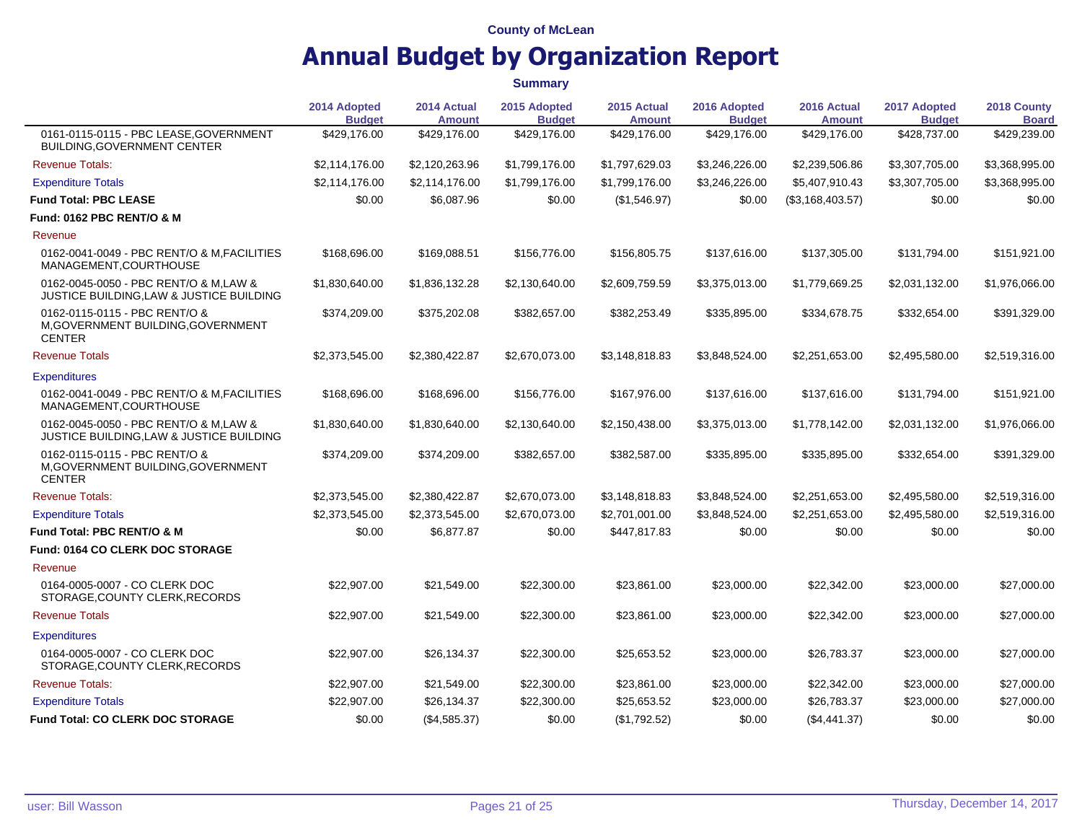|                                                                                      | 2014 Adopted<br><b>Budget</b> | 2014 Actual<br><b>Amount</b> | 2015 Adopted<br><b>Budget</b> | 2015 Actual<br><b>Amount</b> | 2016 Adopted<br><b>Budget</b> | 2016 Actual<br><b>Amount</b> | 2017 Adopted<br><b>Budget</b> | 2018 County<br><b>Board</b> |
|--------------------------------------------------------------------------------------|-------------------------------|------------------------------|-------------------------------|------------------------------|-------------------------------|------------------------------|-------------------------------|-----------------------------|
| 0161-0115-0115 - PBC LEASE, GOVERNMENT<br><b>BUILDING, GOVERNMENT CENTER</b>         | \$429,176.00                  | \$429,176.00                 | \$429,176.00                  | \$429,176.00                 | \$429,176.00                  | \$429,176.00                 | \$428,737.00                  | \$429,239.00                |
| <b>Revenue Totals:</b>                                                               | \$2,114,176.00                | \$2,120,263.96               | \$1,799,176.00                | \$1,797,629.03               | \$3,246,226.00                | \$2,239,506.86               | \$3,307,705.00                | \$3,368,995.00              |
| <b>Expenditure Totals</b>                                                            | \$2,114,176.00                | \$2,114,176.00               | \$1,799,176.00                | \$1,799,176.00               | \$3,246,226.00                | \$5,407,910.43               | \$3,307,705.00                | \$3,368,995.00              |
| <b>Fund Total: PBC LEASE</b>                                                         | \$0.00                        | \$6,087.96                   | \$0.00                        | (\$1,546.97)                 | \$0.00                        | (\$3,168,403.57)             | \$0.00                        | \$0.00                      |
| <b>Fund: 0162 PBC RENT/O &amp; M</b>                                                 |                               |                              |                               |                              |                               |                              |                               |                             |
| Revenue                                                                              |                               |                              |                               |                              |                               |                              |                               |                             |
| 0162-0041-0049 - PBC RENT/O & M.FACILITIES<br>MANAGEMENT, COURTHOUSE                 | \$168,696.00                  | \$169,088.51                 | \$156,776.00                  | \$156,805.75                 | \$137,616.00                  | \$137,305.00                 | \$131,794.00                  | \$151,921.00                |
| 0162-0045-0050 - PBC RENT/O & M.LAW &<br>JUSTICE BUILDING,LAW & JUSTICE BUILDING     | \$1,830,640.00                | \$1,836,132.28               | \$2,130,640.00                | \$2,609,759.59               | \$3,375,013.00                | \$1,779,669.25               | \$2,031,132.00                | \$1,976,066.00              |
| 0162-0115-0115 - PBC RENT/O &<br>M, GOVERNMENT BUILDING, GOVERNMENT<br><b>CENTER</b> | \$374,209.00                  | \$375,202.08                 | \$382,657.00                  | \$382,253.49                 | \$335,895.00                  | \$334,678.75                 | \$332,654.00                  | \$391,329.00                |
| <b>Revenue Totals</b>                                                                | \$2,373,545.00                | \$2,380,422.87               | \$2,670,073.00                | \$3,148,818.83               | \$3,848,524.00                | \$2,251,653.00               | \$2,495,580.00                | \$2,519,316.00              |
| <b>Expenditures</b>                                                                  |                               |                              |                               |                              |                               |                              |                               |                             |
| 0162-0041-0049 - PBC RENT/O & M.FACILITIES<br>MANAGEMENT.COURTHOUSE                  | \$168,696.00                  | \$168,696.00                 | \$156,776.00                  | \$167,976.00                 | \$137,616.00                  | \$137,616.00                 | \$131,794.00                  | \$151,921.00                |
| 0162-0045-0050 - PBC RENT/O & M.LAW &<br>JUSTICE BUILDING, LAW & JUSTICE BUILDING    | \$1,830,640.00                | \$1,830,640.00               | \$2,130,640.00                | \$2,150,438.00               | \$3,375,013.00                | \$1,778,142.00               | \$2,031,132.00                | \$1,976,066.00              |
| 0162-0115-0115 - PBC RENT/O &<br>M, GOVERNMENT BUILDING, GOVERNMENT<br><b>CENTER</b> | \$374,209.00                  | \$374,209.00                 | \$382,657.00                  | \$382,587.00                 | \$335,895.00                  | \$335,895.00                 | \$332,654.00                  | \$391,329.00                |
| <b>Revenue Totals:</b>                                                               | \$2,373,545.00                | \$2,380,422.87               | \$2,670,073.00                | \$3,148,818.83               | \$3,848,524.00                | \$2,251,653.00               | \$2,495,580.00                | \$2,519,316.00              |
| <b>Expenditure Totals</b>                                                            | \$2,373,545.00                | \$2,373,545.00               | \$2,670,073.00                | \$2,701,001.00               | \$3,848,524.00                | \$2,251,653.00               | \$2,495,580.00                | \$2,519,316.00              |
| <b>Fund Total: PBC RENT/O &amp; M</b>                                                | \$0.00                        | \$6,877.87                   | \$0.00                        | \$447,817.83                 | \$0.00                        | \$0.00                       | \$0.00                        | \$0.00                      |
| <b>Fund: 0164 CO CLERK DOC STORAGE</b>                                               |                               |                              |                               |                              |                               |                              |                               |                             |
| Revenue                                                                              |                               |                              |                               |                              |                               |                              |                               |                             |
| 0164-0005-0007 - CO CLERK DOC<br>STORAGE, COUNTY CLERK, RECORDS                      | \$22,907.00                   | \$21,549.00                  | \$22,300.00                   | \$23,861.00                  | \$23,000.00                   | \$22,342.00                  | \$23,000.00                   | \$27,000.00                 |
| <b>Revenue Totals</b>                                                                | \$22,907.00                   | \$21,549.00                  | \$22,300.00                   | \$23,861.00                  | \$23,000.00                   | \$22,342.00                  | \$23,000.00                   | \$27,000.00                 |
| <b>Expenditures</b>                                                                  |                               |                              |                               |                              |                               |                              |                               |                             |
| 0164-0005-0007 - CO CLERK DOC<br>STORAGE, COUNTY CLERK, RECORDS                      | \$22,907.00                   | \$26,134.37                  | \$22,300.00                   | \$25,653.52                  | \$23,000.00                   | \$26,783.37                  | \$23,000.00                   | \$27,000.00                 |
| <b>Revenue Totals:</b>                                                               | \$22,907.00                   | \$21,549.00                  | \$22,300.00                   | \$23,861.00                  | \$23,000.00                   | \$22,342.00                  | \$23,000.00                   | \$27,000.00                 |
| <b>Expenditure Totals</b>                                                            | \$22,907.00                   | \$26,134.37                  | \$22,300.00                   | \$25,653.52                  | \$23,000.00                   | \$26,783.37                  | \$23,000.00                   | \$27,000.00                 |
| <b>Fund Total: CO CLERK DOC STORAGE</b>                                              | \$0.00                        | (\$4,585.37)                 | \$0.00                        | (\$1,792.52)                 | \$0.00                        | (\$4,441.37)                 | \$0.00                        | \$0.00                      |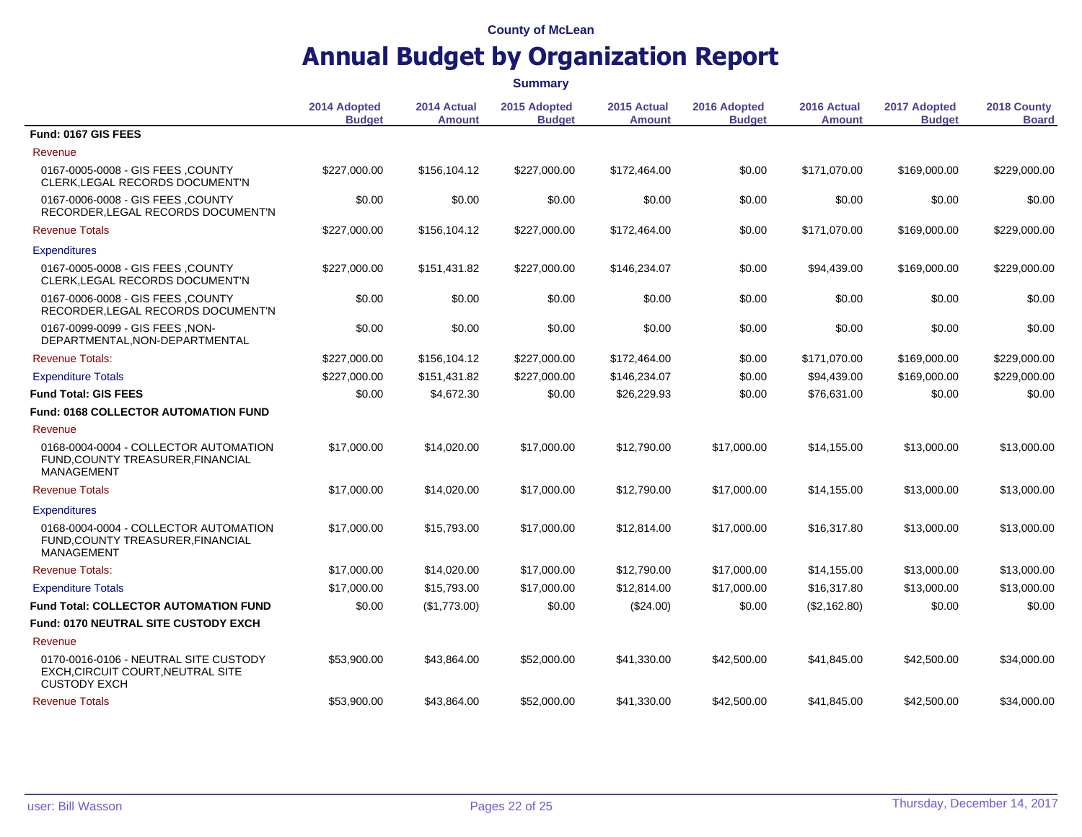|                                                                                                   |                               |                              | <b>Summary</b>                |                       |                               |                              |                               |                             |
|---------------------------------------------------------------------------------------------------|-------------------------------|------------------------------|-------------------------------|-----------------------|-------------------------------|------------------------------|-------------------------------|-----------------------------|
|                                                                                                   | 2014 Adopted<br><b>Budget</b> | 2014 Actual<br><b>Amount</b> | 2015 Adopted<br><b>Budget</b> | 2015 Actual<br>Amount | 2016 Adopted<br><b>Budget</b> | 2016 Actual<br><b>Amount</b> | 2017 Adopted<br><b>Budget</b> | 2018 County<br><b>Board</b> |
| Fund: 0167 GIS FEES                                                                               |                               |                              |                               |                       |                               |                              |                               |                             |
| Revenue                                                                                           |                               |                              |                               |                       |                               |                              |                               |                             |
| 0167-0005-0008 - GIS FEES ,COUNTY<br>CLERK, LEGAL RECORDS DOCUMENT'N                              | \$227,000.00                  | \$156,104.12                 | \$227,000.00                  | \$172,464.00          | \$0.00                        | \$171,070.00                 | \$169,000.00                  | \$229,000.00                |
| 0167-0006-0008 - GIS FEES, COUNTY<br>RECORDER, LEGAL RECORDS DOCUMENT'N                           | \$0.00                        | \$0.00                       | \$0.00                        | \$0.00                | \$0.00                        | \$0.00                       | \$0.00                        | \$0.00                      |
| <b>Revenue Totals</b>                                                                             | \$227,000.00                  | \$156,104.12                 | \$227,000.00                  | \$172,464.00          | \$0.00                        | \$171,070.00                 | \$169,000.00                  | \$229,000.00                |
| <b>Expenditures</b>                                                                               |                               |                              |                               |                       |                               |                              |                               |                             |
| 0167-0005-0008 - GIS FEES ,COUNTY<br>CLERK, LEGAL RECORDS DOCUMENT'N                              | \$227,000.00                  | \$151,431.82                 | \$227,000.00                  | \$146,234.07          | \$0.00                        | \$94,439.00                  | \$169,000.00                  | \$229,000.00                |
| 0167-0006-0008 - GIS FEES, COUNTY<br>RECORDER, LEGAL RECORDS DOCUMENT'N                           | \$0.00                        | \$0.00                       | \$0.00                        | \$0.00                | \$0.00                        | \$0.00                       | \$0.00                        | \$0.00                      |
| 0167-0099-0099 - GIS FEES, NON-<br>DEPARTMENTAL, NON-DEPARTMENTAL                                 | \$0.00                        | \$0.00                       | \$0.00                        | \$0.00                | \$0.00                        | \$0.00                       | \$0.00                        | \$0.00                      |
| <b>Revenue Totals:</b>                                                                            | \$227,000.00                  | \$156,104.12                 | \$227,000.00                  | \$172,464.00          | \$0.00                        | \$171,070.00                 | \$169,000.00                  | \$229,000.00                |
| <b>Expenditure Totals</b>                                                                         | \$227,000.00                  | \$151,431.82                 | \$227,000.00                  | \$146,234.07          | \$0.00                        | \$94,439.00                  | \$169,000.00                  | \$229,000.00                |
| <b>Fund Total: GIS FEES</b>                                                                       | \$0.00                        | \$4,672.30                   | \$0.00                        | \$26,229.93           | \$0.00                        | \$76,631.00                  | \$0.00                        | \$0.00                      |
| Fund: 0168 COLLECTOR AUTOMATION FUND                                                              |                               |                              |                               |                       |                               |                              |                               |                             |
| Revenue                                                                                           |                               |                              |                               |                       |                               |                              |                               |                             |
| 0168-0004-0004 - COLLECTOR AUTOMATION<br>FUND, COUNTY TREASURER, FINANCIAL<br><b>MANAGEMENT</b>   | \$17,000.00                   | \$14,020.00                  | \$17,000.00                   | \$12,790.00           | \$17,000.00                   | \$14.155.00                  | \$13,000.00                   | \$13,000.00                 |
| <b>Revenue Totals</b>                                                                             | \$17,000.00                   | \$14,020.00                  | \$17,000.00                   | \$12,790.00           | \$17,000.00                   | \$14,155.00                  | \$13,000.00                   | \$13,000.00                 |
| <b>Expenditures</b>                                                                               |                               |                              |                               |                       |                               |                              |                               |                             |
| 0168-0004-0004 - COLLECTOR AUTOMATION<br>FUND, COUNTY TREASURER, FINANCIAL<br><b>MANAGEMENT</b>   | \$17,000.00                   | \$15,793.00                  | \$17,000.00                   | \$12,814.00           | \$17,000.00                   | \$16,317.80                  | \$13,000.00                   | \$13,000.00                 |
| <b>Revenue Totals:</b>                                                                            | \$17,000.00                   | \$14,020.00                  | \$17,000.00                   | \$12,790.00           | \$17,000.00                   | \$14,155.00                  | \$13,000.00                   | \$13,000.00                 |
| <b>Expenditure Totals</b>                                                                         | \$17,000.00                   | \$15,793.00                  | \$17,000.00                   | \$12,814.00           | \$17,000.00                   | \$16,317.80                  | \$13,000.00                   | \$13,000.00                 |
| <b>Fund Total: COLLECTOR AUTOMATION FUND</b>                                                      | \$0.00                        | (\$1,773.00)                 | \$0.00                        | (\$24.00)             | \$0.00                        | (\$2,162.80)                 | \$0.00                        | \$0.00                      |
| Fund: 0170 NEUTRAL SITE CUSTODY EXCH                                                              |                               |                              |                               |                       |                               |                              |                               |                             |
| Revenue                                                                                           |                               |                              |                               |                       |                               |                              |                               |                             |
| 0170-0016-0106 - NEUTRAL SITE CUSTODY<br>EXCH, CIRCUIT COURT, NEUTRAL SITE<br><b>CUSTODY EXCH</b> | \$53,900.00                   | \$43.864.00                  | \$52,000.00                   | \$41,330.00           | \$42,500.00                   | \$41,845.00                  | \$42,500.00                   | \$34,000.00                 |
| <b>Revenue Totals</b>                                                                             | \$53,900.00                   | \$43,864.00                  | \$52,000.00                   | \$41,330.00           | \$42,500.00                   | \$41.845.00                  | \$42,500.00                   | \$34,000.00                 |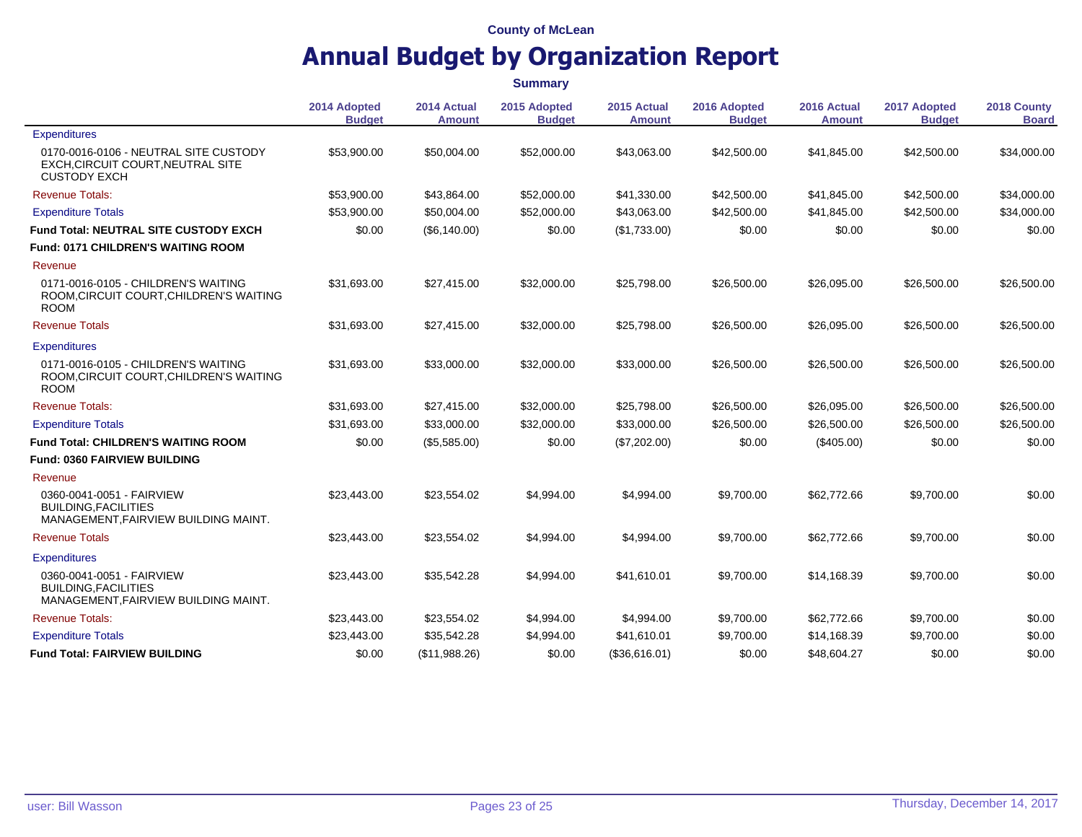|                                                                                                   | <b>Summary</b>                |                              |                               |                              |                               |                              |                               |                             |
|---------------------------------------------------------------------------------------------------|-------------------------------|------------------------------|-------------------------------|------------------------------|-------------------------------|------------------------------|-------------------------------|-----------------------------|
|                                                                                                   | 2014 Adopted<br><b>Budget</b> | 2014 Actual<br><b>Amount</b> | 2015 Adopted<br><b>Budget</b> | 2015 Actual<br><b>Amount</b> | 2016 Adopted<br><b>Budget</b> | 2016 Actual<br><b>Amount</b> | 2017 Adopted<br><b>Budget</b> | 2018 County<br><b>Board</b> |
| <b>Expenditures</b>                                                                               |                               |                              |                               |                              |                               |                              |                               |                             |
| 0170-0016-0106 - NEUTRAL SITE CUSTODY<br>EXCH, CIRCUIT COURT, NEUTRAL SITE<br><b>CUSTODY EXCH</b> | \$53,900.00                   | \$50,004.00                  | \$52,000.00                   | \$43,063.00                  | \$42,500.00                   | \$41,845.00                  | \$42,500.00                   | \$34,000.00                 |
| <b>Revenue Totals:</b>                                                                            | \$53,900.00                   | \$43,864.00                  | \$52,000.00                   | \$41,330.00                  | \$42,500.00                   | \$41,845.00                  | \$42,500.00                   | \$34,000.00                 |
| <b>Expenditure Totals</b>                                                                         | \$53,900.00                   | \$50,004.00                  | \$52,000.00                   | \$43.063.00                  | \$42,500.00                   | \$41.845.00                  | \$42,500.00                   | \$34,000.00                 |
| Fund Total: NEUTRAL SITE CUSTODY EXCH                                                             | \$0.00                        | (\$6,140.00)                 | \$0.00                        | (\$1,733.00)                 | \$0.00                        | \$0.00                       | \$0.00                        | \$0.00                      |
| <b>Fund: 0171 CHILDREN'S WAITING ROOM</b>                                                         |                               |                              |                               |                              |                               |                              |                               |                             |
| Revenue                                                                                           |                               |                              |                               |                              |                               |                              |                               |                             |
| 0171-0016-0105 - CHILDREN'S WAITING<br>ROOM, CIRCUIT COURT, CHILDREN'S WAITING<br><b>ROOM</b>     | \$31,693.00                   | \$27,415.00                  | \$32,000.00                   | \$25,798.00                  | \$26,500.00                   | \$26,095.00                  | \$26,500.00                   | \$26,500.00                 |
| <b>Revenue Totals</b>                                                                             | \$31,693.00                   | \$27,415.00                  | \$32,000.00                   | \$25,798.00                  | \$26,500.00                   | \$26,095.00                  | \$26,500.00                   | \$26,500.00                 |
| <b>Expenditures</b>                                                                               |                               |                              |                               |                              |                               |                              |                               |                             |
| 0171-0016-0105 - CHILDREN'S WAITING<br>ROOM, CIRCUIT COURT, CHILDREN'S WAITING<br><b>ROOM</b>     | \$31,693.00                   | \$33,000.00                  | \$32,000.00                   | \$33,000.00                  | \$26,500.00                   | \$26,500.00                  | \$26,500.00                   | \$26,500.00                 |
| <b>Revenue Totals:</b>                                                                            | \$31.693.00                   | \$27,415.00                  | \$32,000.00                   | \$25,798.00                  | \$26,500.00                   | \$26,095.00                  | \$26,500.00                   | \$26,500.00                 |
| <b>Expenditure Totals</b>                                                                         | \$31.693.00                   | \$33,000.00                  | \$32,000.00                   | \$33,000.00                  | \$26,500.00                   | \$26,500.00                  | \$26,500.00                   | \$26,500.00                 |
| <b>Fund Total: CHILDREN'S WAITING ROOM</b>                                                        | \$0.00                        | (\$5,585.00)                 | \$0.00                        | (\$7,202.00)                 | \$0.00                        | $(\$405.00)$                 | \$0.00                        | \$0.00                      |
| <b>Fund: 0360 FAIRVIEW BUILDING</b>                                                               |                               |                              |                               |                              |                               |                              |                               |                             |
| Revenue                                                                                           |                               |                              |                               |                              |                               |                              |                               |                             |
| 0360-0041-0051 - FAIRVIEW<br><b>BUILDING.FACILITIES</b><br>MANAGEMENT, FAIRVIEW BUILDING MAINT.   | \$23,443.00                   | \$23,554.02                  | \$4,994.00                    | \$4,994.00                   | \$9.700.00                    | \$62.772.66                  | \$9,700.00                    | \$0.00                      |
| <b>Revenue Totals</b>                                                                             | \$23,443.00                   | \$23,554.02                  | \$4,994.00                    | \$4,994.00                   | \$9,700.00                    | \$62,772.66                  | \$9,700.00                    | \$0.00                      |
| <b>Expenditures</b>                                                                               |                               |                              |                               |                              |                               |                              |                               |                             |
| 0360-0041-0051 - FAIRVIEW<br><b>BUILDING, FACILITIES</b><br>MANAGEMENT, FAIRVIEW BUILDING MAINT.  | \$23,443.00                   | \$35,542.28                  | \$4,994.00                    | \$41,610.01                  | \$9,700.00                    | \$14,168.39                  | \$9,700.00                    | \$0.00                      |
| <b>Revenue Totals:</b>                                                                            | \$23,443.00                   | \$23,554.02                  | \$4,994.00                    | \$4,994.00                   | \$9,700.00                    | \$62.772.66                  | \$9,700.00                    | \$0.00                      |
| <b>Expenditure Totals</b>                                                                         | \$23,443.00                   | \$35,542.28                  | \$4,994.00                    | \$41,610.01                  | \$9.700.00                    | \$14,168.39                  | \$9,700.00                    | \$0.00                      |
| <b>Fund Total: FAIRVIEW BUILDING</b>                                                              | \$0.00                        | (\$11,988.26)                | \$0.00                        | (\$36,616.01)                | \$0.00                        | \$48,604.27                  | \$0.00                        | \$0.00                      |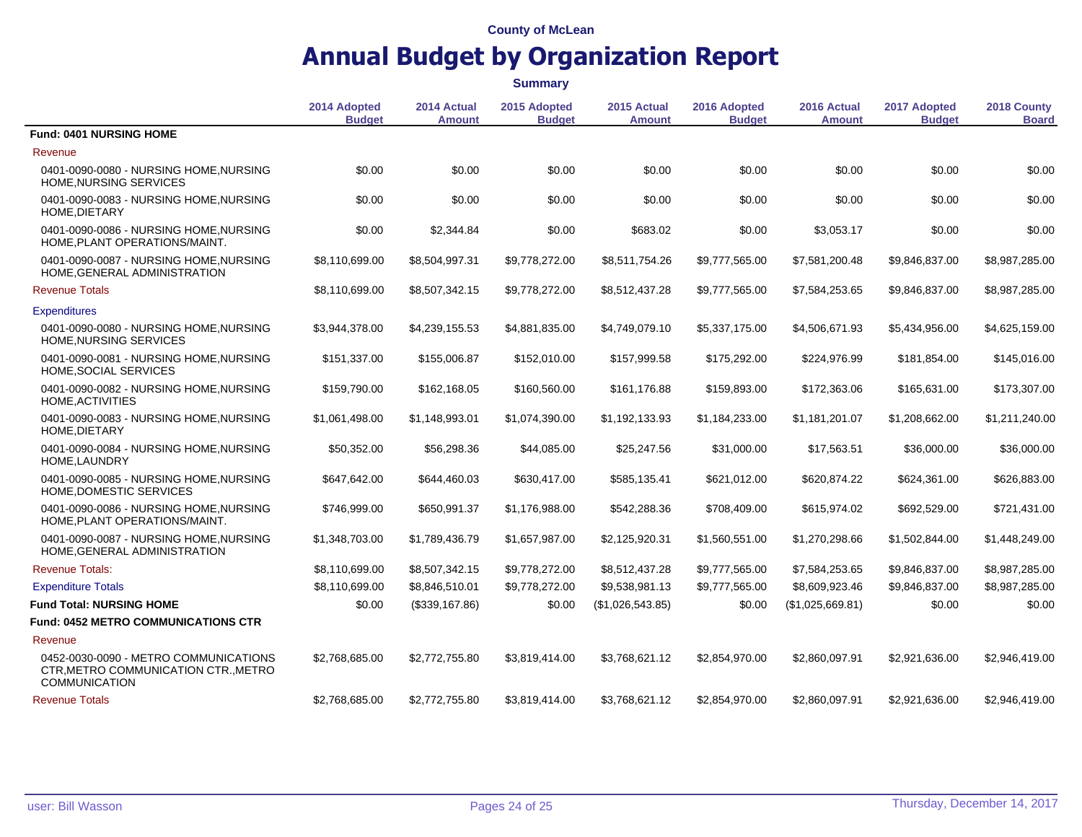|                                                                                                       |                               |                              | <b>Summary</b>                |                       |                               |                              |                               |                             |
|-------------------------------------------------------------------------------------------------------|-------------------------------|------------------------------|-------------------------------|-----------------------|-------------------------------|------------------------------|-------------------------------|-----------------------------|
|                                                                                                       | 2014 Adopted<br><b>Budget</b> | 2014 Actual<br><b>Amount</b> | 2015 Adopted<br><b>Budget</b> | 2015 Actual<br>Amount | 2016 Adopted<br><b>Budget</b> | 2016 Actual<br><b>Amount</b> | 2017 Adopted<br><b>Budget</b> | 2018 County<br><b>Board</b> |
| <b>Fund: 0401 NURSING HOME</b>                                                                        |                               |                              |                               |                       |                               |                              |                               |                             |
| Revenue                                                                                               |                               |                              |                               |                       |                               |                              |                               |                             |
| 0401-0090-0080 - NURSING HOME, NURSING<br>HOME, NURSING SERVICES                                      | \$0.00                        | \$0.00                       | \$0.00                        | \$0.00                | \$0.00                        | \$0.00                       | \$0.00                        | \$0.00                      |
| 0401-0090-0083 - NURSING HOME, NURSING<br>HOME, DIETARY                                               | \$0.00                        | \$0.00                       | \$0.00                        | \$0.00                | \$0.00                        | \$0.00                       | \$0.00                        | \$0.00                      |
| 0401-0090-0086 - NURSING HOME.NURSING<br>HOME, PLANT OPERATIONS/MAINT.                                | \$0.00                        | \$2,344.84                   | \$0.00                        | \$683.02              | \$0.00                        | \$3,053.17                   | \$0.00                        | \$0.00                      |
| 0401-0090-0087 - NURSING HOME, NURSING<br>HOME, GENERAL ADMINISTRATION                                | \$8,110,699.00                | \$8,504,997.31               | \$9,778,272.00                | \$8,511,754.26        | \$9,777,565.00                | \$7,581,200.48               | \$9,846,837.00                | \$8,987,285.00              |
| <b>Revenue Totals</b>                                                                                 | \$8,110,699.00                | \$8,507,342.15               | \$9,778,272.00                | \$8,512,437.28        | \$9,777,565.00                | \$7,584,253.65               | \$9,846,837.00                | \$8,987,285.00              |
| <b>Expenditures</b>                                                                                   |                               |                              |                               |                       |                               |                              |                               |                             |
| 0401-0090-0080 - NURSING HOME, NURSING<br>HOME, NURSING SERVICES                                      | \$3,944,378.00                | \$4,239,155.53               | \$4,881,835.00                | \$4,749,079.10        | \$5,337,175.00                | \$4,506,671.93               | \$5,434,956.00                | \$4,625,159.00              |
| 0401-0090-0081 - NURSING HOME, NURSING<br>HOME, SOCIAL SERVICES                                       | \$151,337.00                  | \$155,006.87                 | \$152,010.00                  | \$157,999.58          | \$175,292.00                  | \$224,976.99                 | \$181,854.00                  | \$145,016.00                |
| 0401-0090-0082 - NURSING HOME, NURSING<br>HOME, ACTIVITIES                                            | \$159,790.00                  | \$162,168.05                 | \$160,560.00                  | \$161,176.88          | \$159,893.00                  | \$172,363.06                 | \$165,631.00                  | \$173,307.00                |
| 0401-0090-0083 - NURSING HOME, NURSING<br>HOME, DIETARY                                               | \$1,061,498.00                | \$1,148,993.01               | \$1,074,390.00                | \$1,192,133.93        | \$1,184,233.00                | \$1,181,201.07               | \$1,208,662.00                | \$1,211,240.00              |
| 0401-0090-0084 - NURSING HOME, NURSING<br>HOME, LAUNDRY                                               | \$50,352.00                   | \$56,298.36                  | \$44,085.00                   | \$25,247.56           | \$31,000.00                   | \$17,563.51                  | \$36,000.00                   | \$36,000.00                 |
| 0401-0090-0085 - NURSING HOME, NURSING<br>HOME, DOMESTIC SERVICES                                     | \$647,642.00                  | \$644,460.03                 | \$630,417.00                  | \$585,135.41          | \$621,012.00                  | \$620,874.22                 | \$624,361.00                  | \$626,883.00                |
| 0401-0090-0086 - NURSING HOME, NURSING<br>HOME.PLANT OPERATIONS/MAINT.                                | \$746,999.00                  | \$650,991.37                 | \$1,176,988.00                | \$542,288.36          | \$708,409.00                  | \$615,974.02                 | \$692,529.00                  | \$721,431.00                |
| 0401-0090-0087 - NURSING HOME, NURSING<br>HOME, GENERAL ADMINISTRATION                                | \$1,348,703.00                | \$1,789,436.79               | \$1,657,987.00                | \$2,125,920.31        | \$1,560,551.00                | \$1,270,298.66               | \$1,502,844.00                | \$1,448,249.00              |
| <b>Revenue Totals:</b>                                                                                | \$8,110,699.00                | \$8,507,342.15               | \$9,778,272.00                | \$8,512,437.28        | \$9,777,565.00                | \$7,584,253.65               | \$9,846,837.00                | \$8,987,285.00              |
| <b>Expenditure Totals</b>                                                                             | \$8,110,699.00                | \$8,846,510.01               | \$9,778,272.00                | \$9,538,981.13        | \$9,777,565.00                | \$8,609,923.46               | \$9,846,837.00                | \$8,987,285.00              |
| <b>Fund Total: NURSING HOME</b>                                                                       | \$0.00                        | (\$339,167.86)               | \$0.00                        | (\$1,026,543.85)      | \$0.00                        | (\$1,025,669.81)             | \$0.00                        | \$0.00                      |
| Fund: 0452 METRO COMMUNICATIONS CTR                                                                   |                               |                              |                               |                       |                               |                              |                               |                             |
| Revenue                                                                                               |                               |                              |                               |                       |                               |                              |                               |                             |
| 0452-0030-0090 - METRO COMMUNICATIONS<br>CTR, METRO COMMUNICATION CTR., METRO<br><b>COMMUNICATION</b> | \$2,768,685.00                | \$2,772,755.80               | \$3,819,414.00                | \$3,768,621.12        | \$2,854,970.00                | \$2,860,097.91               | \$2,921,636.00                | \$2,946,419.00              |
| <b>Revenue Totals</b>                                                                                 | \$2.768.685.00                | \$2,772,755.80               | \$3.819.414.00                | \$3.768.621.12        | \$2,854,970.00                | \$2.860.097.91               | \$2.921.636.00                | \$2.946.419.00              |